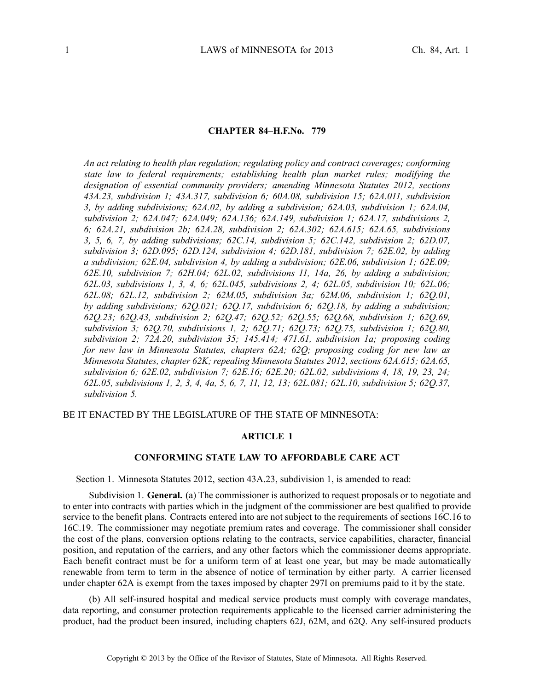#### **CHAPTER 84–H.F.No. 779**

*An act relating to health plan regulation; regulating policy and contract coverages; conforming state law to federal requirements; establishing health plan market rules; modifying the designation of essential community providers; amending Minnesota Statutes 2012, sections 43A.23, subdivision 1; 43A.317, subdivision 6; 60A.08, subdivision 15; 62A.011, subdivision 3, by adding subdivisions; 62A.02, by adding <sup>a</sup> subdivision; 62A.03, subdivision 1; 62A.04, subdivision 2; 62A.047; 62A.049; 62A.136; 62A.149, subdivision 1; 62A.17, subdivisions 2, 6; 62A.21, subdivision 2b; 62A.28, subdivision 2; 62A.302; 62A.615; 62A.65, subdivisions 3, 5, 6, 7, by adding subdivisions; 62C.14, subdivision 5; 62C.142, subdivision 2; 62D.07, subdivision 3; 62D.095; 62D.124, subdivision 4; 62D.181, subdivision 7; 62E.02, by adding <sup>a</sup> subdivision; 62E.04, subdivision 4, by adding <sup>a</sup> subdivision; 62E.06, subdivision 1; 62E.09; 62E.10, subdivision 7; 62H.04; 62L.02, subdivisions 11, 14a, 26, by adding <sup>a</sup> subdivision; 62L.03, subdivisions 1, 3, 4, 6; 62L.045, subdivisions 2, 4; 62L.05, subdivision 10; 62L.06; 62L.08; 62L.12, subdivision 2; 62M.05, subdivision 3a; 62M.06, subdivision 1; 62Q.01, by adding subdivisions; 62Q.021; 62Q.17, subdivision 6; 62Q.18, by adding <sup>a</sup> subdivision; 62Q.23; 62Q.43, subdivision 2; 62Q.47; 62Q.52; 62Q.55; 62Q.68, subdivision 1; 62Q.69, subdivision 3; 62Q.70, subdivisions 1, 2; 62Q.71; 62Q.73; 62Q.75, subdivision 1; 62Q.80, subdivision 2; 72A.20, subdivision 35; 145.414; 471.61, subdivision 1a; proposing coding for new law in Minnesota Statutes, chapters 62A; 62Q; proposing coding for new law as Minnesota Statutes, chapter 62K; repealing Minnesota Statutes 2012, sections 62A.615; 62A.65, subdivision 6; 62E.02, subdivision 7; 62E.16; 62E.20; 62L.02, subdivisions 4, 18, 19, 23, 24; 62L.05, subdivisions 1, 2, 3, 4, 4a, 5, 6, 7, 11, 12, 13; 62L.081; 62L.10, subdivision 5; 62Q.37, subdivision 5.*

BE IT ENACTED BY THE LEGISLATURE OF THE STATE OF MINNESOTA:

### **ARTICLE 1**

#### **CONFORMING STATE LAW TO AFFORDABLE CARE ACT**

Section 1. Minnesota Statutes 2012, section 43A.23, subdivision 1, is amended to read:

Subdivision 1. **General.** (a) The commissioner is authorized to reques<sup>t</sup> proposals or to negotiate and to enter into contracts with parties which in the judgment of the commissioner are best qualified to provide service to the benefit plans. Contracts entered into are not subject to the requirements of sections 16C.16 to 16C.19. The commissioner may negotiate premium rates and coverage. The commissioner shall consider the cost of the plans, conversion options relating to the contracts, service capabilities, character, financial position, and reputation of the carriers, and any other factors which the commissioner deems appropriate. Each benefit contract must be for <sup>a</sup> uniform term of at least one year, but may be made automatically renewable from term to term in the absence of notice of termination by either party. A carrier licensed under chapter 62A is exemp<sup>t</sup> from the taxes imposed by chapter 297I on premiums paid to it by the state.

(b) All self-insured hospital and medical service products must comply with coverage mandates, data reporting, and consumer protection requirements applicable to the licensed carrier administering the product, had the product been insured, including chapters 62J, 62M, and 62Q. Any self-insured products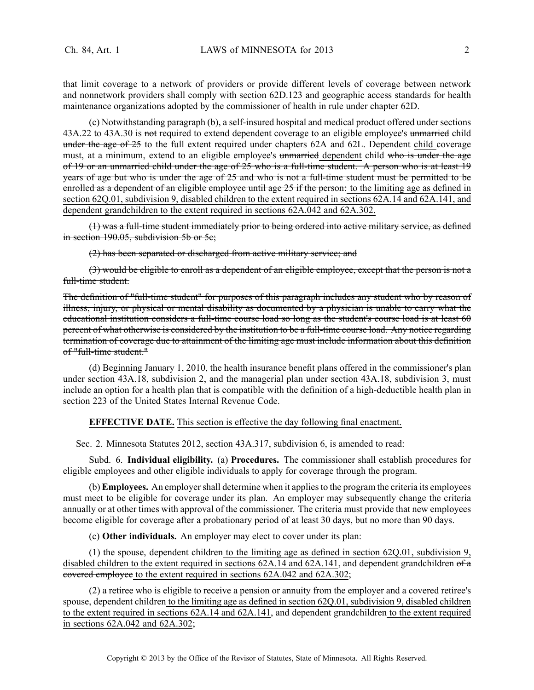that limit coverage to <sup>a</sup> network of providers or provide different levels of coverage between network and nonnetwork providers shall comply with section 62D.123 and geographic access standards for health maintenance organizations adopted by the commissioner of health in rule under chapter 62D.

(c) Notwithstanding paragraph (b), <sup>a</sup> self-insured hospital and medical product offered under sections 43A.22 to 43A.30 is not required to extend dependent coverage to an eligible employee's unmarried child under the age of 25 to the full extent required under chapters 62A and 62L. Dependent child coverage must, at a minimum, extend to an eligible employee's unmarried dependent child who is under the age of 19 or an unmarried child under the age of 25 who is <sup>a</sup> full-time student. A person who is at least 19 years of age but who is under the age of 25 and who is not <sup>a</sup> full-time student must be permitted to be enrolled as a dependent of an eligible employee until age 25 if the person: to the limiting age as defined in section 62Q.01, subdivision 9, disabled children to the extent required in sections 62A.14 and 62A.141, and dependent grandchildren to the extent required in sections 62A.042 and 62A.302.

(1) was <sup>a</sup> full-time student immediately prior to being ordered into active military service, as defined in section 190.05, subdivision 5b or 5c;

(2) has been separated or discharged from active military service; and

(3) would be eligible to enroll as <sup>a</sup> dependent of an eligible employee, excep<sup>t</sup> that the person is not <sup>a</sup> full-time student.

The definition of "full-time student" for purposes of this paragraph includes any student who by reason of illness, injury, or physical or mental disability as documented by <sup>a</sup> physician is unable to carry what the educational institution considers <sup>a</sup> full-time course load so long as the student's course load is at least 60 percen<sup>t</sup> of what otherwise is considered by the institution to be <sup>a</sup> full-time course load. Any notice regarding termination of coverage due to attainment of the limiting age must include information about this definition of "full-time student."

(d) Beginning January 1, 2010, the health insurance benefit plans offered in the commissioner's plan under section 43A.18, subdivision 2, and the managerial plan under section 43A.18, subdivision 3, must include an option for <sup>a</sup> health plan that is compatible with the definition of <sup>a</sup> high-deductible health plan in section 223 of the United States Internal Revenue Code.

## **EFFECTIVE DATE.** This section is effective the day following final enactment.

Sec. 2. Minnesota Statutes 2012, section 43A.317, subdivision 6, is amended to read:

Subd. 6. **Individual eligibility.** (a) **Procedures.** The commissioner shall establish procedures for eligible employees and other eligible individuals to apply for coverage through the program.

(b) **Employees.** An employershall determine when it appliesto the program the criteria its employees must meet to be eligible for coverage under its plan. An employer may subsequently change the criteria annually or at other times with approval of the commissioner. The criteria must provide that new employees become eligible for coverage after <sup>a</sup> probationary period of at least 30 days, but no more than 90 days.

(c) **Other individuals.** An employer may elect to cover under its plan:

(1) the spouse, dependent children to the limiting age as defined in section 62Q.01, subdivision 9, disabled children to the extent required in sections  $62A.14$  and  $62A.141$ , and dependent grandchildren  $\sigma \bar{f}$ covered employee to the extent required in sections 62A.042 and 62A.302;

(2) <sup>a</sup> retiree who is eligible to receive <sup>a</sup> pension or annuity from the employer and <sup>a</sup> covered retiree's spouse, dependent children to the limiting age as defined in section 62Q.01, subdivision 9, disabled children to the extent required in sections 62A.14 and 62A.141, and dependent grandchildren to the extent required in sections 62A.042 and 62A.302;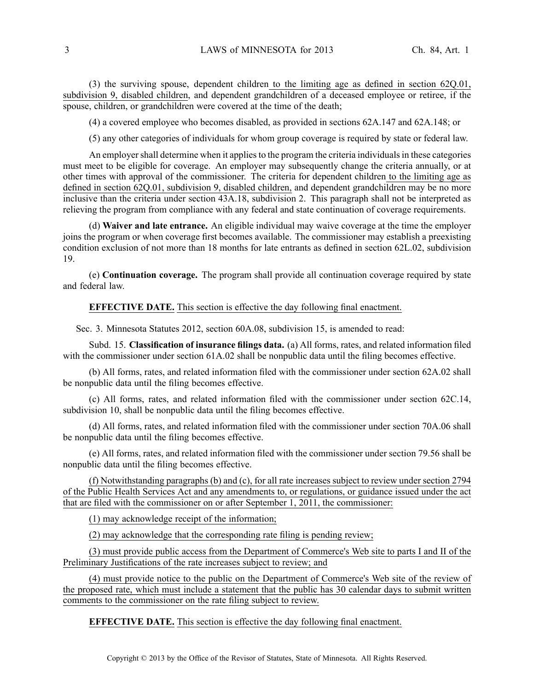(3) the surviving spouse, dependent children to the limiting age as defined in section 62Q.01, subdivision 9, disabled children, and dependent grandchildren of <sup>a</sup> deceased employee or retiree, if the spouse, children, or grandchildren were covered at the time of the death:

(4) <sup>a</sup> covered employee who becomes disabled, as provided in sections 62A.147 and 62A.148; or

(5) any other categories of individuals for whom group coverage is required by state or federal law.

An employer shall determine when it applies to the program the criteria individuals in these categories must meet to be eligible for coverage. An employer may subsequently change the criteria annually, or at other times with approval of the commissioner. The criteria for dependent children to the limiting age as defined in section 62Q.01, subdivision 9, disabled children, and dependent grandchildren may be no more inclusive than the criteria under section 43A.18, subdivision 2. This paragraph shall not be interpreted as relieving the program from compliance with any federal and state continuation of coverage requirements.

(d) **Waiver and late entrance.** An eligible individual may waive coverage at the time the employer joins the program or when coverage first becomes available. The commissioner may establish <sup>a</sup> preexisting condition exclusion of not more than 18 months for late entrants as defined in section 62L.02, subdivision 19.

(e) **Continuation coverage.** The program shall provide all continuation coverage required by state and federal law.

**EFFECTIVE DATE.** This section is effective the day following final enactment.

Sec. 3. Minnesota Statutes 2012, section 60A.08, subdivision 15, is amended to read:

Subd. 15. **Classification of insurance filings data.** (a) All forms, rates, and related information filed with the commissioner under section 61A.02 shall be nonpublic data until the filing becomes effective.

(b) All forms, rates, and related information filed with the commissioner under section 62A.02 shall be nonpublic data until the filing becomes effective.

(c) All forms, rates, and related information filed with the commissioner under section 62C.14, subdivision 10, shall be nonpublic data until the filing becomes effective.

(d) All forms, rates, and related information filed with the commissioner under section 70A.06 shall be nonpublic data until the filing becomes effective.

(e) All forms, rates, and related information filed with the commissioner under section 79.56 shall be nonpublic data until the filing becomes effective.

(f) Notwithstanding paragraphs (b) and (c), for all rate increases subject to review under section 2794 of the Public Health Services Act and any amendments to, or regulations, or guidance issued under the act that are filed with the commissioner on or after September 1, 2011, the commissioner:

(1) may acknowledge receipt of the information;

(2) may acknowledge that the corresponding rate filing is pending review;

(3) must provide public access from the Department of Commerce's Web site to parts I and II of the Preliminary Justifications of the rate increases subject to review; and

(4) must provide notice to the public on the Department of Commerce's Web site of the review of the proposed rate, which must include <sup>a</sup> statement that the public has 30 calendar days to submit written comments to the commissioner on the rate filing subject to review.

**EFFECTIVE DATE.** This section is effective the day following final enactment.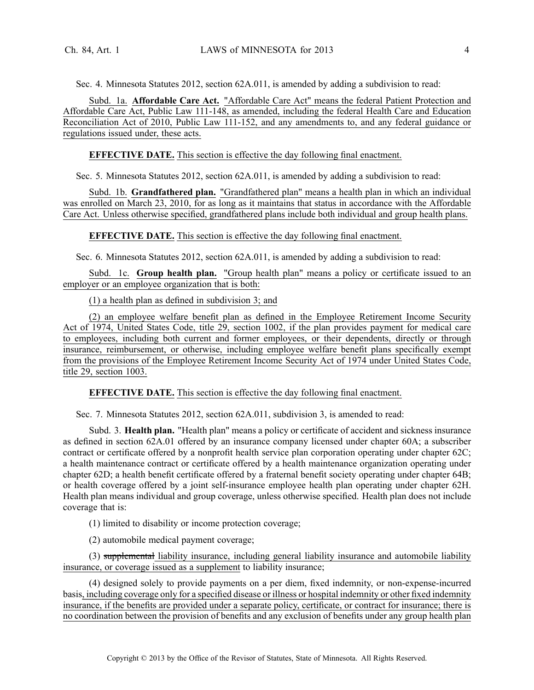Sec. 4. Minnesota Statutes 2012, section 62A.011, is amended by adding <sup>a</sup> subdivision to read:

Subd. 1a. **Affordable Care Act.** "Affordable Care Act" means the federal Patient Protection and Affordable Care Act, Public Law 111-148, as amended, including the federal Health Care and Education Reconciliation Act of 2010, Public Law 111-152, and any amendments to, and any federal guidance or regulations issued under, these acts.

**EFFECTIVE DATE.** This section is effective the day following final enactment.

Sec. 5. Minnesota Statutes 2012, section 62A.011, is amended by adding <sup>a</sup> subdivision to read:

Subd. 1b. **Grandfathered plan.** "Grandfathered plan" means <sup>a</sup> health plan in which an individual was enrolled on March 23, 2010, for as long as it maintains that status in accordance with the Affordable Care Act. Unless otherwise specified, grandfathered plans include both individual and group health plans.

**EFFECTIVE DATE.** This section is effective the day following final enactment.

Sec. 6. Minnesota Statutes 2012, section 62A.011, is amended by adding <sup>a</sup> subdivision to read:

Subd. 1c. **Group health plan.** "Group health plan" means <sup>a</sup> policy or certificate issued to an employer or an employee organization that is both:

(1) <sup>a</sup> health plan as defined in subdivision 3; and

(2) an employee welfare benefit plan as defined in the Employee Retirement Income Security Act of 1974, United States Code, title 29, section 1002, if the plan provides paymen<sup>t</sup> for medical care to employees, including both current and former employees, or their dependents, directly or through insurance, reimbursement, or otherwise, including employee welfare benefit plans specifically exemp<sup>t</sup> from the provisions of the Employee Retirement Income Security Act of 1974 under United States Code, title 29, section 1003.

**EFFECTIVE DATE.** This section is effective the day following final enactment.

Sec. 7. Minnesota Statutes 2012, section 62A.011, subdivision 3, is amended to read:

Subd. 3. **Health plan.** "Health plan" means <sup>a</sup> policy or certificate of accident and sickness insurance as defined in section 62A.01 offered by an insurance company licensed under chapter 60A; <sup>a</sup> subscriber contract or certificate offered by <sup>a</sup> nonprofit health service plan corporation operating under chapter 62C; <sup>a</sup> health maintenance contract or certificate offered by <sup>a</sup> health maintenance organization operating under chapter 62D; <sup>a</sup> health benefit certificate offered by <sup>a</sup> fraternal benefit society operating under chapter 64B; or health coverage offered by <sup>a</sup> joint self-insurance employee health plan operating under chapter 62H. Health plan means individual and group coverage, unless otherwise specified. Health plan does not include coverage that is:

(1) limited to disability or income protection coverage;

(2) automobile medical paymen<sup>t</sup> coverage;

(3) supplemental liability insurance, including general liability insurance and automobile liability insurance, or coverage issued as <sup>a</sup> supplement to liability insurance;

(4) designed solely to provide payments on <sup>a</sup> per diem, fixed indemnity, or non-expense-incurred basis, including coverage only for <sup>a</sup> specified disease or illness or hospital indemnity or other fixed indemnity insurance, if the benefits are provided under <sup>a</sup> separate policy, certificate, or contract for insurance; there is no coordination between the provision of benefits and any exclusion of benefits under any group health plan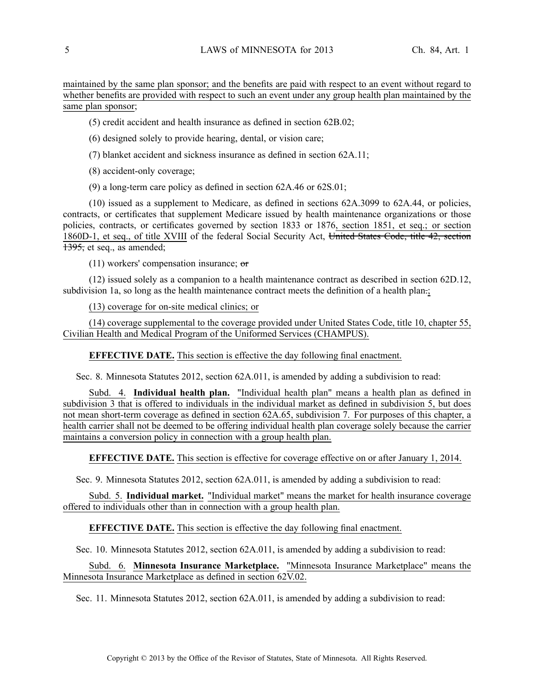maintained by the same plan sponsor; and the benefits are paid with respec<sup>t</sup> to an event without regard to whether benefits are provided with respec<sup>t</sup> to such an event under any group health plan maintained by the same plan sponsor;

(5) credit accident and health insurance as defined in section 62B.02;

- (6) designed solely to provide hearing, dental, or vision care;
- (7) blanket accident and sickness insurance as defined in section 62A.11;
- (8) accident-only coverage;
- (9) <sup>a</sup> long-term care policy as defined in section 62A.46 or 62S.01;

(10) issued as <sup>a</sup> supplement to Medicare, as defined in sections 62A.3099 to 62A.44, or policies, contracts, or certificates that supplement Medicare issued by health maintenance organizations or those policies, contracts, or certificates governed by section 1833 or 1876, section 1851, et seq.; or section 1860D-1, et seq., of title XVIII of the federal Social Security Act, United States Code, title 42, section 1395, et seq., as amended;

(11) workers' compensation insurance; or

(12) issued solely as <sup>a</sup> companion to <sup>a</sup> health maintenance contract as described in section 62D.12, subdivision 1a, so long as the health maintenance contract meets the definition of a health plan.;

(13) coverage for on-site medical clinics; or

(14) coverage supplemental to the coverage provided under United States Code, title 10, chapter 55, Civilian Health and Medical Program of the Uniformed Services (CHAMPUS).

**EFFECTIVE DATE.** This section is effective the day following final enactment.

Sec. 8. Minnesota Statutes 2012, section 62A.011, is amended by adding <sup>a</sup> subdivision to read:

Subd. 4. **Individual health plan.** "Individual health plan" means <sup>a</sup> health plan as defined in subdivision 3 that is offered to individuals in the individual market as defined in subdivision 5, but does not mean short-term coverage as defined in section 62A.65, subdivision 7. For purposes of this chapter, <sup>a</sup> health carrier shall not be deemed to be offering individual health plan coverage solely because the carrier maintains <sup>a</sup> conversion policy in connection with <sup>a</sup> group health plan.

**EFFECTIVE DATE.** This section is effective for coverage effective on or after January 1, 2014.

Sec. 9. Minnesota Statutes 2012, section 62A.011, is amended by adding <sup>a</sup> subdivision to read:

Subd. 5. **Individual market.** "Individual market" means the market for health insurance coverage offered to individuals other than in connection with <sup>a</sup> group health plan.

**EFFECTIVE DATE.** This section is effective the day following final enactment.

Sec. 10. Minnesota Statutes 2012, section 62A.011, is amended by adding <sup>a</sup> subdivision to read:

Subd. 6. **Minnesota Insurance Marketplace.** "Minnesota Insurance Marketplace" means the Minnesota Insurance Marketplace as defined in section 62V.02.

Sec. 11. Minnesota Statutes 2012, section 62A.011, is amended by adding <sup>a</sup> subdivision to read: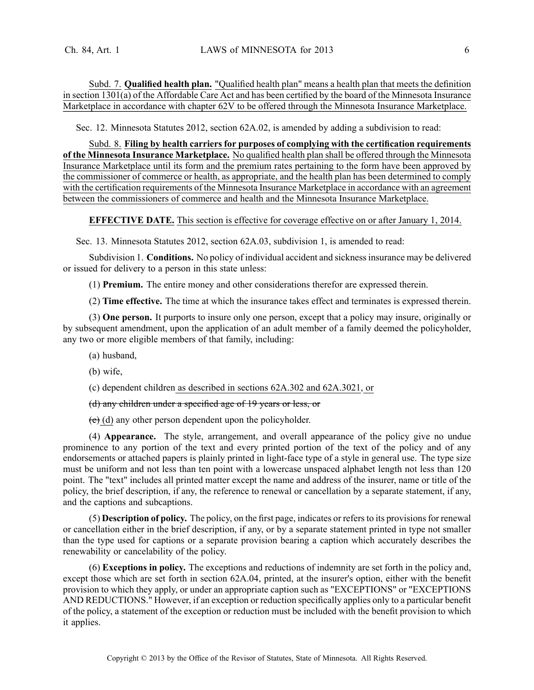## Subd. 7. **Qualified health plan.** "Qualified health plan" means <sup>a</sup> health plan that meets the definition in section 1301(a) of the Affordable Care Act and has been certified by the board of the Minnesota Insurance Marketplace in accordance with chapter 62V to be offered through the Minnesota Insurance Marketplace.

Sec. 12. Minnesota Statutes 2012, section 62A.02, is amended by adding <sup>a</sup> subdivision to read:

Subd. 8. **Filing by health carriers for purposes of complying with the certification requirements of the Minnesota Insurance Marketplace.** No qualified health plan shall be offered through the Minnesota Insurance Marketplace until its form and the premium rates pertaining to the form have been approved by the commissioner of commerce or health, as appropriate, and the health plan has been determined to comply with the certification requirements of the Minnesota Insurance Marketplace in accordance with an agreement between the commissioners of commerce and health and the Minnesota Insurance Marketplace.

### **EFFECTIVE DATE.** This section is effective for coverage effective on or after January 1, 2014.

Sec. 13. Minnesota Statutes 2012, section 62A.03, subdivision 1, is amended to read:

Subdivision 1. **Conditions.** No policy of individual accident and sicknessinsurance may be delivered or issued for delivery to <sup>a</sup> person in this state unless:

(1) **Premium.** The entire money and other considerations therefor are expressed therein.

(2) **Time effective.** The time at which the insurance takes effect and terminates is expressed therein.

(3) **One person.** It purports to insure only one person, excep<sup>t</sup> that <sup>a</sup> policy may insure, originally or by subsequent amendment, upon the application of an adult member of <sup>a</sup> family deemed the policyholder, any two or more eligible members of that family, including:

(a) husband,

(b) wife,

(c) dependent children as described in sections 62A.302 and 62A.3021, or

(d) any children under <sup>a</sup> specified age of 19 years or less, or

 $(e)$  (d) any other person dependent upon the policyholder.

(4) **Appearance.** The style, arrangement, and overall appearance of the policy give no undue prominence to any portion of the text and every printed portion of the text of the policy and of any endorsements or attached papers is plainly printed in light-face type of <sup>a</sup> style in general use. The type size must be uniform and not less than ten point with <sup>a</sup> lowercase unspaced alphabet length not less than 120 point. The "text" includes all printed matter excep<sup>t</sup> the name and address of the insurer, name or title of the policy, the brief description, if any, the reference to renewal or cancellation by <sup>a</sup> separate statement, if any, and the captions and subcaptions.

(5) **Description of policy.** The policy, on the first page, indicates or refersto its provisionsfor renewal or cancellation either in the brief description, if any, or by <sup>a</sup> separate statement printed in type not smaller than the type used for captions or <sup>a</sup> separate provision bearing <sup>a</sup> caption which accurately describes the renewability or cancelability of the policy.

(6) **Exceptions in policy.** The exceptions and reductions of indemnity are set forth in the policy and, excep<sup>t</sup> those which are set forth in section 62A.04, printed, at the insurer's option, either with the benefit provision to which they apply, or under an appropriate caption such as "EXCEPTIONS" or "EXCEPTIONS AND REDUCTIONS." However, if an exception or reduction specifically applies only to <sup>a</sup> particular benefit of the policy, <sup>a</sup> statement of the exception or reduction must be included with the benefit provision to which it applies.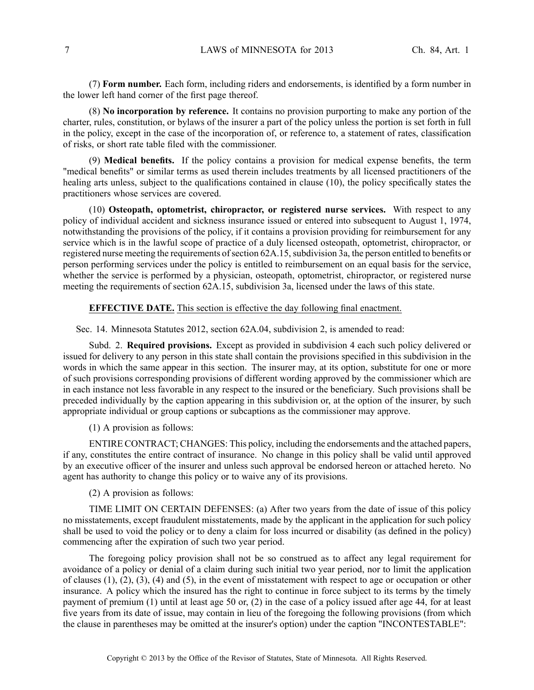(7) **Form number.** Each form, including riders and endorsements, is identified by <sup>a</sup> form number in the lower left hand corner of the first page thereof.

(8) **No incorporation by reference.** It contains no provision purporting to make any portion of the charter, rules, constitution, or bylaws of the insurer <sup>a</sup> par<sup>t</sup> of the policy unless the portion is set forth in full in the policy, excep<sup>t</sup> in the case of the incorporation of, or reference to, <sup>a</sup> statement of rates, classification of risks, or short rate table filed with the commissioner.

(9) **Medical benefits.** If the policy contains <sup>a</sup> provision for medical expense benefits, the term "medical benefits" or similar terms as used therein includes treatments by all licensed practitioners of the healing arts unless, subject to the qualifications contained in clause (10), the policy specifically states the practitioners whose services are covered.

(10) **Osteopath, optometrist, chiropractor, or registered nurse services.** With respec<sup>t</sup> to any policy of individual accident and sickness insurance issued or entered into subsequent to August 1, 1974, notwithstanding the provisions of the policy, if it contains <sup>a</sup> provision providing for reimbursement for any service which is in the lawful scope of practice of <sup>a</sup> duly licensed osteopath, optometrist, chiropractor, or registered nurse meeting the requirements of section 62A.15, subdivision 3a, the person entitled to benefits or person performing services under the policy is entitled to reimbursement on an equal basis for the service, whether the service is performed by a physician, osteopath, optometrist, chiropractor, or registered nurse meeting the requirements of section 62A.15, subdivision 3a, licensed under the laws of this state.

### **EFFECTIVE DATE.** This section is effective the day following final enactment.

Sec. 14. Minnesota Statutes 2012, section 62A.04, subdivision 2, is amended to read:

Subd. 2. **Required provisions.** Except as provided in subdivision 4 each such policy delivered or issued for delivery to any person in this state shall contain the provisions specified in this subdivision in the words in which the same appear in this section. The insurer may, at its option, substitute for one or more of such provisions corresponding provisions of different wording approved by the commissioner which are in each instance not less favorable in any respec<sup>t</sup> to the insured or the beneficiary. Such provisions shall be preceded individually by the caption appearing in this subdivision or, at the option of the insurer, by such appropriate individual or group captions or subcaptions as the commissioner may approve.

(1) A provision as follows:

ENTIRE CONTRACT; CHANGES: This policy, including the endorsements and the attached papers, if any, constitutes the entire contract of insurance. No change in this policy shall be valid until approved by an executive officer of the insurer and unless such approval be endorsed hereon or attached hereto. No agen<sup>t</sup> has authority to change this policy or to waive any of its provisions.

(2) A provision as follows:

TIME LIMIT ON CERTAIN DEFENSES: (a) After two years from the date of issue of this policy no misstatements, excep<sup>t</sup> fraudulent misstatements, made by the applicant in the application for such policy shall be used to void the policy or to deny <sup>a</sup> claim for loss incurred or disability (as defined in the policy) commencing after the expiration of such two year period.

The foregoing policy provision shall not be so construed as to affect any legal requirement for avoidance of <sup>a</sup> policy or denial of <sup>a</sup> claim during such initial two year period, nor to limit the application of clauses  $(1)$ ,  $(2)$ ,  $(3)$ ,  $(4)$  and  $(5)$ , in the event of misstatement with respect to age or occupation or other insurance. A policy which the insured has the right to continue in force subject to its terms by the timely paymen<sup>t</sup> of premium (1) until at least age 50 or, (2) in the case of <sup>a</sup> policy issued after age 44, for at least five years from its date of issue, may contain in lieu of the foregoing the following provisions (from which the clause in parentheses may be omitted at the insurer's option) under the caption "INCONTESTABLE":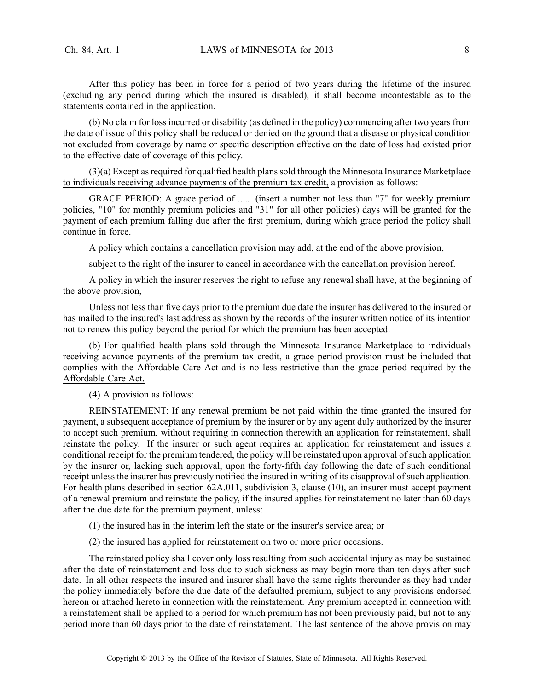After this policy has been in force for <sup>a</sup> period of two years during the lifetime of the insured (excluding any period during which the insured is disabled), it shall become incontestable as to the statements contained in the application.

(b) No claim for lossincurred or disability (as defined in the policy) commencing after two yearsfrom the date of issue of this policy shall be reduced or denied on the ground that <sup>a</sup> disease or physical condition not excluded from coverage by name or specific description effective on the date of loss had existed prior to the effective date of coverage of this policy.

 $(3)(a)$  Except as required for qualified health plans sold through the Minnesota Insurance Marketplace to individuals receiving advance payments of the premium tax credit, <sup>a</sup> provision as follows:

GRACE PERIOD: A grace period of ..... (insert a number not less than "7" for weekly premium policies, "10" for monthly premium policies and "31" for all other policies) days will be granted for the paymen<sup>t</sup> of each premium falling due after the first premium, during which grace period the policy shall continue in force.

A policy which contains <sup>a</sup> cancellation provision may add, at the end of the above provision,

subject to the right of the insurer to cancel in accordance with the cancellation provision hereof.

A policy in which the insurer reserves the right to refuse any renewal shall have, at the beginning of the above provision,

Unless not less than five days prior to the premium due date the insurer has delivered to the insured or has mailed to the insured's last address as shown by the records of the insurer written notice of its intention not to renew this policy beyond the period for which the premium has been accepted.

(b) For qualified health plans sold through the Minnesota Insurance Marketplace to individuals receiving advance payments of the premium tax credit, <sup>a</sup> grace period provision must be included that complies with the Affordable Care Act and is no less restrictive than the grace period required by the Affordable Care Act.

(4) A provision as follows:

REINSTATEMENT: If any renewal premium be not paid within the time granted the insured for payment, <sup>a</sup> subsequent acceptance of premium by the insurer or by any agen<sup>t</sup> duly authorized by the insurer to accep<sup>t</sup> such premium, without requiring in connection therewith an application for reinstatement, shall reinstate the policy. If the insurer or such agen<sup>t</sup> requires an application for reinstatement and issues <sup>a</sup> conditional receipt for the premium tendered, the policy will be reinstated upon approval of such application by the insurer or, lacking such approval, upon the forty-fifth day following the date of such conditional receipt unless the insurer has previously notified the insured in writing of its disapproval of such application. For health plans described in section 62A.011, subdivision 3, clause (10), an insurer must accep<sup>t</sup> paymen<sup>t</sup> of <sup>a</sup> renewal premium and reinstate the policy, if the insured applies for reinstatement no later than 60 days after the due date for the premium payment, unless:

(1) the insured has in the interim left the state or the insurer's service area; or

(2) the insured has applied for reinstatement on two or more prior occasions.

The reinstated policy shall cover only loss resulting from such accidental injury as may be sustained after the date of reinstatement and loss due to such sickness as may begin more than ten days after such date. In all other respects the insured and insurer shall have the same rights thereunder as they had under the policy immediately before the due date of the defaulted premium, subject to any provisions endorsed hereon or attached hereto in connection with the reinstatement. Any premium accepted in connection with <sup>a</sup> reinstatement shall be applied to <sup>a</sup> period for which premium has not been previously paid, but not to any period more than 60 days prior to the date of reinstatement. The last sentence of the above provision may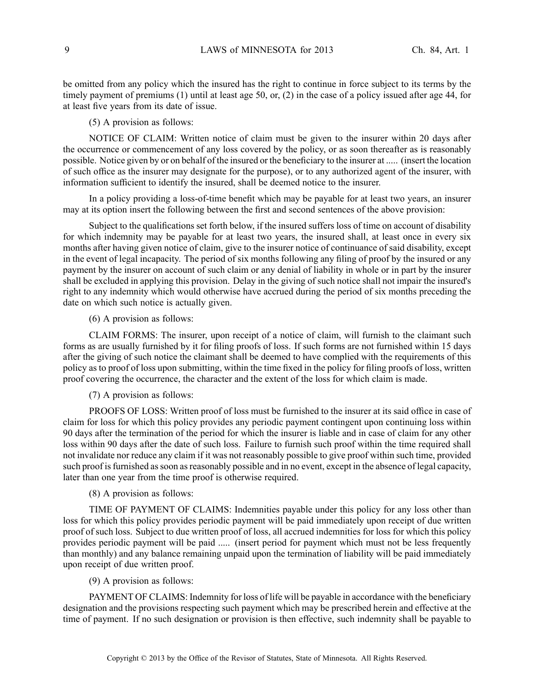be omitted from any policy which the insured has the right to continue in force subject to its terms by the timely paymen<sup>t</sup> of premiums (1) until at least age 50, or, (2) in the case of <sup>a</sup> policy issued after age 44, for at least five years from its date of issue.

(5) A provision as follows:

NOTICE OF CLAIM: Written notice of claim must be given to the insurer within 20 days after the occurrence or commencement of any loss covered by the policy, or as soon thereafter as is reasonably possible. Notice given by or on behalf of the insured or the beneficiary to the insurer at ..... (insert the location of such office as the insurer may designate for the purpose), or to any authorized agen<sup>t</sup> of the insurer, with information sufficient to identify the insured, shall be deemed notice to the insurer.

In <sup>a</sup> policy providing <sup>a</sup> loss-of-time benefit which may be payable for at least two years, an insurer may at its option insert the following between the first and second sentences of the above provision:

Subject to the qualifications set forth below, if the insured suffers loss of time on account of disability for which indemnity may be payable for at least two years, the insured shall, at least once in every six months after having given notice of claim, give to the insurer notice of continuance of said disability, excep<sup>t</sup> in the event of legal incapacity. The period of six months following any filing of proof by the insured or any paymen<sup>t</sup> by the insurer on account of such claim or any denial of liability in whole or in par<sup>t</sup> by the insurer shall be excluded in applying this provision. Delay in the giving of such notice shall not impair the insured's right to any indemnity which would otherwise have accrued during the period of six months preceding the date on which such notice is actually given.

#### (6) A provision as follows:

CLAIM FORMS: The insurer, upon receipt of <sup>a</sup> notice of claim, will furnish to the claimant such forms as are usually furnished by it for filing proofs of loss. If such forms are not furnished within 15 days after the giving of such notice the claimant shall be deemed to have complied with the requirements of this policy as to proof of loss upon submitting, within the time fixed in the policy for filing proofs of loss, written proof covering the occurrence, the character and the extent of the loss for which claim is made.

### (7) A provision as follows:

PROOFS OF LOSS: Written proof of loss must be furnished to the insurer at its said office in case of claim for loss for which this policy provides any periodic paymen<sup>t</sup> contingent upon continuing loss within 90 days after the termination of the period for which the insurer is liable and in case of claim for any other loss within 90 days after the date of such loss. Failure to furnish such proof within the time required shall not invalidate nor reduce any claim if it was not reasonably possible to give proof within such time, provided such proof is furnished as soon as reasonably possible and in no event, except in the absence of legal capacity, later than one year from the time proof is otherwise required.

## (8) A provision as follows:

TIME OF PAYMENT OF CLAIMS: Indemnities payable under this policy for any loss other than loss for which this policy provides periodic paymen<sup>t</sup> will be paid immediately upon receipt of due written proof of such loss. Subject to due written proof of loss, all accrued indemnities for loss for which this policy provides periodic paymen<sup>t</sup> will be paid ..... (insert period for paymen<sup>t</sup> which must not be less frequently than monthly) and any balance remaining unpaid upon the termination of liability will be paid immediately upon receipt of due written proof.

### (9) A provision as follows:

PAYMENT OF CLAIMS: Indemnity for loss of life will be payable in accordance with the beneficiary designation and the provisions respecting such paymen<sup>t</sup> which may be prescribed herein and effective at the time of payment. If no such designation or provision is then effective, such indemnity shall be payable to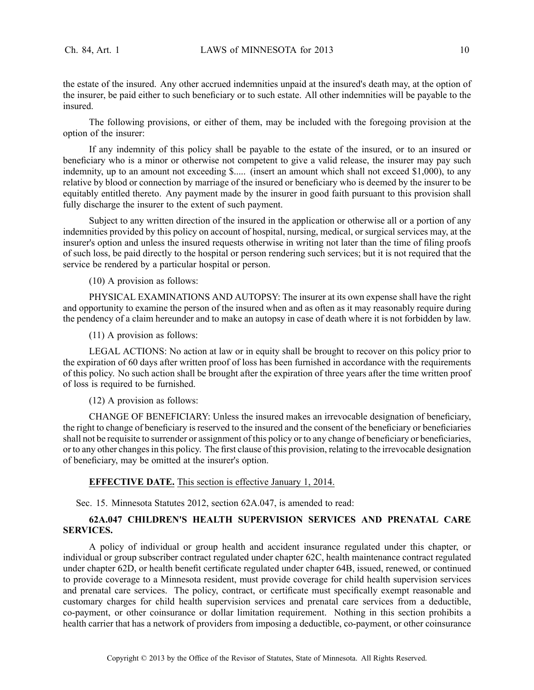the estate of the insured. Any other accrued indemnities unpaid at the insured's death may, at the option of the insurer, be paid either to such beneficiary or to such estate. All other indemnities will be payable to the insured.

The following provisions, or either of them, may be included with the foregoing provision at the option of the insurer:

If any indemnity of this policy shall be payable to the estate of the insured, or to an insured or beneficiary who is <sup>a</sup> minor or otherwise not competent to give <sup>a</sup> valid release, the insurer may pay such indemnity, up to an amount not exceeding \$..... (insert an amount which shall not exceed \$1,000), to any relative by blood or connection by marriage of the insured or beneficiary who is deemed by the insurer to be equitably entitled thereto. Any paymen<sup>t</sup> made by the insurer in good faith pursuan<sup>t</sup> to this provision shall fully discharge the insurer to the extent of such payment.

Subject to any written direction of the insured in the application or otherwise all or <sup>a</sup> portion of any indemnities provided by this policy on account of hospital, nursing, medical, or surgical services may, at the insurer's option and unless the insured requests otherwise in writing not later than the time of filing proofs of such loss, be paid directly to the hospital or person rendering such services; but it is not required that the service be rendered by <sup>a</sup> particular hospital or person.

(10) A provision as follows:

PHYSICAL EXAMINATIONS AND AUTOPSY: The insurer at its own expense shall have the right and opportunity to examine the person of the insured when and as often as it may reasonably require during the pendency of <sup>a</sup> claim hereunder and to make an autopsy in case of death where it is not forbidden by law.

(11) A provision as follows:

LEGAL ACTIONS: No action at law or in equity shall be brought to recover on this policy prior to the expiration of 60 days after written proof of loss has been furnished in accordance with the requirements of this policy. No such action shall be brought after the expiration of three years after the time written proof of loss is required to be furnished.

(12) A provision as follows:

CHANGE OF BENEFICIARY: Unless the insured makes an irrevocable designation of beneficiary, the right to change of beneficiary is reserved to the insured and the consent of the beneficiary or beneficiaries shall not be requisite to surrender or assignment of this policy or to any change of beneficiary or beneficiaries, or to any other changes in this policy. The first clause of this provision, relating to the irrevocable designation of beneficiary, may be omitted at the insurer's option.

#### **EFFECTIVE DATE.** This section is effective January 1, 2014.

Sec. 15. Minnesota Statutes 2012, section 62A.047, is amended to read:

## **62A.047 CHILDREN'S HEALTH SUPERVISION SERVICES AND PRENATAL CARE SERVICES.**

A policy of individual or group health and accident insurance regulated under this chapter, or individual or group subscriber contract regulated under chapter 62C, health maintenance contract regulated under chapter 62D, or health benefit certificate regulated under chapter 64B, issued, renewed, or continued to provide coverage to <sup>a</sup> Minnesota resident, must provide coverage for child health supervision services and prenatal care services. The policy, contract, or certificate must specifically exemp<sup>t</sup> reasonable and customary charges for child health supervision services and prenatal care services from <sup>a</sup> deductible, co-payment, or other coinsurance or dollar limitation requirement. Nothing in this section prohibits <sup>a</sup> health carrier that has <sup>a</sup> network of providers from imposing <sup>a</sup> deductible, co-payment, or other coinsurance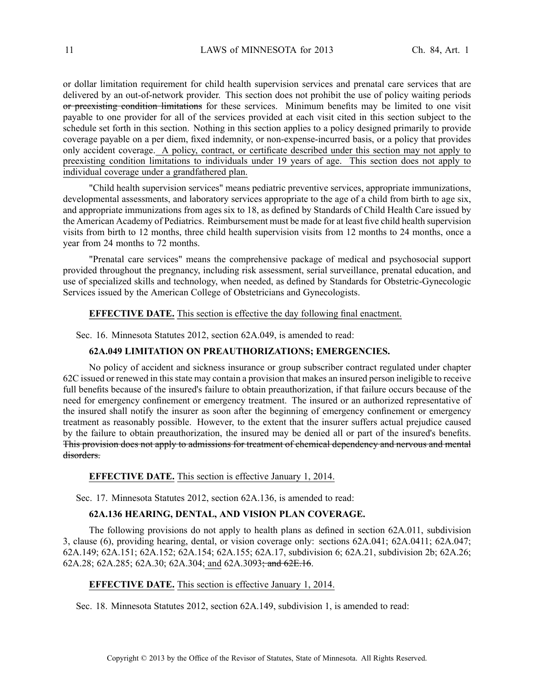or dollar limitation requirement for child health supervision services and prenatal care services that are delivered by an out-of-network provider. This section does not prohibit the use of policy waiting periods or preexisting condition limitations for these services. Minimum benefits may be limited to one visit payable to one provider for all of the services provided at each visit cited in this section subject to the schedule set forth in this section. Nothing in this section applies to <sup>a</sup> policy designed primarily to provide coverage payable on <sup>a</sup> per diem, fixed indemnity, or non-expense-incurred basis, or <sup>a</sup> policy that provides only accident coverage. A policy, contract, or certificate described under this section may not apply to preexisting condition limitations to individuals under 19 years of age. This section does not apply to individual coverage under <sup>a</sup> grandfathered plan.

"Child health supervision services" means pediatric preventive services, appropriate immunizations, developmental assessments, and laboratory services appropriate to the age of <sup>a</sup> child from birth to age six, and appropriate immunizations from ages six to 18, as defined by Standards of Child Health Care issued by the American Academy of Pediatrics. Reimbursement must be made for at least five child health supervision visits from birth to 12 months, three child health supervision visits from 12 months to 24 months, once <sup>a</sup> year from 24 months to 72 months.

"Prenatal care services" means the comprehensive package of medical and psychosocial suppor<sup>t</sup> provided throughout the pregnancy, including risk assessment, serial surveillance, prenatal education, and use of specialized skills and technology, when needed, as defined by Standards for Obstetric-Gynecologic Services issued by the American College of Obstetricians and Gynecologists.

#### **EFFECTIVE DATE.** This section is effective the day following final enactment.

Sec. 16. Minnesota Statutes 2012, section 62A.049, is amended to read:

### **62A.049 LIMITATION ON PREAUTHORIZATIONS; EMERGENCIES.**

No policy of accident and sickness insurance or group subscriber contract regulated under chapter 62C issued or renewed in thisstate may contain <sup>a</sup> provision that makes an insured person ineligible to receive full benefits because of the insured's failure to obtain preauthorization, if that failure occurs because of the need for emergency confinement or emergency treatment. The insured or an authorized representative of the insured shall notify the insurer as soon after the beginning of emergency confinement or emergency treatment as reasonably possible. However, to the extent that the insurer suffers actual prejudice caused by the failure to obtain preauthorization, the insured may be denied all or par<sup>t</sup> of the insured's benefits. This provision does not apply to admissions for treatment of chemical dependency and nervous and mental disorders.

### **EFFECTIVE DATE.** This section is effective January 1, 2014.

Sec. 17. Minnesota Statutes 2012, section 62A.136, is amended to read:

### **62A.136 HEARING, DENTAL, AND VISION PLAN COVERAGE.**

The following provisions do not apply to health plans as defined in section 62A.011, subdivision 3, clause (6), providing hearing, dental, or vision coverage only: sections 62A.041; 62A.0411; 62A.047; 62A.149; 62A.151; 62A.152; 62A.154; 62A.155; 62A.17, subdivision 6; 62A.21, subdivision 2b; 62A.26; 62A.28; 62A.285; 62A.30; 62A.304; and 62A.3093; and 62E.16.

### **EFFECTIVE DATE.** This section is effective January 1, 2014.

Sec. 18. Minnesota Statutes 2012, section 62A.149, subdivision 1, is amended to read: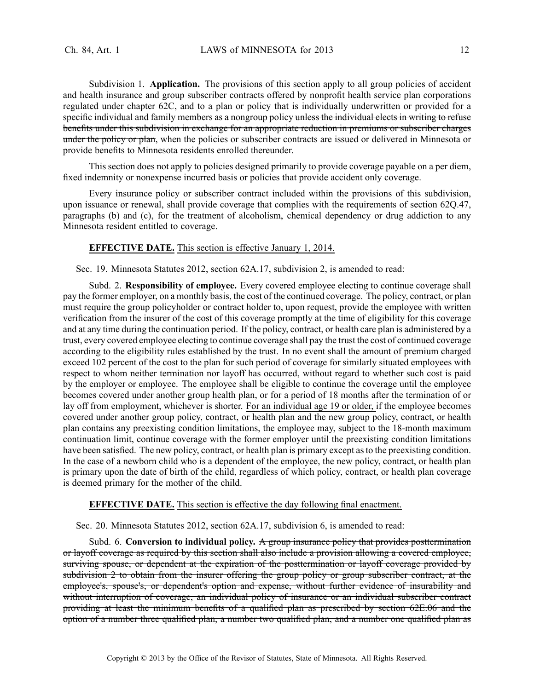Subdivision 1. **Application.** The provisions of this section apply to all group policies of accident and health insurance and group subscriber contracts offered by nonprofit health service plan corporations regulated under chapter 62C, and to <sup>a</sup> plan or policy that is individually underwritten or provided for <sup>a</sup> specific individual and family members as a nongroup policy unless the individual elects in writing to refuse benefits under this subdivision in exchange for an appropriate reduction in premiums or subscriber charges under the policy or plan, when the policies or subscriber contracts are issued or delivered in Minnesota or provide benefits to Minnesota residents enrolled thereunder.

This section does not apply to policies designed primarily to provide coverage payable on <sup>a</sup> per diem, fixed indemnity or nonexpense incurred basis or policies that provide accident only coverage.

Every insurance policy or subscriber contract included within the provisions of this subdivision, upon issuance or renewal, shall provide coverage that complies with the requirements of section 62Q.47, paragraphs (b) and (c), for the treatment of alcoholism, chemical dependency or drug addiction to any Minnesota resident entitled to coverage.

#### **EFFECTIVE DATE.** This section is effective January 1, 2014.

Sec. 19. Minnesota Statutes 2012, section 62A.17, subdivision 2, is amended to read:

Subd. 2. **Responsibility of employee.** Every covered employee electing to continue coverage shall pay the former employer, on <sup>a</sup> monthly basis, the cost of the continued coverage. The policy, contract, or plan must require the group policyholder or contract holder to, upon request, provide the employee with written verification from the insurer of the cost of this coverage promptly at the time of eligibility for this coverage and at any time during the continuation period. If the policy, contract, or health care plan is administered by <sup>a</sup> trust, every covered employee electing to continue coverage shall pay the trust the cost of continued coverage according to the eligibility rules established by the trust. In no event shall the amount of premium charged exceed 102 percen<sup>t</sup> of the cost to the plan for such period of coverage for similarly situated employees with respec<sup>t</sup> to whom neither termination nor layoff has occurred, without regard to whether such cost is paid by the employer or employee. The employee shall be eligible to continue the coverage until the employee becomes covered under another group health plan, or for <sup>a</sup> period of 18 months after the termination of or lay off from employment, whichever is shorter. For an individual age 19 or older, if the employee becomes covered under another group policy, contract, or health plan and the new group policy, contract, or health plan contains any preexisting condition limitations, the employee may, subject to the 18-month maximum continuation limit, continue coverage with the former employer until the preexisting condition limitations have been satisfied. The new policy, contract, or health plan is primary except as to the preexisting condition. In the case of <sup>a</sup> newborn child who is <sup>a</sup> dependent of the employee, the new policy, contract, or health plan is primary upon the date of birth of the child, regardless of which policy, contract, or health plan coverage is deemed primary for the mother of the child.

#### **EFFECTIVE DATE.** This section is effective the day following final enactment.

Sec. 20. Minnesota Statutes 2012, section 62A.17, subdivision 6, is amended to read:

Subd. 6. **Conversion to individual policy.** A group insurance policy that provides posttermination or layoff coverage as required by this section shall also include <sup>a</sup> provision allowing <sup>a</sup> covered employee, surviving spouse, or dependent at the expiration of the posttermination or layoff coverage provided by subdivision 2 to obtain from the insurer offering the group policy or group subscriber contract, at the employee's, spouse's, or dependent's option and expense, without further evidence of insurability and without interruption of coverage, an individual policy of insurance or an individual subscriber contract providing at least the minimum benefits of <sup>a</sup> qualified plan as prescribed by section 62E.06 and the option of <sup>a</sup> number three qualified plan, <sup>a</sup> number two qualified plan, and <sup>a</sup> number one qualified plan as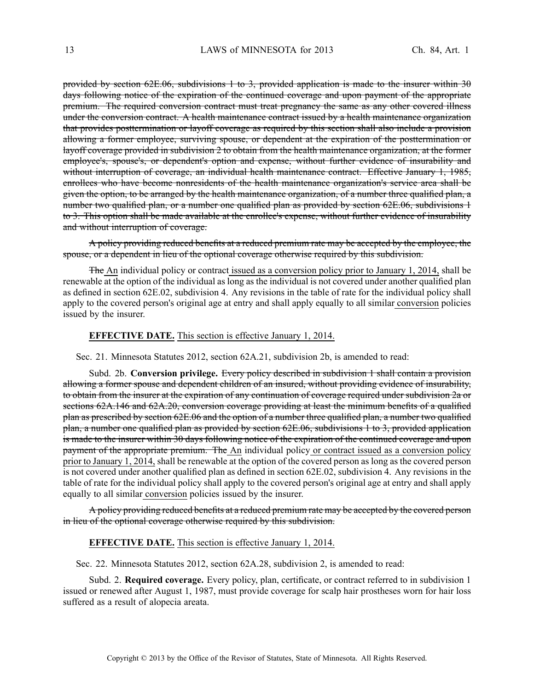provided by section 62E.06, subdivisions 1 to 3, provided application is made to the insurer within 30 days following notice of the expiration of the continued coverage and upon paymen<sup>t</sup> of the appropriate premium. The required conversion contract must treat pregnancy the same as any other covered illness under the conversion contract. A health maintenance contract issued by a health maintenance organization that provides posttermination or layoff coverage as required by this section shall also include <sup>a</sup> provision allowing <sup>a</sup> former employee, surviving spouse, or dependent at the expiration of the posttermination or layoff coverage provided in subdivision 2 to obtain from the health maintenance organization, at the former employee's, spouse's, or dependent's option and expense, without further evidence of insurability and without interruption of coverage, an individual health maintenance contract. Effective January 1, 1985, enrollees who have become nonresidents of the health maintenance organization's service area shall be given the option, to be arranged by the health maintenance organization, of <sup>a</sup> number three qualified plan, <sup>a</sup> number two qualified plan, or a number one qualified plan as provided by section 62E.06, subdivisions 1 to 3. This option shall be made available at the enrollee's expense, without further evidence of insurability and without interruption of coverage.

A policy providing reduced benefits at <sup>a</sup> reduced premium rate may be accepted by the employee, the spouse, or <sup>a</sup> dependent in lieu of the optional coverage otherwise required by this subdivision.

The An individual policy or contract issued as a conversion policy prior to January 1, 2014, shall be renewable at the option of the individual as long as the individual is not covered under another qualified plan as defined in section 62E.02, subdivision 4. Any revisions in the table of rate for the individual policy shall apply to the covered person's original age at entry and shall apply equally to all similar conversion policies issued by the insurer.

#### **EFFECTIVE DATE.** This section is effective January 1, 2014.

Sec. 21. Minnesota Statutes 2012, section 62A.21, subdivision 2b, is amended to read:

Subd. 2b. **Conversion privilege.** Every policy described in subdivision 1 shall contain <sup>a</sup> provision allowing <sup>a</sup> former spouse and dependent children of an insured, without providing evidence of insurability, to obtain from the insurer at the expiration of any continuation of coverage required under subdivision 2a or sections 62A.146 and 62A.20, conversion coverage providing at least the minimum benefits of a qualified plan as prescribed by section 62E.06 and the option of <sup>a</sup> number three qualified plan, <sup>a</sup> number two qualified plan, <sup>a</sup> number one qualified plan as provided by section 62E.06, subdivisions 1 to 3, provided application is made to the insurer within 30 days following notice of the expiration of the continued coverage and upon payment of the appropriate premium. The An individual policy or contract issued as a conversion policy prior to January 1, 2014, shall be renewable at the option of the covered person as long as the covered person is not covered under another qualified plan as defined in section 62E.02, subdivision 4. Any revisions in the table of rate for the individual policy shall apply to the covered person's original age at entry and shall apply equally to all similar conversion policies issued by the insurer.

A policy providing reduced benefits at a reduced premium rate may be accepted by the covered person in lieu of the optional coverage otherwise required by this subdivision.

#### **EFFECTIVE DATE.** This section is effective January 1, 2014.

Sec. 22. Minnesota Statutes 2012, section 62A.28, subdivision 2, is amended to read:

Subd. 2. **Required coverage.** Every policy, plan, certificate, or contract referred to in subdivision 1 issued or renewed after August 1, 1987, must provide coverage for scalp hair prostheses worn for hair loss suffered as <sup>a</sup> result of alopecia areata.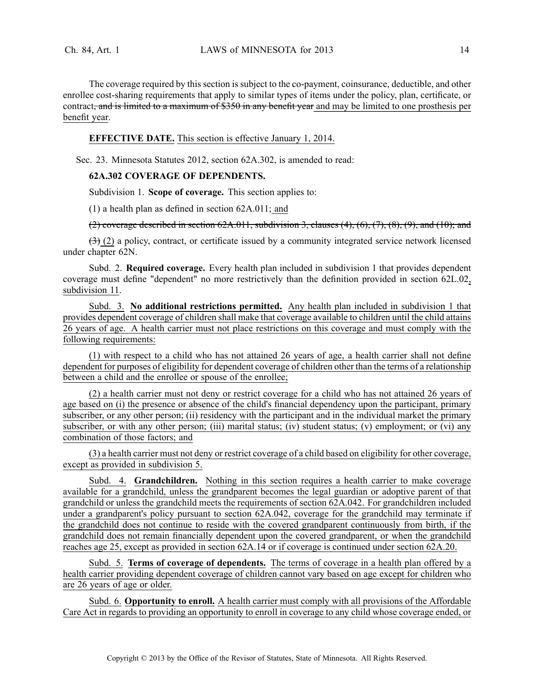The coverage required by this section is subject to the co-payment, coinsurance, deductible, and other enrollee cost-sharing requirements that apply to similar types of items under the policy, plan, certificate, or contract, and is limited to a maximum of \$350 in any benefit year and may be limited to one prosthesis per benefit year.

### **EFFECTIVE DATE.** This section is effective January 1, 2014.

Sec. 23. Minnesota Statutes 2012, section 62A.302, is amended to read:

#### **62A.302 COVERAGE OF DEPENDENTS.**

Subdivision 1. **Scope of coverage.** This section applies to:

(1) <sup>a</sup> health plan as defined in section 62A.011; and

### (2) coverage described in section  $62A.011$ , subdivision 3, clauses  $(4)$ ,  $(6)$ ,  $(7)$ ,  $(8)$ ,  $(9)$ , and  $(10)$ ; and

(3) (2) <sup>a</sup> policy, contract, or certificate issued by <sup>a</sup> community integrated service network licensed under chapter 62N.

Subd. 2. **Required coverage.** Every health plan included in subdivision 1 that provides dependent coverage must define "dependent" no more restrictively than the definition provided in section 62L.02, subdivision 11.

Subd. 3. **No additional restrictions permitted.** Any health plan included in subdivision 1 that provides dependent coverage of children shall make that coverage available to children until the child attains 26 years of age. A health carrier must not place restrictions on this coverage and must comply with the following requirements:

(1) with respec<sup>t</sup> to <sup>a</sup> child who has not attained 26 years of age, <sup>a</sup> health carrier shall not define dependent for purposes of eligibility for dependent coverage of children other than the terms of <sup>a</sup> relationship between a child and the enrollee or spouse of the enrollee;

(2) <sup>a</sup> health carrier must not deny or restrict coverage for <sup>a</sup> child who has not attained 26 years of age based on (i) the presence or absence of the child's financial dependency upon the participant, primary subscriber, or any other person; (ii) residency with the participant and in the individual market the primary subscriber, or with any other person; (iii) marital status; (iv) student status; (v) employment; or (vi) any combination of those factors; and

(3) <sup>a</sup> health carrier must not deny or restrict coverage of <sup>a</sup> child based on eligibility for other coverage, excep<sup>t</sup> as provided in subdivision 5.

Subd. 4. **Grandchildren.** Nothing in this section requires <sup>a</sup> health carrier to make coverage available for <sup>a</sup> grandchild, unless the grandparent becomes the legal guardian or adoptive paren<sup>t</sup> of that grandchild or unless the grandchild meets the requirements of section 62A.042. For grandchildren included under <sup>a</sup> grandparent's policy pursuan<sup>t</sup> to section 62A.042, coverage for the grandchild may terminate if the grandchild does not continue to reside with the covered grandparent continuously from birth, if the grandchild does not remain financially dependent upon the covered grandparent, or when the grandchild reaches age 25, excep<sup>t</sup> as provided in section 62A.14 or if coverage is continued under section 62A.20.

Subd. 5. **Terms of coverage of dependents.** The terms of coverage in <sup>a</sup> health plan offered by <sup>a</sup> health carrier providing dependent coverage of children cannot vary based on age excep<sup>t</sup> for children who are 26 years of age or older.

Subd. 6. **Opportunity to enroll.** A health carrier must comply with all provisions of the Affordable Care Act in regards to providing an opportunity to enroll in coverage to any child whose coverage ended, or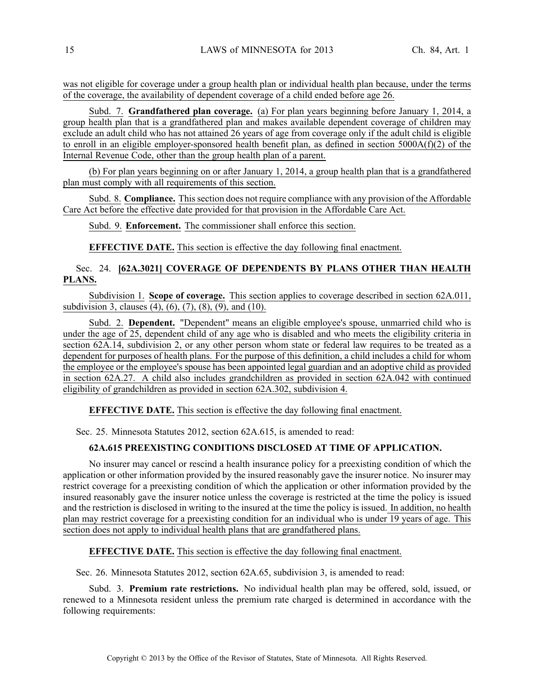was not eligible for coverage under <sup>a</sup> group health plan or individual health plan because, under the terms of the coverage, the availability of dependent coverage of <sup>a</sup> child ended before age 26.

Subd. 7. **Grandfathered plan coverage.** (a) For plan years beginning before January 1, 2014, <sup>a</sup> group health plan that is <sup>a</sup> grandfathered plan and makes available dependent coverage of children may exclude an adult child who has not attained 26 years of age from coverage only if the adult child is eligible to enroll in an eligible employer-sponsored health benefit plan, as defined in section 5000A(f)(2) of the Internal Revenue Code, other than the group health plan of <sup>a</sup> parent.

(b) For plan years beginning on or after January 1, 2014, <sup>a</sup> group health plan that is <sup>a</sup> grandfathered plan must comply with all requirements of this section.

Subd. 8. **Compliance.** Thissection does not require compliance with any provision of the Affordable Care Act before the effective date provided for that provision in the Affordable Care Act.

Subd. 9. **Enforcement.** The commissioner shall enforce this section.

**EFFECTIVE DATE.** This section is effective the day following final enactment.

## Sec. 24. **[62A.3021] COVERAGE OF DEPENDENTS BY PLANS OTHER THAN HEALTH PLANS.**

Subdivision 1. **Scope of coverage.** This section applies to coverage described in section 62A.011, subdivision 3, clauses  $(4)$ ,  $(6)$ ,  $(7)$ ,  $(8)$ ,  $(9)$ , and  $(10)$ .

Subd. 2. **Dependent.** "Dependent" means an eligible employee's spouse, unmarried child who is under the age of 25, dependent child of any age who is disabled and who meets the eligibility criteria in section 62A.14, subdivision 2, or any other person whom state or federal law requires to be treated as a dependent for purposes of health plans. For the purpose of this definition, <sup>a</sup> child includes <sup>a</sup> child for whom the employee or the employee's spouse has been appointed legal guardian and an adoptive child as provided in section 62A.27. A child also includes grandchildren as provided in section 62A.042 with continued eligibility of grandchildren as provided in section 62A.302, subdivision 4.

**EFFECTIVE DATE.** This section is effective the day following final enactment.

Sec. 25. Minnesota Statutes 2012, section 62A.615, is amended to read:

### **62A.615 PREEXISTING CONDITIONS DISCLOSED AT TIME OF APPLICATION.**

No insurer may cancel or rescind <sup>a</sup> health insurance policy for <sup>a</sup> preexisting condition of which the application or other information provided by the insured reasonably gave the insurer notice. No insurer may restrict coverage for <sup>a</sup> preexisting condition of which the application or other information provided by the insured reasonably gave the insurer notice unless the coverage is restricted at the time the policy is issued and the restriction is disclosed in writing to the insured at the time the policy is issued. In addition, no health plan may restrict coverage for <sup>a</sup> preexisting condition for an individual who is under 19 years of age. This section does not apply to individual health plans that are grandfathered plans.

**EFFECTIVE DATE.** This section is effective the day following final enactment.

Sec. 26. Minnesota Statutes 2012, section 62A.65, subdivision 3, is amended to read:

Subd. 3. **Premium rate restrictions.** No individual health plan may be offered, sold, issued, or renewed to <sup>a</sup> Minnesota resident unless the premium rate charged is determined in accordance with the following requirements: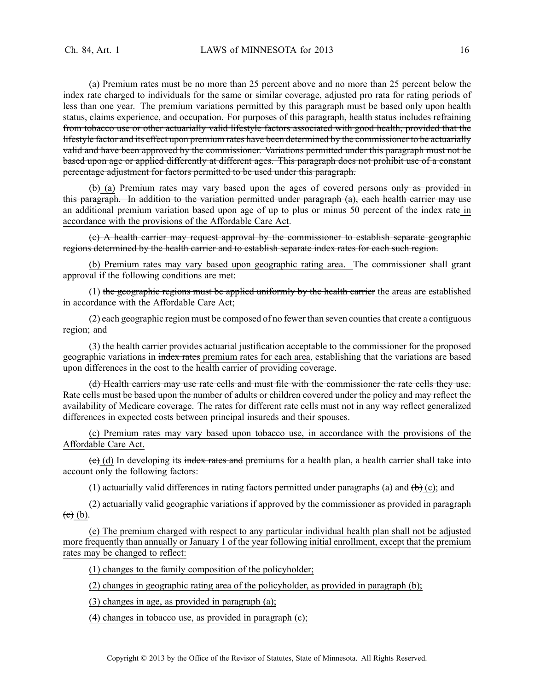(a) Premium rates must be no more than 25 percen<sup>t</sup> above and no more than 25 percen<sup>t</sup> below the index rate charged to individuals for the same or similar coverage, adjusted pro rata for rating periods of less than one year. The premium variations permitted by this paragraph must be based only upon health status, claims experience, and occupation. For purposes of this paragraph, health status includes refraining from tobacco use or other actuarially valid lifestyle factors associated with good health, provided that the lifestyle factor and its effect upon premium rates have been determined by the commissioner to be actuarially valid and have been approved by the commissioner. Variations permitted under this paragraph must not be based upon age or applied differently at different ages. This paragraph does not prohibit use of <sup>a</sup> constant percentage adjustment for factors permitted to be used under this paragraph.

(b) (a) Premium rates may vary based upon the ages of covered persons only as provided in this paragraph. In addition to the variation permitted under paragraph  $(a)$ , each health carrier may use an additional premium variation based upon age of up to plus or minus 50 percen<sup>t</sup> of the index rate in accordance with the provisions of the Affordable Care Act.

(c) A health carrier may reques<sup>t</sup> approval by the commissioner to establish separate geographic regions determined by the health carrier and to establish separate index rates for each such region.

(b) Premium rates may vary based upon geographic rating area. The commissioner shall gran<sup>t</sup> approval if the following conditions are met:

 $(1)$  the geographic regions must be applied uniformly by the health carrier the areas are established in accordance with the Affordable Care Act;

(2) each geographic region must be composed of no fewer than seven countiesthat create <sup>a</sup> contiguous region; and

(3) the health carrier provides actuarial justification acceptable to the commissioner for the proposed geographic variations in index rates premium rates for each area, establishing that the variations are based upon differences in the cost to the health carrier of providing coverage.

(d) Health carriers may use rate cells and must file with the commissioner the rate cells they use. Rate cells must be based upon the number of adults or children covered under the policy and may reflect the availability of Medicare coverage. The rates for different rate cells must not in any way reflect generalized differences in expected costs between principal insureds and their spouses.

(c) Premium rates may vary based upon tobacco use, in accordance with the provisions of the Affordable Care Act.

 $(e)$  (d) In developing its index rates and premiums for a health plan, a health carrier shall take into account only the following factors:

(1) actuarially valid differences in rating factors permitted under paragraphs (a) and  $\left(\frac{1}{b}\right)$  (c); and

(2) actuarially valid geographic variations if approved by the commissioner as provided in paragraph  $\leftrightarrow$  (b).

(e) The premium charged with respec<sup>t</sup> to any particular individual health plan shall not be adjusted more frequently than annually or January 1 of the year following initial enrollment, excep<sup>t</sup> that the premium rates may be changed to reflect:

(1) changes to the family composition of the policyholder;

(2) changes in geographic rating area of the policyholder, as provided in paragraph (b);

(3) changes in age, as provided in paragraph (a);

(4) changes in tobacco use, as provided in paragraph (c);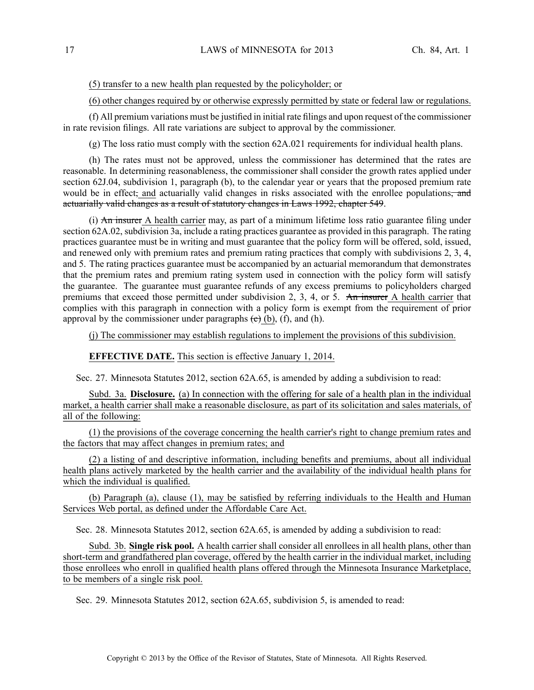#### (5) transfer to <sup>a</sup> new health plan requested by the policyholder; or

(6) other changes required by or otherwise expressly permitted by state or federal law or regulations.

(f) All premium variations must be justified in initial rate filings and upon reques<sup>t</sup> of the commissioner in rate revision filings. All rate variations are subject to approval by the commissioner.

(g) The loss ratio must comply with the section 62A.021 requirements for individual health plans.

(h) The rates must not be approved, unless the commissioner has determined that the rates are reasonable. In determining reasonableness, the commissioner shall consider the growth rates applied under section 62J.04, subdivision 1, paragraph (b), to the calendar year or years that the proposed premium rate would be in effect, and actuarially valid changes in risks associated with the enrollee populations, and actuarially valid changes as <sup>a</sup> result of statutory changes in Laws 1992, chapter 549.

(i) An insurer A health carrier may, as part of a minimum lifetime loss ratio guarantee filing under section 62A.02, subdivision 3a, include <sup>a</sup> rating practices guarantee as provided in this paragraph. The rating practices guarantee must be in writing and must guarantee that the policy form will be offered, sold, issued, and renewed only with premium rates and premium rating practices that comply with subdivisions 2, 3, 4, and 5. The rating practices guarantee must be accompanied by an actuarial memorandum that demonstrates that the premium rates and premium rating system used in connection with the policy form will satisfy the guarantee. The guarantee must guarantee refunds of any excess premiums to policyholders charged premiums that exceed those permitted under subdivision 2, 3, 4, or 5. An insurer A health carrier that complies with this paragraph in connection with <sup>a</sup> policy form is exemp<sup>t</sup> from the requirement of prior approval by the commissioner under paragraphs  $(\epsilon)$  (b), (f), and (h).

(j) The commissioner may establish regulations to implement the provisions of this subdivision.

**EFFECTIVE DATE.** This section is effective January 1, 2014.

Sec. 27. Minnesota Statutes 2012, section 62A.65, is amended by adding <sup>a</sup> subdivision to read:

Subd. 3a. **Disclosure.** (a) In connection with the offering for sale of <sup>a</sup> health plan in the individual market, <sup>a</sup> health carrier shall make <sup>a</sup> reasonable disclosure, as par<sup>t</sup> of its solicitation and sales materials, of all of the following:

(1) the provisions of the coverage concerning the health carrier's right to change premium rates and the factors that may affect changes in premium rates; and

(2) <sup>a</sup> listing of and descriptive information, including benefits and premiums, about all individual health plans actively marketed by the health carrier and the availability of the individual health plans for which the individual is qualified.

(b) Paragraph (a), clause (1), may be satisfied by referring individuals to the Health and Human Services Web portal, as defined under the Affordable Care Act.

Sec. 28. Minnesota Statutes 2012, section 62A.65, is amended by adding <sup>a</sup> subdivision to read:

Subd. 3b. **Single risk pool.** A health carrier shall consider all enrollees in all health plans, other than short-term and grandfathered plan coverage, offered by the health carrier in the individual market, including those enrollees who enroll in qualified health plans offered through the Minnesota Insurance Marketplace, to be members of <sup>a</sup> single risk pool.

Sec. 29. Minnesota Statutes 2012, section 62A.65, subdivision 5, is amended to read: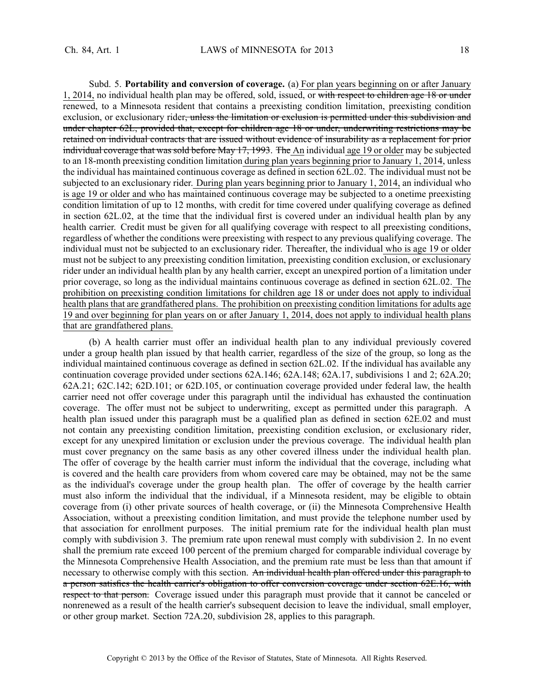Subd. 5. **Portability and conversion of coverage.** (a) For plan years beginning on or after January 1, 2014, no individual health plan may be offered, sold, issued, or with respec<sup>t</sup> to children age 18 or under renewed, to <sup>a</sup> Minnesota resident that contains <sup>a</sup> preexisting condition limitation, preexisting condition exclusion, or exclusionary rider<del>, unless the limitation or exclusion is permitted under this subdivision and</del> under chapter 62L, provided that, excep<sup>t</sup> for children age 18 or under, underwriting restrictions may be retained on individual contracts that are issued without evidence of insurability as <sup>a</sup> replacement for prior individual coverage that was sold before May 17, 1993. The An individual age 19 or older may be subjected to an 18-month preexisting condition limitation during plan years beginning prior to January 1, 2014, unless the individual has maintained continuous coverage as defined in section 62L.02. The individual must not be subjected to an exclusionary rider. During plan years beginning prior to January 1, 2014, an individual who is age 19 or older and who has maintained continuous coverage may be subjected to <sup>a</sup> onetime preexisting condition limitation of up to 12 months, with credit for time covered under qualifying coverage as defined in section 62L.02, at the time that the individual first is covered under an individual health plan by any health carrier. Credit must be given for all qualifying coverage with respec<sup>t</sup> to all preexisting conditions, regardless of whether the conditions were preexisting with respec<sup>t</sup> to any previous qualifying coverage. The individual must not be subjected to an exclusionary rider. Thereafter, the individual who is age 19 or older must not be subject to any preexisting condition limitation, preexisting condition exclusion, or exclusionary rider under an individual health plan by any health carrier, excep<sup>t</sup> an unexpired portion of <sup>a</sup> limitation under prior coverage, so long as the individual maintains continuous coverage as defined in section 62L.02. The prohibition on preexisting condition limitations for children age 18 or under does not apply to individual health plans that are grandfathered plans. The prohibition on preexisting condition limitations for adults age 19 and over beginning for plan years on or after January 1, 2014, does not apply to individual health plans that are grandfathered plans.

(b) A health carrier must offer an individual health plan to any individual previously covered under <sup>a</sup> group health plan issued by that health carrier, regardless of the size of the group, so long as the individual maintained continuous coverage as defined in section 62L.02. If the individual has available any continuation coverage provided under sections 62A.146; 62A.148; 62A.17, subdivisions 1 and 2; 62A.20; 62A.21; 62C.142; 62D.101; or 62D.105, or continuation coverage provided under federal law, the health carrier need not offer coverage under this paragraph until the individual has exhausted the continuation coverage. The offer must not be subject to underwriting, excep<sup>t</sup> as permitted under this paragraph. A health plan issued under this paragraph must be <sup>a</sup> qualified plan as defined in section 62E.02 and must not contain any preexisting condition limitation, preexisting condition exclusion, or exclusionary rider, excep<sup>t</sup> for any unexpired limitation or exclusion under the previous coverage. The individual health plan must cover pregnancy on the same basis as any other covered illness under the individual health plan. The offer of coverage by the health carrier must inform the individual that the coverage, including what is covered and the health care providers from whom covered care may be obtained, may not be the same as the individual's coverage under the group health plan. The offer of coverage by the health carrier must also inform the individual that the individual, if <sup>a</sup> Minnesota resident, may be eligible to obtain coverage from (i) other private sources of health coverage, or (ii) the Minnesota Comprehensive Health Association, without <sup>a</sup> preexisting condition limitation, and must provide the telephone number used by that association for enrollment purposes. The initial premium rate for the individual health plan must comply with subdivision 3. The premium rate upon renewal must comply with subdivision 2. In no event shall the premium rate exceed 100 percen<sup>t</sup> of the premium charged for comparable individual coverage by the Minnesota Comprehensive Health Association, and the premium rate must be less than that amount if necessary to otherwise comply with this section. An individual health plan offered under this paragraph to <sup>a</sup> person satisfies the health carrier's obligation to offer conversion coverage under section 62E.16, with respec<sup>t</sup> to that person. Coverage issued under this paragraph must provide that it cannot be canceled or nonrenewed as <sup>a</sup> result of the health carrier's subsequent decision to leave the individual, small employer, or other group market. Section 72A.20, subdivision 28, applies to this paragraph.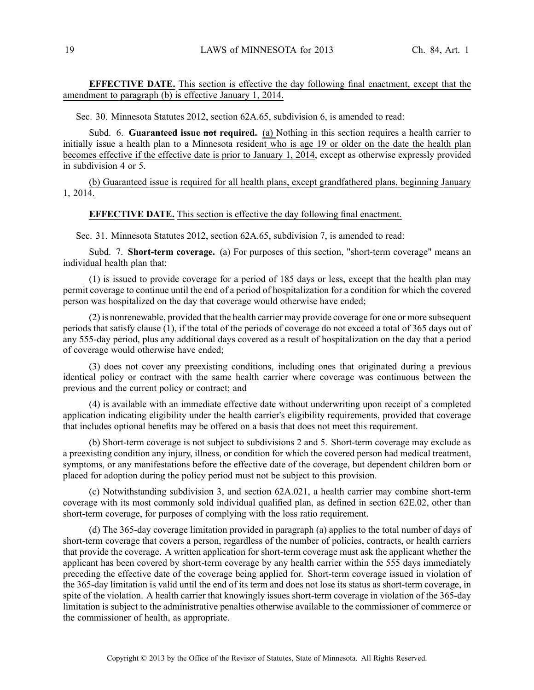**EFFECTIVE DATE.** This section is effective the day following final enactment, excep<sup>t</sup> that the amendment to paragraph (b) is effective January 1, 2014.

Sec. 30. Minnesota Statutes 2012, section 62A.65, subdivision 6, is amended to read:

Subd. 6. **Guaranteed issue not required.** (a) Nothing in this section requires <sup>a</sup> health carrier to initially issue a health plan to a Minnesota resident who is age 19 or older on the date the health plan becomes effective if the effective date is prior to January 1, 2014, excep<sup>t</sup> as otherwise expressly provided in subdivision 4 or 5.

(b) Guaranteed issue is required for all health plans, excep<sup>t</sup> grandfathered plans, beginning January 1, 2014.

#### **EFFECTIVE DATE.** This section is effective the day following final enactment.

Sec. 31. Minnesota Statutes 2012, section 62A.65, subdivision 7, is amended to read:

Subd. 7. **Short-term coverage.** (a) For purposes of this section, "short-term coverage" means an individual health plan that:

(1) is issued to provide coverage for <sup>a</sup> period of 185 days or less, excep<sup>t</sup> that the health plan may permit coverage to continue until the end of <sup>a</sup> period of hospitalization for <sup>a</sup> condition for which the covered person was hospitalized on the day that coverage would otherwise have ended;

(2) is nonrenewable, provided that the health carrier may provide coverage for one or more subsequent periods that satisfy clause (1), if the total of the periods of coverage do not exceed <sup>a</sup> total of 365 days out of any 555-day period, plus any additional days covered as <sup>a</sup> result of hospitalization on the day that <sup>a</sup> period of coverage would otherwise have ended;

(3) does not cover any preexisting conditions, including ones that originated during <sup>a</sup> previous identical policy or contract with the same health carrier where coverage was continuous between the previous and the current policy or contract; and

(4) is available with an immediate effective date without underwriting upon receipt of <sup>a</sup> completed application indicating eligibility under the health carrier's eligibility requirements, provided that coverage that includes optional benefits may be offered on <sup>a</sup> basis that does not meet this requirement.

(b) Short-term coverage is not subject to subdivisions 2 and 5. Short-term coverage may exclude as <sup>a</sup> preexisting condition any injury, illness, or condition for which the covered person had medical treatment, symptoms, or any manifestations before the effective date of the coverage, but dependent children born or placed for adoption during the policy period must not be subject to this provision.

(c) Notwithstanding subdivision 3, and section 62A.021, <sup>a</sup> health carrier may combine short-term coverage with its most commonly sold individual qualified plan, as defined in section 62E.02, other than short-term coverage, for purposes of complying with the loss ratio requirement.

(d) The 365-day coverage limitation provided in paragraph (a) applies to the total number of days of short-term coverage that covers <sup>a</sup> person, regardless of the number of policies, contracts, or health carriers that provide the coverage. A written application for short-term coverage must ask the applicant whether the applicant has been covered by short-term coverage by any health carrier within the 555 days immediately preceding the effective date of the coverage being applied for. Short-term coverage issued in violation of the 365-day limitation is valid until the end of its term and does not lose its status as short-term coverage, in spite of the violation. A health carrier that knowingly issues short-term coverage in violation of the 365-day limitation is subject to the administrative penalties otherwise available to the commissioner of commerce or the commissioner of health, as appropriate.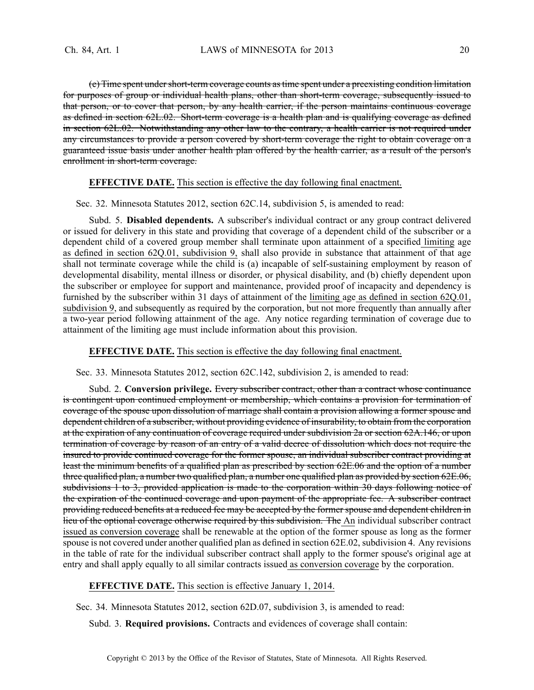(e) Time spen<sup>t</sup> undershort-term coverage counts astime spen<sup>t</sup> under <sup>a</sup> preexisting condition limitation for purposes of group or individual health plans, other than short-term coverage, subsequently issued to that person, or to cover that person, by any health carrier, if the person maintains continuous coverage as defined in section 62L.02. Short-term coverage is <sup>a</sup> health plan and is qualifying coverage as defined in section 62L.02. Notwithstanding any other law to the contrary, <sup>a</sup> health carrier is not required under any circumstances to provide <sup>a</sup> person covered by short-term coverage the right to obtain coverage on <sup>a</sup> guaranteed issue basis under another health plan offered by the health carrier, as <sup>a</sup> result of the person's enrollment in short-term coverage.

#### **EFFECTIVE DATE.** This section is effective the day following final enactment.

Sec. 32. Minnesota Statutes 2012, section 62C.14, subdivision 5, is amended to read:

Subd. 5. **Disabled dependents.** A subscriber's individual contract or any group contract delivered or issued for delivery in this state and providing that coverage of <sup>a</sup> dependent child of the subscriber or <sup>a</sup> dependent child of <sup>a</sup> covered group member shall terminate upon attainment of <sup>a</sup> specified limiting age as defined in section 62Q.01, subdivision 9, shall also provide in substance that attainment of that age shall not terminate coverage while the child is (a) incapable of self-sustaining employment by reason of developmental disability, mental illness or disorder, or physical disability, and (b) chiefly dependent upon the subscriber or employee for suppor<sup>t</sup> and maintenance, provided proof of incapacity and dependency is furnished by the subscriber within 31 days of attainment of the limiting age as defined in section 62Q.01, subdivision 9, and subsequently as required by the corporation, but not more frequently than annually after <sup>a</sup> two-year period following attainment of the age. Any notice regarding termination of coverage due to attainment of the limiting age must include information about this provision.

### **EFFECTIVE DATE.** This section is effective the day following final enactment.

Sec. 33. Minnesota Statutes 2012, section 62C.142, subdivision 2, is amended to read:

Subd. 2. **Conversion privilege.** Every subscriber contract, other than <sup>a</sup> contract whose continuance is contingent upon continued employment or membership, which contains <sup>a</sup> provision for termination of coverage of the spouse upon dissolution of marriage shall contain <sup>a</sup> provision allowing <sup>a</sup> former spouse and dependent children of <sup>a</sup> subscriber, without providing evidence of insurability, to obtain from the corporation at the expiration of any continuation of coverage required under subdivision 2a or section 62A.146, or upon termination of coverage by reason of an entry of <sup>a</sup> valid decree of dissolution which does not require the insured to provide continued coverage for the former spouse, an individual subscriber contract providing at least the minimum benefits of <sup>a</sup> qualified plan as prescribed by section 62E.06 and the option of <sup>a</sup> number three qualified plan, <sup>a</sup> number two qualified plan, <sup>a</sup> number one qualified plan as provided by section 62E.06, subdivisions 1 to 3, provided application is made to the corporation within 30 days following notice of the expiration of the continued coverage and upon paymen<sup>t</sup> of the appropriate fee. A subscriber contract providing reduced benefits at a reduced fee may be accepted by the former spouse and dependent children in lieu of the optional coverage otherwise required by this subdivision. The An individual subscriber contract issued as conversion coverage shall be renewable at the option of the former spouse as long as the former spouse is not covered under another qualified plan as defined in section 62E.02, subdivision 4. Any revisions in the table of rate for the individual subscriber contract shall apply to the former spouse's original age at entry and shall apply equally to all similar contracts issued as conversion coverage by the corporation.

#### **EFFECTIVE DATE.** This section is effective January 1, 2014.

Sec. 34. Minnesota Statutes 2012, section 62D.07, subdivision 3, is amended to read:

Subd. 3. **Required provisions.** Contracts and evidences of coverage shall contain: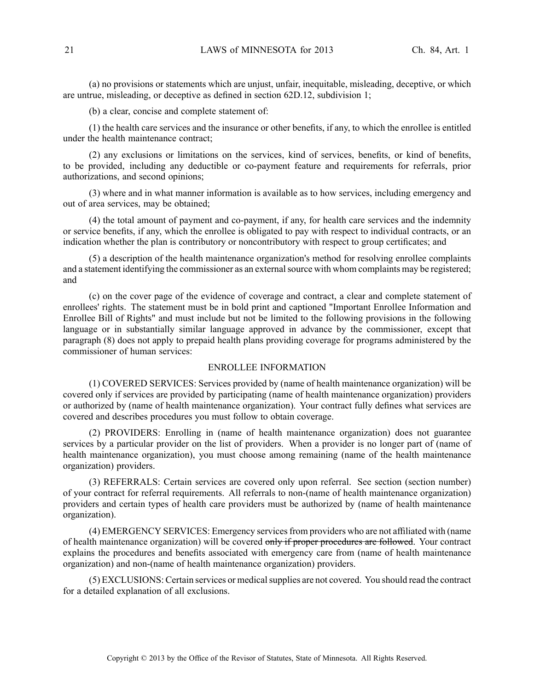(a) no provisions or statements which are unjust, unfair, inequitable, misleading, deceptive, or which are untrue, misleading, or deceptive as defined in section 62D.12, subdivision 1;

(b) <sup>a</sup> clear, concise and complete statement of:

(1) the health care services and the insurance or other benefits, if any, to which the enrollee is entitled under the health maintenance contract;

(2) any exclusions or limitations on the services, kind of services, benefits, or kind of benefits, to be provided, including any deductible or co-paymen<sup>t</sup> feature and requirements for referrals, prior authorizations, and second opinions;

(3) where and in what manner information is available as to how services, including emergency and out of area services, may be obtained;

(4) the total amount of paymen<sup>t</sup> and co-payment, if any, for health care services and the indemnity or service benefits, if any, which the enrollee is obligated to pay with respec<sup>t</sup> to individual contracts, or an indication whether the plan is contributory or noncontributory with respec<sup>t</sup> to group certificates; and

(5) <sup>a</sup> description of the health maintenance organization's method for resolving enrollee complaints and a statement identifying the commissioner as an external source with whom complaints may be registered; and

(c) on the cover page of the evidence of coverage and contract, <sup>a</sup> clear and complete statement of enrollees' rights. The statement must be in bold print and captioned "Important Enrollee Information and Enrollee Bill of Rights" and must include but not be limited to the following provisions in the following language or in substantially similar language approved in advance by the commissioner, excep<sup>t</sup> that paragraph (8) does not apply to prepaid health plans providing coverage for programs administered by the commissioner of human services:

### ENROLLEE INFORMATION

(1) COVERED SERVICES: Services provided by (name of health maintenance organization) will be covered only if services are provided by participating (name of health maintenance organization) providers or authorized by (name of health maintenance organization). Your contract fully defines what services are covered and describes procedures you must follow to obtain coverage.

(2) PROVIDERS: Enrolling in (name of health maintenance organization) does not guarantee services by <sup>a</sup> particular provider on the list of providers. When <sup>a</sup> provider is no longer par<sup>t</sup> of (name of health maintenance organization), you must choose among remaining (name of the health maintenance organization) providers.

(3) REFERRALS: Certain services are covered only upon referral. See section (section number) of your contract for referral requirements. All referrals to non-(name of health maintenance organization) providers and certain types of health care providers must be authorized by (name of health maintenance organization).

(4) EMERGENCY SERVICES: Emergency servicesfrom providers who are not affiliated with (name of health maintenance organization) will be covered only if proper procedures are followed. Your contract explains the procedures and benefits associated with emergency care from (name of health maintenance organization) and non-(name of health maintenance organization) providers.

(5) EXCLUSIONS: Certain services or medicalsupplies are not covered. You should read the contract for <sup>a</sup> detailed explanation of all exclusions.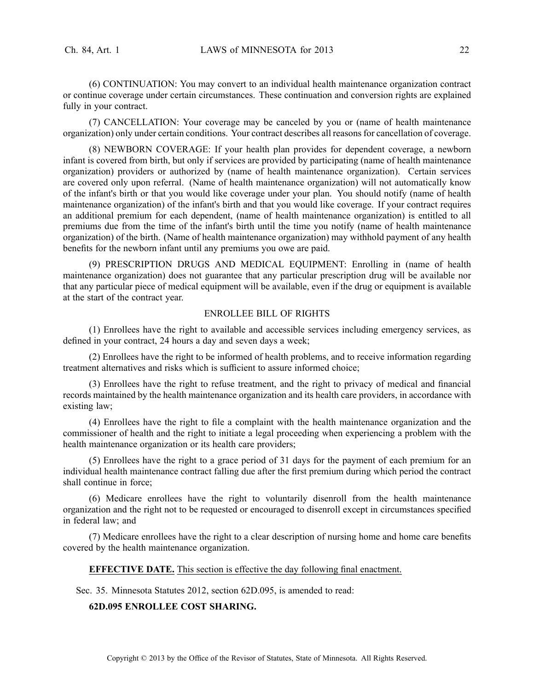(6) CONTINUATION: You may convert to an individual health maintenance organization contract or continue coverage under certain circumstances. These continuation and conversion rights are explained fully in your contract.

(7) CANCELLATION: Your coverage may be canceled by you or (name of health maintenance organization) only under certain conditions. Your contract describes all reasonsfor cancellation of coverage.

(8) NEWBORN COVERAGE: If your health plan provides for dependent coverage, <sup>a</sup> newborn infant is covered from birth, but only if services are provided by participating (name of health maintenance organization) providers or authorized by (name of health maintenance organization). Certain services are covered only upon referral. (Name of health maintenance organization) will not automatically know of the infant's birth or that you would like coverage under your plan. You should notify (name of health maintenance organization) of the infant's birth and that you would like coverage. If your contract requires an additional premium for each dependent, (name of health maintenance organization) is entitled to all premiums due from the time of the infant's birth until the time you notify (name of health maintenance organization) of the birth. (Name of health maintenance organization) may withhold paymen<sup>t</sup> of any health benefits for the newborn infant until any premiums you owe are paid.

(9) PRESCRIPTION DRUGS AND MEDICAL EQUIPMENT: Enrolling in (name of health maintenance organization) does not guarantee that any particular prescription drug will be available nor that any particular piece of medical equipment will be available, even if the drug or equipment is available at the start of the contract year.

### ENROLLEE BILL OF RIGHTS

(1) Enrollees have the right to available and accessible services including emergency services, as defined in your contract, 24 hours <sup>a</sup> day and seven days <sup>a</sup> week;

(2) Enrollees have the right to be informed of health problems, and to receive information regarding treatment alternatives and risks which is sufficient to assure informed choice;

(3) Enrollees have the right to refuse treatment, and the right to privacy of medical and financial records maintained by the health maintenance organization and its health care providers, in accordance with existing law;

(4) Enrollees have the right to file <sup>a</sup> complaint with the health maintenance organization and the commissioner of health and the right to initiate <sup>a</sup> legal proceeding when experiencing <sup>a</sup> problem with the health maintenance organization or its health care providers;

(5) Enrollees have the right to <sup>a</sup> grace period of 31 days for the paymen<sup>t</sup> of each premium for an individual health maintenance contract falling due after the first premium during which period the contract shall continue in force;

(6) Medicare enrollees have the right to voluntarily disenroll from the health maintenance organization and the right not to be requested or encouraged to disenroll excep<sup>t</sup> in circumstances specified in federal law; and

(7) Medicare enrollees have the right to <sup>a</sup> clear description of nursing home and home care benefits covered by the health maintenance organization.

# **EFFECTIVE DATE.** This section is effective the day following final enactment.

Sec. 35. Minnesota Statutes 2012, section 62D.095, is amended to read:

## **62D.095 ENROLLEE COST SHARING.**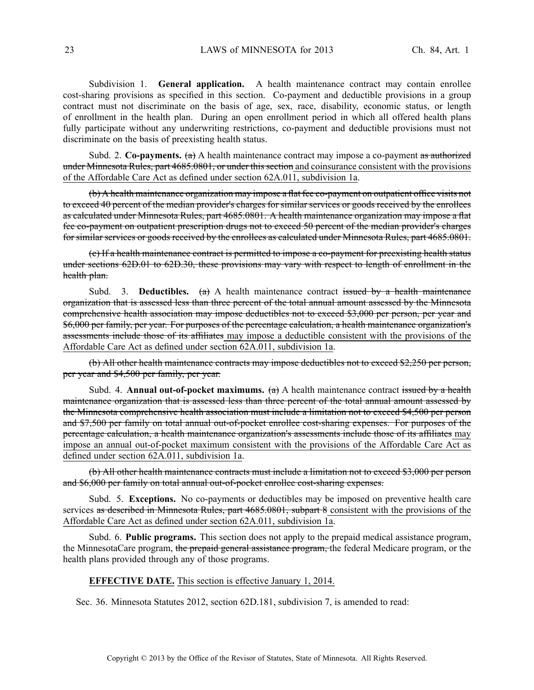Subdivision 1. **General application.** A health maintenance contract may contain enrollee cost-sharing provisions as specified in this section. Co-payment and deductible provisions in <sup>a</sup> group contract must not discriminate on the basis of age, sex, race, disability, economic status, or length of enrollment in the health plan. During an open enrollment period in which all offered health plans fully participate without any underwriting restrictions, co-paymen<sup>t</sup> and deductible provisions must not discriminate on the basis of preexisting health status.

Subd. 2.  $Co$ -payments.  $(a)$  A health maintenance contract may impose a co-payment as authorized under Minnesota Rules, par<sup>t</sup> 4685.0801, or under this section and coinsurance consistent with the provisions of the Affordable Care Act as defined under section 62A.011, subdivision 1a.

(b) A health maintenance organization may impose <sup>a</sup> flat fee co-paymen<sup>t</sup> on outpatient office visits not to exceed 40 percen<sup>t</sup> of the median provider's charges for similar services or goods received by the enrollees as calculated under Minnesota Rules, par<sup>t</sup> 4685.0801. A health maintenance organization may impose <sup>a</sup> flat fee co-paymen<sup>t</sup> on outpatient prescription drugs not to exceed 50 percen<sup>t</sup> of the median provider's charges for similar services or goods received by the enrollees as calculated under Minnesota Rules, par<sup>t</sup> 4685.0801.

(c) If <sup>a</sup> health maintenance contract is permitted to impose <sup>a</sup> co-paymen<sup>t</sup> for preexisting health status under sections 62D.01 to 62D.30, these provisions may vary with respec<sup>t</sup> to length of enrollment in the health plan.

Subd. 3. **Deductibles.** (a) A health maintenance contract issued by a health maintenance organization that is assessed less than three percen<sup>t</sup> of the total annual amount assessed by the Minnesota comprehensive health association may impose deductibles not to exceed \$3,000 per person, per year and \$6,000 per family, per year. For purposes of the percentage calculation, <sup>a</sup> health maintenance organization's assessments include those of its affiliates may impose <sup>a</sup> deductible consistent with the provisions of the Affordable Care Act as defined under section 62A.011, subdivision 1a.

(b) All other health maintenance contracts may impose deductibles not to exceed \$2,250 per person, per year and \$4,500 per family, per year.

Subd. 4. **Annual out-of-pocket maximums.** (a) A health maintenance contract issued by <sup>a</sup> health maintenance organization that is assessed less than three percen<sup>t</sup> of the total annual amount assessed by the Minnesota comprehensive health association must include <sup>a</sup> limitation not to exceed \$4,500 per person and \$7,500 per family on total annual out-of-pocket enrollee cost-sharing expenses. For purposes of the percentage calculation, <sup>a</sup> health maintenance organization's assessments include those of its affiliates may impose an annual out-of-pocket maximum consistent with the provisions of the Affordable Care Act as defined under section 62A.011, subdivision 1a.

(b) All other health maintenance contracts must include <sup>a</sup> limitation not to exceed \$3,000 per person and \$6,000 per family on total annual out-of-pocket enrollee cost-sharing expenses.

Subd. 5. **Exceptions.** No co-payments or deductibles may be imposed on preventive health care services as described in Minnesota Rules, part 4685.0801, subpart 8 consistent with the provisions of the Affordable Care Act as defined under section 62A.011, subdivision 1a.

Subd. 6. **Public programs.** This section does not apply to the prepaid medical assistance program, the MinnesotaCare program, the prepaid general assistance program, the federal Medicare program, or the health plans provided through any of those programs.

**EFFECTIVE DATE.** This section is effective January 1, 2014.

Sec. 36. Minnesota Statutes 2012, section 62D.181, subdivision 7, is amended to read: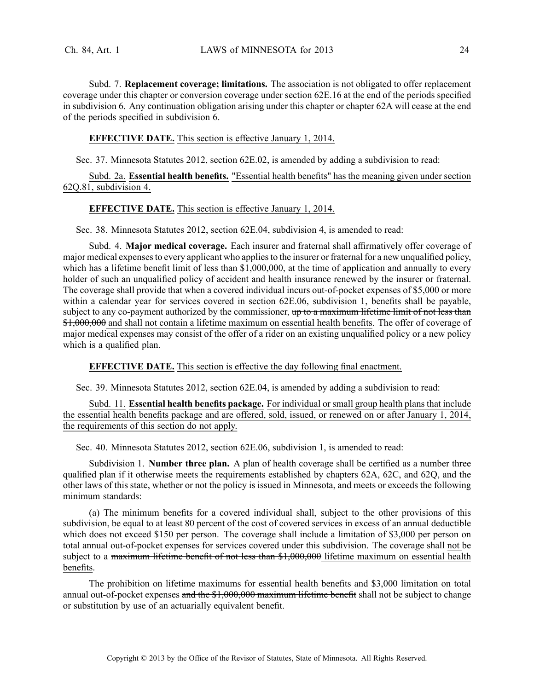Subd. 7. **Replacement coverage; limitations.** The association is not obligated to offer replacement coverage under this chapter or conversion coverage under section 62E.16 at the end of the periods specified in subdivision 6. Any continuation obligation arising under this chapter or chapter 62A will cease at the end of the periods specified in subdivision 6.

## **EFFECTIVE DATE.** This section is effective January 1, 2014.

Sec. 37. Minnesota Statutes 2012, section 62E.02, is amended by adding <sup>a</sup> subdivision to read:

Subd. 2a. **Essential health benefits.** "Essential health benefits" has the meaning given under section 62Q.81, subdivision 4.

#### **EFFECTIVE DATE.** This section is effective January 1, 2014.

Sec. 38. Minnesota Statutes 2012, section 62E.04, subdivision 4, is amended to read:

Subd. 4. **Major medical coverage.** Each insurer and fraternal shall affirmatively offer coverage of major medical expensesto every applicant who appliesto the insurer or fraternal for <sup>a</sup> new unqualified policy, which has a lifetime benefit limit of less than \$1,000,000, at the time of application and annually to every holder of such an unqualified policy of accident and health insurance renewed by the insurer or fraternal. The coverage shall provide that when <sup>a</sup> covered individual incurs out-of-pocket expenses of \$5,000 or more within <sup>a</sup> calendar year for services covered in section 62E.06, subdivision 1, benefits shall be payable, subject to any co-payment authorized by the commissioner, up to a maximum lifetime limit of not less than \$1,000,000 and shall not contain <sup>a</sup> lifetime maximum on essential health benefits. The offer of coverage of major medical expenses may consist of the offer of <sup>a</sup> rider on an existing unqualified policy or <sup>a</sup> new policy which is <sup>a</sup> qualified plan.

**EFFECTIVE DATE.** This section is effective the day following final enactment.

Sec. 39. Minnesota Statutes 2012, section 62E.04, is amended by adding <sup>a</sup> subdivision to read:

Subd. 11. **Essential health benefits package.** For individual or small group health plans that include the essential health benefits package and are offered, sold, issued, or renewed on or after January 1, 2014, the requirements of this section do not apply.

Sec. 40. Minnesota Statutes 2012, section 62E.06, subdivision 1, is amended to read:

Subdivision 1. **Number three plan.** A plan of health coverage shall be certified as <sup>a</sup> number three qualified plan if it otherwise meets the requirements established by chapters 62A, 62C, and 62Q, and the other laws of this state, whether or not the policy is issued in Minnesota, and meets or exceeds the following minimum standards:

(a) The minimum benefits for <sup>a</sup> covered individual shall, subject to the other provisions of this subdivision, be equal to at least 80 percen<sup>t</sup> of the cost of covered services in excess of an annual deductible which does not exceed \$150 per person. The coverage shall include a limitation of \$3,000 per person on total annual out-of-pocket expenses for services covered under this subdivision. The coverage shall not be subject to a maximum lifetime benefit of not less than \$1,000,000 lifetime maximum on essential health benefits.

The prohibition on lifetime maximums for essential health benefits and \$3,000 limitation on total annual out-of-pocket expenses and the \$1,000,000 maximum lifetime benefit shall not be subject to change or substitution by use of an actuarially equivalent benefit.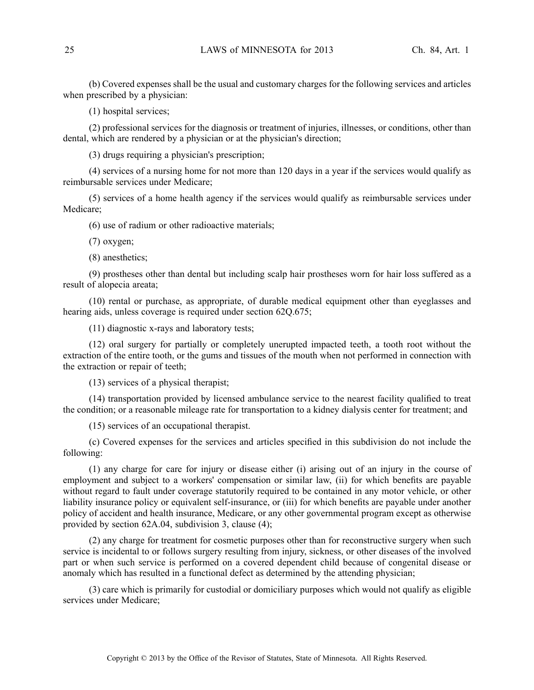(b) Covered expenses shall be the usual and customary charges for the following services and articles when prescribed by <sup>a</sup> physician:

(1) hospital services;

(2) professional services for the diagnosis or treatment of injuries, illnesses, or conditions, other than dental, which are rendered by <sup>a</sup> physician or at the physician's direction;

(3) drugs requiring <sup>a</sup> physician's prescription;

(4) services of <sup>a</sup> nursing home for not more than 120 days in <sup>a</sup> year if the services would qualify as reimbursable services under Medicare;

(5) services of <sup>a</sup> home health agency if the services would qualify as reimbursable services under Medicare;

(6) use of radium or other radioactive materials;

(7) oxygen;

(8) anesthetics;

(9) prostheses other than dental but including scalp hair prostheses worn for hair loss suffered as <sup>a</sup> result of alopecia areata;

(10) rental or purchase, as appropriate, of durable medical equipment other than eyeglasses and hearing aids, unless coverage is required under section 62Q.675;

(11) diagnostic x-rays and laboratory tests;

(12) oral surgery for partially or completely unerupted impacted teeth, <sup>a</sup> tooth root without the extraction of the entire tooth, or the gums and tissues of the mouth when not performed in connection with the extraction or repair of teeth;

(13) services of <sup>a</sup> physical therapist;

(14) transportation provided by licensed ambulance service to the nearest facility qualified to treat the condition; or <sup>a</sup> reasonable mileage rate for transportation to <sup>a</sup> kidney dialysis center for treatment; and

(15) services of an occupational therapist.

(c) Covered expenses for the services and articles specified in this subdivision do not include the following:

(1) any charge for care for injury or disease either (i) arising out of an injury in the course of employment and subject to <sup>a</sup> workers' compensation or similar law, (ii) for which benefits are payable without regard to fault under coverage statutorily required to be contained in any motor vehicle, or other liability insurance policy or equivalent self-insurance, or (iii) for which benefits are payable under another policy of accident and health insurance, Medicare, or any other governmental program excep<sup>t</sup> as otherwise provided by section 62A.04, subdivision 3, clause (4);

(2) any charge for treatment for cosmetic purposes other than for reconstructive surgery when such service is incidental to or follows surgery resulting from injury, sickness, or other diseases of the involved par<sup>t</sup> or when such service is performed on <sup>a</sup> covered dependent child because of congenital disease or anomaly which has resulted in <sup>a</sup> functional defect as determined by the attending physician;

(3) care which is primarily for custodial or domiciliary purposes which would not qualify as eligible services under Medicare;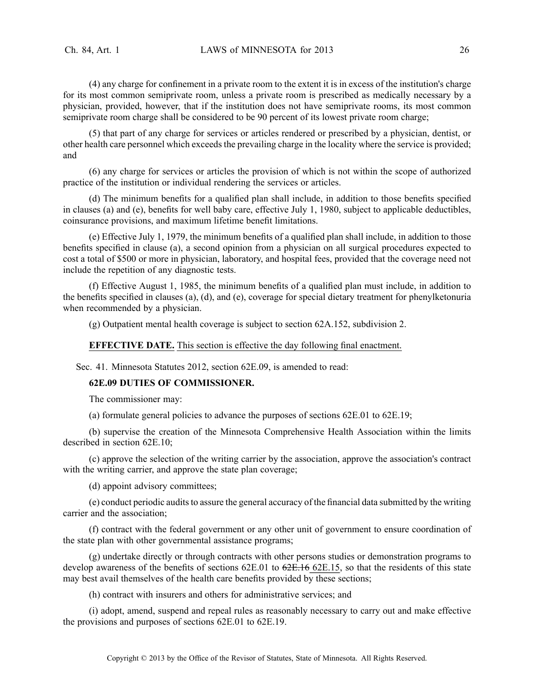(4) any charge for confinement in <sup>a</sup> private room to the extent it is in excess of the institution's charge for its most common semiprivate room, unless <sup>a</sup> private room is prescribed as medically necessary by <sup>a</sup> physician, provided, however, that if the institution does not have semiprivate rooms, its most common semiprivate room charge shall be considered to be 90 percen<sup>t</sup> of its lowest private room charge;

(5) that par<sup>t</sup> of any charge for services or articles rendered or prescribed by <sup>a</sup> physician, dentist, or other health care personnel which exceeds the prevailing charge in the locality where the service is provided; and

(6) any charge for services or articles the provision of which is not within the scope of authorized practice of the institution or individual rendering the services or articles.

(d) The minimum benefits for <sup>a</sup> qualified plan shall include, in addition to those benefits specified in clauses (a) and (e), benefits for well baby care, effective July 1, 1980, subject to applicable deductibles, coinsurance provisions, and maximum lifetime benefit limitations.

(e) Effective July 1, 1979, the minimum benefits of <sup>a</sup> qualified plan shall include, in addition to those benefits specified in clause (a), <sup>a</sup> second opinion from <sup>a</sup> physician on all surgical procedures expected to cost <sup>a</sup> total of \$500 or more in physician, laboratory, and hospital fees, provided that the coverage need not include the repetition of any diagnostic tests.

(f) Effective August 1, 1985, the minimum benefits of <sup>a</sup> qualified plan must include, in addition to the benefits specified in clauses (a), (d), and (e), coverage for special dietary treatment for phenylketonuria when recommended by <sup>a</sup> physician.

(g) Outpatient mental health coverage is subject to section 62A.152, subdivision 2.

#### **EFFECTIVE DATE.** This section is effective the day following final enactment.

Sec. 41. Minnesota Statutes 2012, section 62E.09, is amended to read:

### **62E.09 DUTIES OF COMMISSIONER.**

The commissioner may:

(a) formulate general policies to advance the purposes of sections 62E.01 to 62E.19;

(b) supervise the creation of the Minnesota Comprehensive Health Association within the limits described in section 62E.10;

(c) approve the selection of the writing carrier by the association, approve the association's contract with the writing carrier, and approve the state plan coverage;

(d) appoint advisory committees;

(e) conduct periodic auditsto assure the general accuracy of the financial data submitted by the writing carrier and the association;

(f) contract with the federal governmen<sup>t</sup> or any other unit of governmen<sup>t</sup> to ensure coordination of the state plan with other governmental assistance programs;

(g) undertake directly or through contracts with other persons studies or demonstration programs to develop awareness of the benefits of sections 62E.01 to 62E.16 62E.15, so that the residents of this state may best avail themselves of the health care benefits provided by these sections;

(h) contract with insurers and others for administrative services; and

(i) adopt, amend, suspend and repeal rules as reasonably necessary to carry out and make effective the provisions and purposes of sections 62E.01 to 62E.19.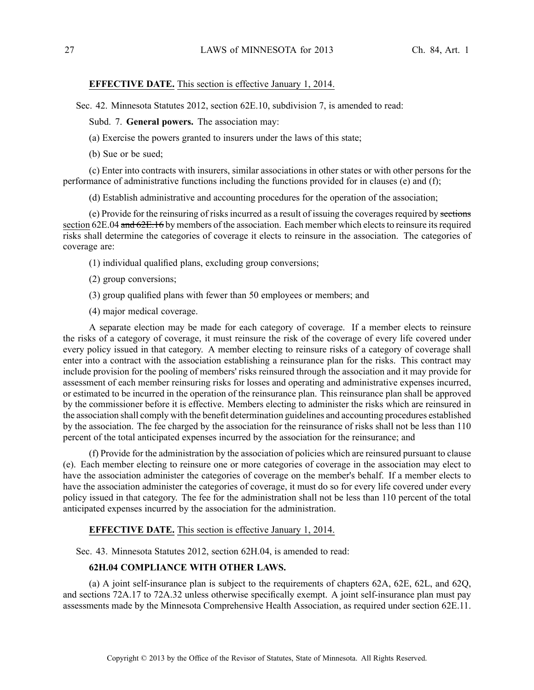#### **EFFECTIVE DATE.** This section is effective January 1, 2014.

Sec. 42. Minnesota Statutes 2012, section 62E.10, subdivision 7, is amended to read:

Subd. 7. **General powers.** The association may:

(a) Exercise the powers granted to insurers under the laws of this state;

(b) Sue or be sued;

(c) Enter into contracts with insurers, similar associations in other states or with other persons for the performance of administrative functions including the functions provided for in clauses (e) and (f);

(d) Establish administrative and accounting procedures for the operation of the association;

(e) Provide for the reinsuring of risks incurred as <sup>a</sup> result of issuing the coverages required by sections section 62E.04 and 62E.16 by members of the association. Each member which elects to reinsure its required risks shall determine the categories of coverage it elects to reinsure in the association. The categories of coverage are:

- (1) individual qualified plans, excluding group conversions;
- (2) group conversions;
- (3) group qualified plans with fewer than 50 employees or members; and
- (4) major medical coverage.

A separate election may be made for each category of coverage. If <sup>a</sup> member elects to reinsure the risks of <sup>a</sup> category of coverage, it must reinsure the risk of the coverage of every life covered under every policy issued in that category. A member electing to reinsure risks of <sup>a</sup> category of coverage shall enter into <sup>a</sup> contract with the association establishing <sup>a</sup> reinsurance plan for the risks. This contract may include provision for the pooling of members' risks reinsured through the association and it may provide for assessment of each member reinsuring risks for losses and operating and administrative expenses incurred, or estimated to be incurred in the operation of the reinsurance plan. This reinsurance plan shall be approved by the commissioner before it is effective. Members electing to administer the risks which are reinsured in the association shall comply with the benefit determination guidelines and accounting procedures established by the association. The fee charged by the association for the reinsurance of risks shall not be less than 110 percen<sup>t</sup> of the total anticipated expenses incurred by the association for the reinsurance; and

(f) Provide for the administration by the association of policies which are reinsured pursuan<sup>t</sup> to clause (e). Each member electing to reinsure one or more categories of coverage in the association may elect to have the association administer the categories of coverage on the member's behalf. If <sup>a</sup> member elects to have the association administer the categories of coverage, it must do so for every life covered under every policy issued in that category. The fee for the administration shall not be less than 110 percen<sup>t</sup> of the total anticipated expenses incurred by the association for the administration.

#### **EFFECTIVE DATE.** This section is effective January 1, 2014.

Sec. 43. Minnesota Statutes 2012, section 62H.04, is amended to read:

## **62H.04 COMPLIANCE WITH OTHER LAWS.**

(a) A joint self-insurance plan is subject to the requirements of chapters 62A, 62E, 62L, and 62Q, and sections 72A.17 to 72A.32 unless otherwise specifically exempt. A joint self-insurance plan must pay assessments made by the Minnesota Comprehensive Health Association, as required under section 62E.11.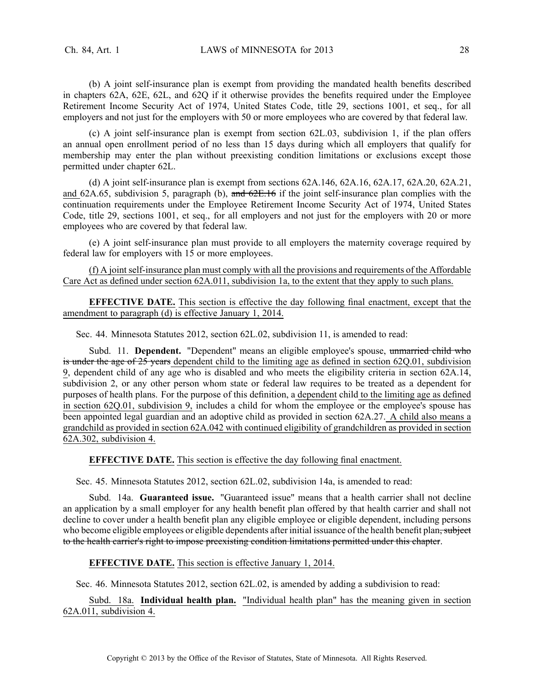(b) A joint self-insurance plan is exemp<sup>t</sup> from providing the mandated health benefits described in chapters 62A, 62E, 62L, and 62Q if it otherwise provides the benefits required under the Employee Retirement Income Security Act of 1974, United States Code, title 29, sections 1001, et seq., for all employers and not just for the employers with 50 or more employees who are covered by that federal law.

(c) A joint self-insurance plan is exemp<sup>t</sup> from section 62L.03, subdivision 1, if the plan offers an annual open enrollment period of no less than 15 days during which all employers that qualify for membership may enter the plan without preexisting condition limitations or exclusions excep<sup>t</sup> those permitted under chapter 62L.

(d) A joint self-insurance plan is exemp<sup>t</sup> from sections 62A.146, 62A.16, 62A.17, 62A.20, 62A.21, and 62A.65, subdivision 5, paragraph (b), and  $62E.16$  if the joint self-insurance plan complies with the continuation requirements under the Employee Retirement Income Security Act of 1974, United States Code, title 29, sections 1001, et seq., for all employers and not just for the employers with 20 or more employees who are covered by that federal law.

(e) A joint self-insurance plan must provide to all employers the maternity coverage required by federal law for employers with 15 or more employees.

(f) A jointself-insurance plan must comply with all the provisions and requirements of the Affordable Care Act as defined under section 62A.011, subdivision 1a, to the extent that they apply to such plans.

**EFFECTIVE DATE.** This section is effective the day following final enactment, excep<sup>t</sup> that the amendment to paragraph (d) is effective January 1, 2014.

Sec. 44. Minnesota Statutes 2012, section 62L.02, subdivision 11, is amended to read:

Subd. 11. **Dependent.** "Dependent" means an eligible employee's spouse, unmarried child who is under the age of 25 years dependent child to the limiting age as defined in section 62Q.01, subdivision 9, dependent child of any age who is disabled and who meets the eligibility criteria in section 62A.14, subdivision 2, or any other person whom state or federal law requires to be treated as <sup>a</sup> dependent for purposes of health plans. For the purpose of this definition, <sup>a</sup> dependent child to the limiting age as defined in section 62Q.01, subdivision 9, includes a child for whom the employee or the employee's spouse has been appointed legal guardian and an adoptive child as provided in section 62A.27. A child also means <sup>a</sup> grandchild as provided in section 62A.042 with continued eligibility of grandchildren as provided in section 62A.302, subdivision 4.

**EFFECTIVE DATE.** This section is effective the day following final enactment.

Sec. 45. Minnesota Statutes 2012, section 62L.02, subdivision 14a, is amended to read:

Subd. 14a. **Guaranteed issue.** "Guaranteed issue" means that <sup>a</sup> health carrier shall not decline an application by <sup>a</sup> small employer for any health benefit plan offered by that health carrier and shall not decline to cover under <sup>a</sup> health benefit plan any eligible employee or eligible dependent, including persons who become eligible employees or eligible dependents after initial issuance of the health benefit plan, subject to the health carrier's right to impose preexisting condition limitations permitted under this chapter.

**EFFECTIVE DATE.** This section is effective January 1, 2014.

Sec. 46. Minnesota Statutes 2012, section 62L.02, is amended by adding <sup>a</sup> subdivision to read:

Subd. 18a. **Individual health plan.** "Individual health plan" has the meaning given in section 62A.011, subdivision 4.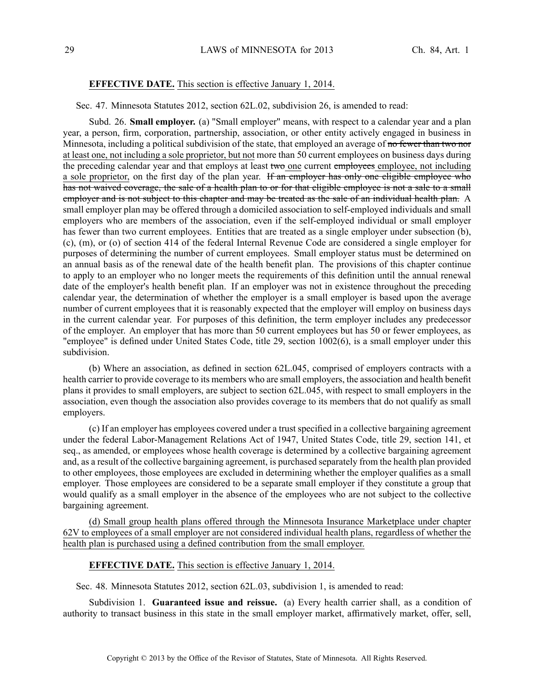#### **EFFECTIVE DATE.** This section is effective January 1, 2014.

Sec. 47. Minnesota Statutes 2012, section 62L.02, subdivision 26, is amended to read:

Subd. 26. **Small employer.** (a) "Small employer" means, with respec<sup>t</sup> to <sup>a</sup> calendar year and <sup>a</sup> plan year, <sup>a</sup> person, firm, corporation, partnership, association, or other entity actively engaged in business in Minnesota, including <sup>a</sup> political subdivision of the state, that employed an average of no fewer than two nor at least one, not including <sup>a</sup> sole proprietor, but not more than 50 current employees on business days during the preceding calendar year and that employs at least two one current employees employee, not including a sole proprietor, on the first day of the plan year. If an employer has only one eligible employee who has not waived coverage, the sale of a health plan to or for that eligible employee is not a sale to a small employer and is not subject to this chapter and may be treated as the sale of an individual health plan. A small employer plan may be offered through <sup>a</sup> domiciled association to self-employed individuals and small employers who are members of the association, even if the self-employed individual or small employer has fewer than two current employees. Entities that are treated as a single employer under subsection (b), (c), (m), or (o) of section 414 of the federal Internal Revenue Code are considered <sup>a</sup> single employer for purposes of determining the number of current employees. Small employer status must be determined on an annual basis as of the renewal date of the health benefit plan. The provisions of this chapter continue to apply to an employer who no longer meets the requirements of this definition until the annual renewal date of the employer's health benefit plan. If an employer was not in existence throughout the preceding calendar year, the determination of whether the employer is <sup>a</sup> small employer is based upon the average number of current employees that it is reasonably expected that the employer will employ on business days in the current calendar year. For purposes of this definition, the term employer includes any predecessor of the employer. An employer that has more than 50 current employees but has 50 or fewer employees, as "employee" is defined under United States Code, title 29, section 1002(6), is <sup>a</sup> small employer under this subdivision.

(b) Where an association, as defined in section 62L.045, comprised of employers contracts with <sup>a</sup> health carrier to provide coverage to its members who are small employers, the association and health benefit plans it provides to small employers, are subject to section 62L.045, with respec<sup>t</sup> to small employers in the association, even though the association also provides coverage to its members that do not qualify as small employers.

(c) If an employer has employees covered under <sup>a</sup> trust specified in <sup>a</sup> collective bargaining agreemen<sup>t</sup> under the federal Labor-Management Relations Act of 1947, United States Code, title 29, section 141, et seq., as amended, or employees whose health coverage is determined by <sup>a</sup> collective bargaining agreemen<sup>t</sup> and, as <sup>a</sup> result of the collective bargaining agreement, is purchased separately from the health plan provided to other employees, those employees are excluded in determining whether the employer qualifies as <sup>a</sup> small employer. Those employees are considered to be <sup>a</sup> separate small employer if they constitute <sup>a</sup> group that would qualify as <sup>a</sup> small employer in the absence of the employees who are not subject to the collective bargaining agreement.

(d) Small group health plans offered through the Minnesota Insurance Marketplace under chapter 62V to employees of <sup>a</sup> small employer are not considered individual health plans, regardless of whether the health plan is purchased using <sup>a</sup> defined contribution from the small employer.

### **EFFECTIVE DATE.** This section is effective January 1, 2014.

Sec. 48. Minnesota Statutes 2012, section 62L.03, subdivision 1, is amended to read:

Subdivision 1. **Guaranteed issue and reissue.** (a) Every health carrier shall, as <sup>a</sup> condition of authority to transact business in this state in the small employer market, affirmatively market, offer, sell,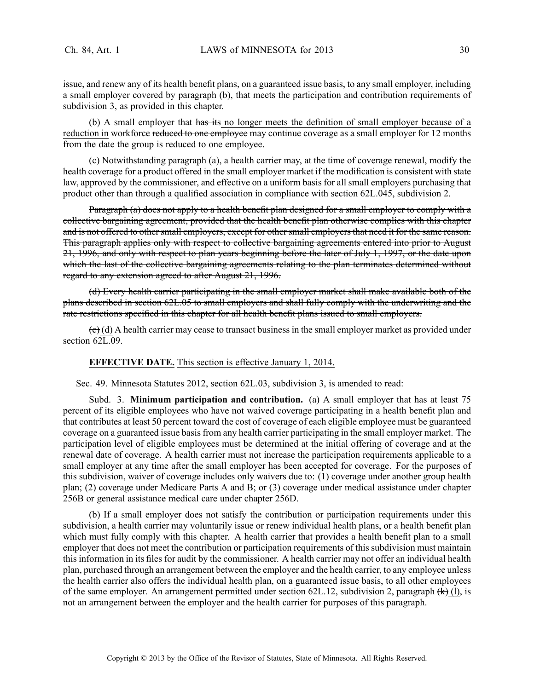issue, and renew any of its health benefit plans, on <sup>a</sup> guaranteed issue basis, to any small employer, including <sup>a</sup> small employer covered by paragraph (b), that meets the participation and contribution requirements of subdivision 3, as provided in this chapter.

(b) A small employer that has its no longer meets the definition of small employer because of <sup>a</sup> reduction in workforce reduced to one employee may continue coverage as a small employer for 12 months from the date the group is reduced to one employee.

(c) Notwithstanding paragraph (a), <sup>a</sup> health carrier may, at the time of coverage renewal, modify the health coverage for <sup>a</sup> product offered in the small employer market if the modification is consistent with state law, approved by the commissioner, and effective on <sup>a</sup> uniform basis for all small employers purchasing that product other than through <sup>a</sup> qualified association in compliance with section 62L.045, subdivision 2.

Paragraph (a) does not apply to a health benefit plan designed for a small employer to comply with a collective bargaining agreement, provided that the health benefit plan otherwise complies with this chapter and is not offered to other small employers, except for other small employers that need it for the same reason. This paragraph applies only with respec<sup>t</sup> to collective bargaining agreements entered into prior to August 21, 1996, and only with respec<sup>t</sup> to plan years beginning before the later of July 1, 1997, or the date upon which the last of the collective bargaining agreements relating to the plan terminates determined without regard to any extension agreed to after August 21, 1996.

(d) Every health carrier participating in the small employer market shall make available both of the plans described in section 62L.05 to small employers and shall fully comply with the underwriting and the rate restrictions specified in this chapter for all health benefit plans issued to small employers.

(e) (d) A health carrier may cease to transact business in the small employer market as provided under section 62L.09.

**EFFECTIVE DATE.** This section is effective January 1, 2014.

Sec. 49. Minnesota Statutes 2012, section 62L.03, subdivision 3, is amended to read:

Subd. 3. **Minimum participation and contribution.** (a) A small employer that has at least 75 percen<sup>t</sup> of its eligible employees who have not waived coverage participating in <sup>a</sup> health benefit plan and that contributes at least 50 percen<sup>t</sup> toward the cost of coverage of each eligible employee must be guaranteed coverage on <sup>a</sup> guaranteed issue basis from any health carrier participating in the small employer market. The participation level of eligible employees must be determined at the initial offering of coverage and at the renewal date of coverage. A health carrier must not increase the participation requirements applicable to <sup>a</sup> small employer at any time after the small employer has been accepted for coverage. For the purposes of this subdivision, waiver of coverage includes only waivers due to: (1) coverage under another group health plan; (2) coverage under Medicare Parts A and B; or (3) coverage under medical assistance under chapter 256B or general assistance medical care under chapter 256D.

(b) If <sup>a</sup> small employer does not satisfy the contribution or participation requirements under this subdivision, <sup>a</sup> health carrier may voluntarily issue or renew individual health plans, or <sup>a</sup> health benefit plan which must fully comply with this chapter. A health carrier that provides <sup>a</sup> health benefit plan to <sup>a</sup> small employer that does not meet the contribution or participation requirements of this subdivision must maintain this information in its files for audit by the commissioner. A health carrier may not offer an individual health plan, purchased through an arrangemen<sup>t</sup> between the employer and the health carrier, to any employee unless the health carrier also offers the individual health plan, on <sup>a</sup> guaranteed issue basis, to all other employees of the same employer. An arrangement permitted under section 62L.12, subdivision 2, paragraph  $(k)$  (1), is not an arrangemen<sup>t</sup> between the employer and the health carrier for purposes of this paragraph.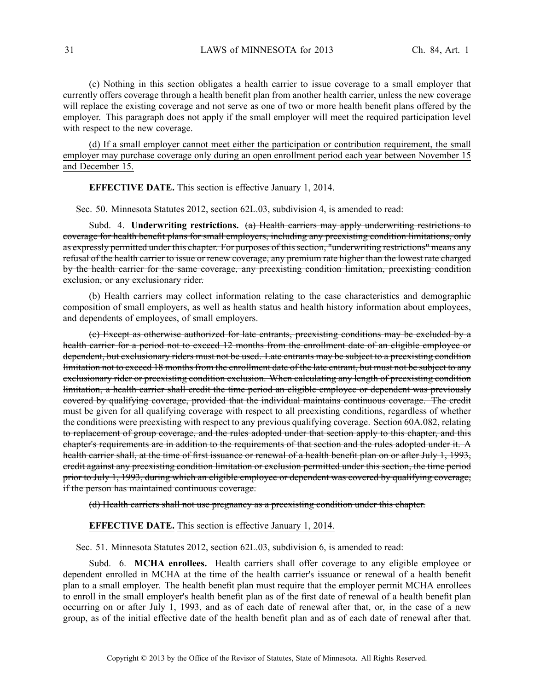(c) Nothing in this section obligates <sup>a</sup> health carrier to issue coverage to <sup>a</sup> small employer that currently offers coverage through <sup>a</sup> health benefit plan from another health carrier, unless the new coverage will replace the existing coverage and not serve as one of two or more health benefit plans offered by the employer. This paragraph does not apply if the small employer will meet the required participation level with respec<sup>t</sup> to the new coverage.

(d) If <sup>a</sup> small employer cannot meet either the participation or contribution requirement, the small employer may purchase coverage only during an open enrollment period each year between November 15 and December 15.

**EFFECTIVE DATE.** This section is effective January 1, 2014.

Sec. 50. Minnesota Statutes 2012, section 62L.03, subdivision 4, is amended to read:

Subd. 4. **Underwriting restrictions.** (a) Health carriers may apply underwriting restrictions to coverage for health benefit plans for small employers, including any preexisting condition limitations, only as expressly permitted under this chapter. For purposes of this section, "underwriting restrictions" means any refusal of the health carrier to issue or renew coverage, any premium rate higher than the lowest rate charged by the health carrier for the same coverage, any preexisting condition limitation, preexisting condition exclusion, or any exclusionary rider.

(b) Health carriers may collect information relating to the case characteristics and demographic composition of small employers, as well as health status and health history information about employees, and dependents of employees, of small employers.

(c) Except as otherwise authorized for late entrants, preexisting conditions may be excluded by <sup>a</sup> health carrier for <sup>a</sup> period not to exceed 12 months from the enrollment date of an eligible employee or dependent, but exclusionary riders must not be used. Late entrants may be subject to <sup>a</sup> preexisting condition limitation not to exceed 18 months from the enrollment date of the late entrant, but must not be subject to any exclusionary rider or preexisting condition exclusion. When calculating any length of preexisting condition limitation, a health carrier shall credit the time period an eligible employee or dependent was previously covered by qualifying coverage, provided that the individual maintains continuous coverage. The credit must be given for all qualifying coverage with respec<sup>t</sup> to all preexisting conditions, regardless of whether the conditions were preexisting with respec<sup>t</sup> to any previous qualifying coverage. Section 60A.082, relating to replacement of group coverage, and the rules adopted under that section apply to this chapter, and this chapter's requirements are in addition to the requirements of that section and the rules adopted under it. A health carrier shall, at the time of first issuance or renewal of a health benefit plan on or after July 1, 1993, credit against any preexisting condition limitation or exclusion permitted under this section, the time period prior to July 1, 1993, during which an eligible employee or dependent was covered by qualifying coverage, if the person has maintained continuous coverage.

(d) Health carriers shall not use pregnancy as <sup>a</sup> preexisting condition under this chapter.

#### **EFFECTIVE DATE.** This section is effective January 1, 2014.

Sec. 51. Minnesota Statutes 2012, section 62L.03, subdivision 6, is amended to read:

Subd. 6. **MCHA enrollees.** Health carriers shall offer coverage to any eligible employee or dependent enrolled in MCHA at the time of the health carrier's issuance or renewal of <sup>a</sup> health benefit plan to <sup>a</sup> small employer. The health benefit plan must require that the employer permit MCHA enrollees to enroll in the small employer's health benefit plan as of the first date of renewal of <sup>a</sup> health benefit plan occurring on or after July 1, 1993, and as of each date of renewal after that, or, in the case of <sup>a</sup> new group, as of the initial effective date of the health benefit plan and as of each date of renewal after that.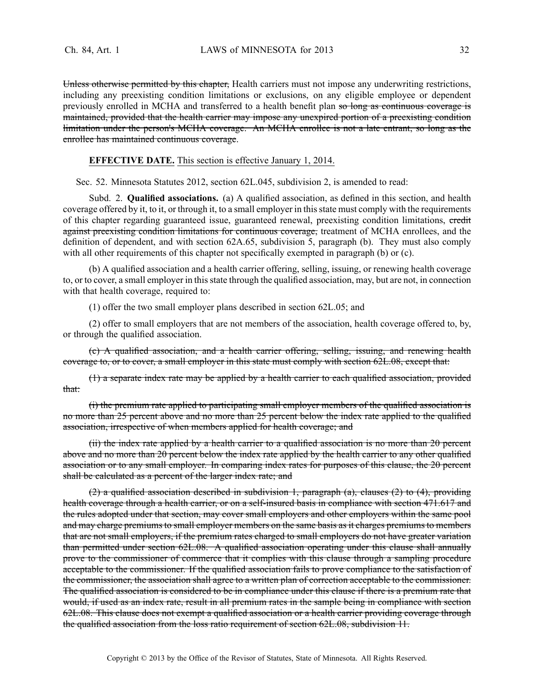Unless otherwise permitted by this chapter, Health carriers must not impose any underwriting restrictions, including any preexisting condition limitations or exclusions, on any eligible employee or dependent previously enrolled in MCHA and transferred to a health benefit plan so long as continuous coverage is maintained, provided that the health carrier may impose any unexpired portion of <sup>a</sup> preexisting condition limitation under the person's MCHA coverage. An MCHA enrollee is not a late entrant, so long as the enrollee has maintained continuous coverage.

#### **EFFECTIVE DATE.** This section is effective January 1, 2014.

Sec. 52. Minnesota Statutes 2012, section 62L.045, subdivision 2, is amended to read:

Subd. 2. **Qualified associations.** (a) A qualified association, as defined in this section, and health coverage offered by it, to it, or through it, to <sup>a</sup> small employer in thisstate must comply with the requirements of this chapter regarding guaranteed issue, guaranteed renewal, preexisting condition limitations, credit against preexisting condition limitations for continuous coverage, treatment of MCHA enrollees, and the definition of dependent, and with section 62A.65, subdivision 5, paragraph (b). They must also comply with all other requirements of this chapter not specifically exempted in paragraph (b) or (c).

(b) A qualified association and <sup>a</sup> health carrier offering, selling, issuing, or renewing health coverage to, or to cover, <sup>a</sup> small employer in thisstate through the qualified association, may, but are not, in connection with that health coverage, required to:

(1) offer the two small employer plans described in section 62L.05; and

(2) offer to small employers that are not members of the association, health coverage offered to, by, or through the qualified association.

(c) A qualified association, and <sup>a</sup> health carrier offering, selling, issuing, and renewing health coverage to, or to cover, <sup>a</sup> small employer in this state must comply with section 62L.08, excep<sup>t</sup> that:

(1) <sup>a</sup> separate index rate may be applied by <sup>a</sup> health carrier to each qualified association, provided that:

(i) the premium rate applied to participating small employer members of the qualified association is no more than 25 percen<sup>t</sup> above and no more than 25 percen<sup>t</sup> below the index rate applied to the qualified association, irrespective of when members applied for health coverage; and

(ii) the index rate applied by <sup>a</sup> health carrier to <sup>a</sup> qualified association is no more than 20 percen<sup>t</sup> above and no more than 20 percen<sup>t</sup> below the index rate applied by the health carrier to any other qualified association or to any small employer. In comparing index rates for purposes of this clause, the 20 percen<sup>t</sup> shall be calculated as <sup>a</sup> percen<sup>t</sup> of the larger index rate; and

(2) <sup>a</sup> qualified association described in subdivision 1, paragraph (a), clauses (2) to (4), providing health coverage through a health carrier, or on a self-insured basis in compliance with section 471.617 and the rules adopted under that section, may cover small employers and other employers within the same pool and may charge premiums to small employer members on the same basis as it charges premiums to members that are not small employers, if the premium rates charged to small employers do not have greater variation than permitted under section 62L.08. A qualified association operating under this clause shall annually prove to the commissioner of commerce that it complies with this clause through <sup>a</sup> sampling procedure acceptable to the commissioner. If the qualified association fails to prove compliance to the satisfaction of the commissioner, the association shall agree to <sup>a</sup> written plan of correction acceptable to the commissioner. The qualified association is considered to be in compliance under this clause if there is <sup>a</sup> premium rate that would, if used as an index rate, result in all premium rates in the sample being in compliance with section 62L.08. This clause does not exemp<sup>t</sup> <sup>a</sup> qualified association or <sup>a</sup> health carrier providing coverage through the qualified association from the loss ratio requirement of section 62L.08, subdivision 11.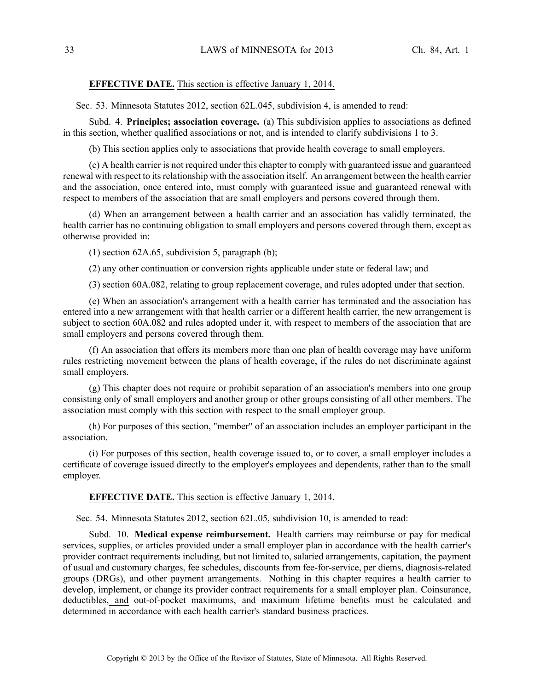#### **EFFECTIVE DATE.** This section is effective January 1, 2014.

Sec. 53. Minnesota Statutes 2012, section 62L.045, subdivision 4, is amended to read:

Subd. 4. **Principles; association coverage.** (a) This subdivision applies to associations as defined in this section, whether qualified associations or not, and is intended to clarify subdivisions 1 to 3.

(b) This section applies only to associations that provide health coverage to small employers.

 $(c)$  A health carrier is not required under this chapter to comply with guaranteed issue and guaranteed renewal with respec<sup>t</sup> to itsrelationship with the association itself. An arrangemen<sup>t</sup> between the health carrier and the association, once entered into, must comply with guaranteed issue and guaranteed renewal with respec<sup>t</sup> to members of the association that are small employers and persons covered through them.

(d) When an arrangemen<sup>t</sup> between <sup>a</sup> health carrier and an association has validly terminated, the health carrier has no continuing obligation to small employers and persons covered through them, excep<sup>t</sup> as otherwise provided in:

(1) section 62A.65, subdivision 5, paragraph (b);

(2) any other continuation or conversion rights applicable under state or federal law; and

(3) section 60A.082, relating to group replacement coverage, and rules adopted under that section.

(e) When an association's arrangemen<sup>t</sup> with <sup>a</sup> health carrier has terminated and the association has entered into <sup>a</sup> new arrangemen<sup>t</sup> with that health carrier or <sup>a</sup> different health carrier, the new arrangemen<sup>t</sup> is subject to section 60A.082 and rules adopted under it, with respec<sup>t</sup> to members of the association that are small employers and persons covered through them.

(f) An association that offers its members more than one plan of health coverage may have uniform rules restricting movement between the plans of health coverage, if the rules do not discriminate against small employers.

(g) This chapter does not require or prohibit separation of an association's members into one group consisting only of small employers and another group or other groups consisting of all other members. The association must comply with this section with respec<sup>t</sup> to the small employer group.

(h) For purposes of this section, "member" of an association includes an employer participant in the association.

(i) For purposes of this section, health coverage issued to, or to cover, <sup>a</sup> small employer includes <sup>a</sup> certificate of coverage issued directly to the employer's employees and dependents, rather than to the small employer.

### **EFFECTIVE DATE.** This section is effective January 1, 2014.

Sec. 54. Minnesota Statutes 2012, section 62L.05, subdivision 10, is amended to read:

Subd. 10. **Medical expense reimbursement.** Health carriers may reimburse or pay for medical services, supplies, or articles provided under <sup>a</sup> small employer plan in accordance with the health carrier's provider contract requirements including, but not limited to, salaried arrangements, capitation, the paymen<sup>t</sup> of usual and customary charges, fee schedules, discounts from fee-for-service, per diems, diagnosis-related groups (DRGs), and other paymen<sup>t</sup> arrangements. Nothing in this chapter requires <sup>a</sup> health carrier to develop, implement, or change its provider contract requirements for <sup>a</sup> small employer plan. Coinsurance, deductibles, and out-of-pocket maximums<del>, and maximum lifetime benefits</del> must be calculated and determined in accordance with each health carrier's standard business practices.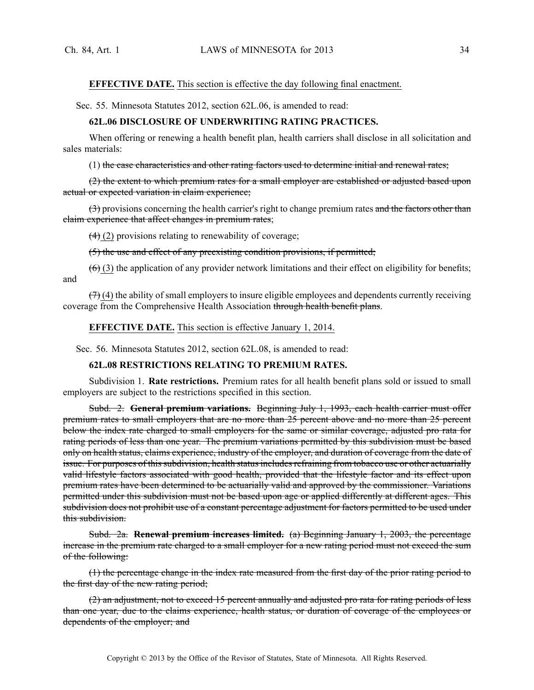**EFFECTIVE DATE.** This section is effective the day following final enactment.

Sec. 55. Minnesota Statutes 2012, section 62L.06, is amended to read:

#### **62L.06 DISCLOSURE OF UNDERWRITING RATING PRACTICES.**

When offering or renewing <sup>a</sup> health benefit plan, health carriers shall disclose in all solicitation and sales materials:

(1) the case characteristics and other rating factors used to determine initial and renewal rates;

(2) the extent to which premium rates for <sup>a</sup> small employer are established or adjusted based upon actual or expected variation in claim experience;

 $(3)$  provisions concerning the health carrier's right to change premium rates and the factors other than claim experience that affect changes in premium rates;

 $(4)$  (2) provisions relating to renewability of coverage;

(5) the use and effect of any preexisting condition provisions, if permitted;

 $(6)$  (3) the application of any provider network limitations and their effect on eligibility for benefits; and

 $(7)$  (4) the ability of small employers to insure eligible employees and dependents currently receiving coverage from the Comprehensive Health Association through health benefit plans.

#### **EFFECTIVE DATE.** This section is effective January 1, 2014.

Sec. 56. Minnesota Statutes 2012, section 62L.08, is amended to read:

#### **62L.08 RESTRICTIONS RELATING TO PREMIUM RATES.**

Subdivision 1. **Rate restrictions.** Premium rates for all health benefit plans sold or issued to small employers are subject to the restrictions specified in this section.

Subd. 2. **General premium variations.** Beginning July 1, 1993, each health carrier must offer premium rates to small employers that are no more than 25 percen<sup>t</sup> above and no more than 25 percen<sup>t</sup> below the index rate charged to small employers for the same or similar coverage, adjusted pro rata for rating periods of less than one year. The premium variations permitted by this subdivision must be based only on health status, claims experience, industry of the employer, and duration of coverage from the date of issue. For purposes of this subdivision, health status includes refraining from tobacco use or other actuarially valid lifestyle factors associated with good health, provided that the lifestyle factor and its effect upon premium rates have been determined to be actuarially valid and approved by the commissioner. Variations permitted under this subdivision must not be based upon age or applied differently at different ages. This subdivision does not prohibit use of <sup>a</sup> constant percentage adjustment for factors permitted to be used under this subdivision.

Subd. 2a. **Renewal premium increases limited.** (a) Beginning January 1, 2003, the percentage increase in the premium rate charged to <sup>a</sup> small employer for <sup>a</sup> new rating period must not exceed the sum of the following:

(1) the percentage change in the index rate measured from the first day of the prior rating period to the first day of the new rating period;

(2) an adjustment, not to exceed 15 percen<sup>t</sup> annually and adjusted pro rata for rating periods of less than one year, due to the claims experience, health status, or duration of coverage of the employees or dependents of the employer; and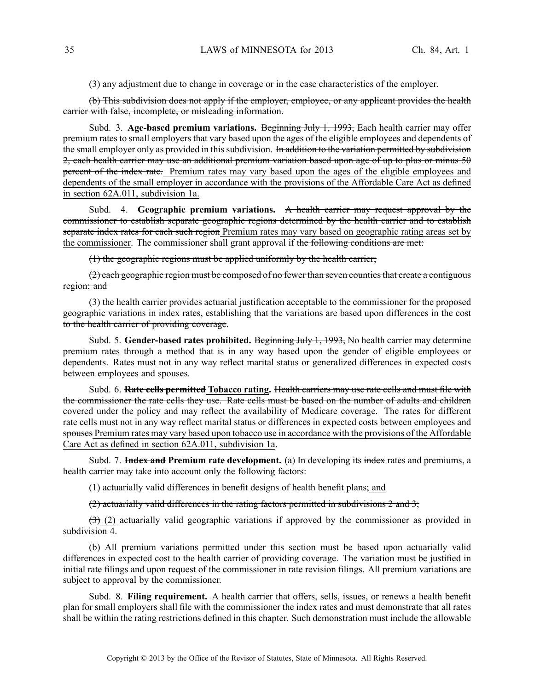(3) any adjustment due to change in coverage or in the case characteristics of the employer.

(b) This subdivision does not apply if the employer, employee, or any applicant provides the health carrier with false, incomplete, or misleading information.

Subd. 3. **Age-based premium variations.** Beginning July 1, 1993, Each health carrier may offer premium rates to small employers that vary based upon the ages of the eligible employees and dependents of the small employer only as provided in this subdivision. In addition to the variation permitted by subdivision 2, each health carrier may use an additional premium variation based upon age of up to plus or minus 50 percent of the index rate. Premium rates may vary based upon the ages of the eligible employees and dependents of the small employer in accordance with the provisions of the Affordable Care Act as defined in section 62A.011, subdivision 1a.

Subd. 4. **Geographic premium variations.** A health carrier may reques<sup>t</sup> approval by the commissioner to establish separate geographic regions determined by the health carrier and to establish separate index rates for each such region Premium rates may vary based on geographic rating areas set by the commissioner. The commissioner shall grant approval if the following conditions are met:

(1) the geographic regions must be applied uniformly by the health carrier;

(2) each geographic region must be composed of no fewer than seven countiesthat create <sup>a</sup> contiguous region; and

(3) the health carrier provides actuarial justification acceptable to the commissioner for the proposed geographic variations in index rates, establishing that the variations are based upon differences in the cost to the health carrier of providing coverage.

Subd. 5. **Gender-based rates prohibited.** Beginning July 1, 1993, No health carrier may determine premium rates through <sup>a</sup> method that is in any way based upon the gender of eligible employees or dependents. Rates must not in any way reflect marital status or generalized differences in expected costs between employees and spouses.

Subd. 6. **Rate cells permitted Tobacco rating.** Health carriers may use rate cells and must file with the commissioner the rate cells they use. Rate cells must be based on the number of adults and children covered under the policy and may reflect the availability of Medicare coverage. The rates for different rate cells must not in any way reflect marital status or differences in expected costs between employees and spouses Premium rates may vary based upon tobacco use in accordance with the provisions of the Affordable Care Act as defined in section 62A.011, subdivision 1a.

Subd. 7. **Index and Premium rate development.** (a) In developing its index rates and premiums, <sup>a</sup> health carrier may take into account only the following factors:

(1) actuarially valid differences in benefit designs of health benefit plans; and

(2) actuarially valid differences in the rating factors permitted in subdivisions 2 and 3;

(3) (2) actuarially valid geographic variations if approved by the commissioner as provided in subdivision  $\overline{4}$ .

(b) All premium variations permitted under this section must be based upon actuarially valid differences in expected cost to the health carrier of providing coverage. The variation must be justified in initial rate filings and upon reques<sup>t</sup> of the commissioner in rate revision filings. All premium variations are subject to approval by the commissioner.

Subd. 8. **Filing requirement.** A health carrier that offers, sells, issues, or renews <sup>a</sup> health benefit plan for small employers shall file with the commissioner the index rates and must demonstrate that all rates shall be within the rating restrictions defined in this chapter. Such demonstration must include the allowable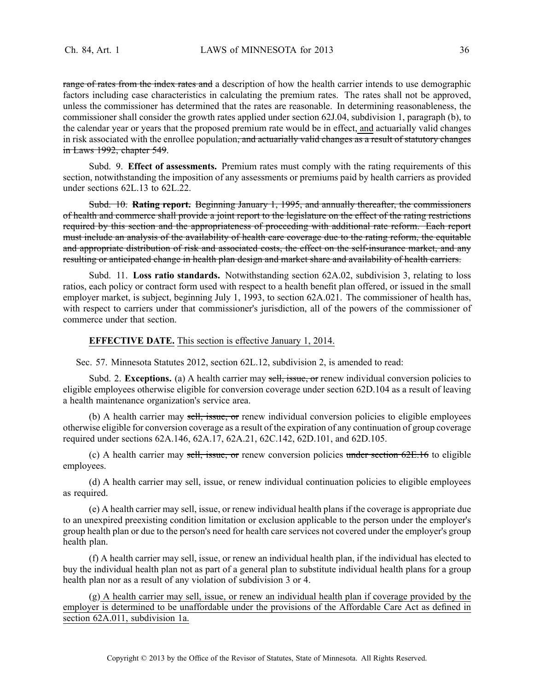range of rates from the index rates and a description of how the health carrier intends to use demographic factors including case characteristics in calculating the premium rates. The rates shall not be approved, unless the commissioner has determined that the rates are reasonable. In determining reasonableness, the commissioner shall consider the growth rates applied under section 62J.04, subdivision 1, paragraph (b), to the calendar year or years that the proposed premium rate would be in effect, and actuarially valid changes in risk associated with the enrollee population<del>, and actuarially valid changes as a result of statutory changes</del> in Laws 1992, chapter 549.

Subd. 9. **Effect of assessments.** Premium rates must comply with the rating requirements of this section, notwithstanding the imposition of any assessments or premiums paid by health carriers as provided under sections 62L.13 to 62L.22.

Subd. 10. **Rating report.** Beginning January 1, 1995, and annually thereafter, the commissioners of health and commerce shall provide <sup>a</sup> joint repor<sup>t</sup> to the legislature on the effect of the rating restrictions required by this section and the appropriateness of proceeding with additional rate reform. Each repor<sup>t</sup> must include an analysis of the availability of health care coverage due to the rating reform, the equitable and appropriate distribution of risk and associated costs, the effect on the self-insurance market, and any resulting or anticipated change in health plan design and market share and availability of health carriers.

Subd. 11. **Loss ratio standards.** Notwithstanding section 62A.02, subdivision 3, relating to loss ratios, each policy or contract form used with respec<sup>t</sup> to <sup>a</sup> health benefit plan offered, or issued in the small employer market, is subject, beginning July 1, 1993, to section 62A.021. The commissioner of health has, with respec<sup>t</sup> to carriers under that commissioner's jurisdiction, all of the powers of the commissioner of commerce under that section.

#### **EFFECTIVE DATE.** This section is effective January 1, 2014.

Sec. 57. Minnesota Statutes 2012, section 62L.12, subdivision 2, is amended to read:

Subd. 2. **Exceptions.** (a) A health carrier may sell, issue, or renew individual conversion policies to eligible employees otherwise eligible for conversion coverage under section 62D.104 as <sup>a</sup> result of leaving <sup>a</sup> health maintenance organization's service area.

(b) A health carrier may sell, issue, or renew individual conversion policies to eligible employees otherwise eligible for conversion coverage as <sup>a</sup> result of the expiration of any continuation of group coverage required under sections 62A.146, 62A.17, 62A.21, 62C.142, 62D.101, and 62D.105.

(c) A health carrier may sell, issue, or renew conversion policies under section  $62E.16$  to eligible employees.

(d) A health carrier may sell, issue, or renew individual continuation policies to eligible employees as required.

(e) A health carrier may sell, issue, or renew individual health plans if the coverage is appropriate due to an unexpired preexisting condition limitation or exclusion applicable to the person under the employer's group health plan or due to the person's need for health care services not covered under the employer's group health plan.

(f) A health carrier may sell, issue, or renew an individual health plan, if the individual has elected to buy the individual health plan not as par<sup>t</sup> of <sup>a</sup> general plan to substitute individual health plans for <sup>a</sup> group health plan nor as <sup>a</sup> result of any violation of subdivision 3 or 4.

(g) A health carrier may sell, issue, or renew an individual health plan if coverage provided by the employer is determined to be unaffordable under the provisions of the Affordable Care Act as defined in section 62A.011, subdivision 1a.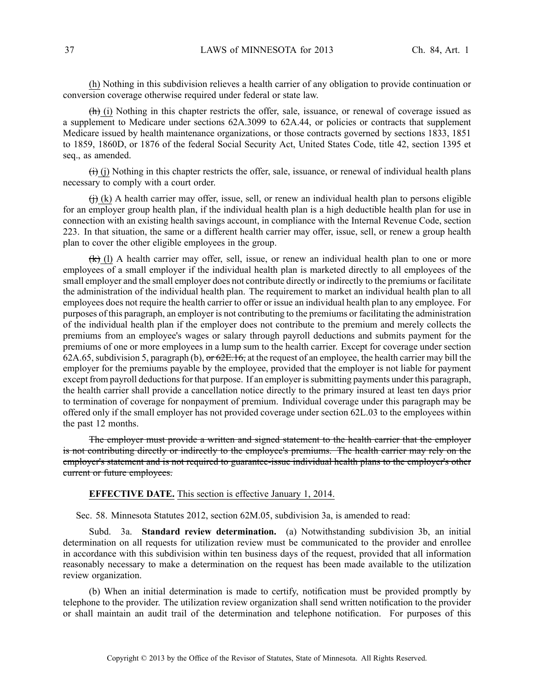(h) Nothing in this subdivision relieves <sup>a</sup> health carrier of any obligation to provide continuation or conversion coverage otherwise required under federal or state law.

(h) (i) Nothing in this chapter restricts the offer, sale, issuance, or renewal of coverage issued as <sup>a</sup> supplement to Medicare under sections 62A.3099 to 62A.44, or policies or contracts that supplement Medicare issued by health maintenance organizations, or those contracts governed by sections 1833, 1851 to 1859, 1860D, or 1876 of the federal Social Security Act, United States Code, title 42, section 1395 et seq., as amended.

 $(i)$  (i) Nothing in this chapter restricts the offer, sale, issuance, or renewal of individual health plans necessary to comply with <sup>a</sup> court order.

 $(f<sup>i</sup>)$  (k) A health carrier may offer, issue, sell, or renew an individual health plan to persons eligible for an employer group health plan, if the individual health plan is <sup>a</sup> high deductible health plan for use in connection with an existing health savings account, in compliance with the Internal Revenue Code, section 223. In that situation, the same or <sup>a</sup> different health carrier may offer, issue, sell, or renew <sup>a</sup> group health plan to cover the other eligible employees in the group.

(k) (l) A health carrier may offer, sell, issue, or renew an individual health plan to one or more employees of <sup>a</sup> small employer if the individual health plan is marketed directly to all employees of the small employer and the small employer does not contribute directly or indirectly to the premiums or facilitate the administration of the individual health plan. The requirement to market an individual health plan to all employees does not require the health carrier to offer or issue an individual health plan to any employee. For purposes of this paragraph, an employer is not contributing to the premiums or facilitating the administration of the individual health plan if the employer does not contribute to the premium and merely collects the premiums from an employee's wages or salary through payroll deductions and submits paymen<sup>t</sup> for the premiums of one or more employees in <sup>a</sup> lump sum to the health carrier. Except for coverage under section 62A.65, subdivision 5, paragraph (b), or 62E.16, at the reques<sup>t</sup> of an employee, the health carrier may bill the employer for the premiums payable by the employee, provided that the employer is not liable for paymen<sup>t</sup> except from payroll deductions for that purpose. If an employer is submitting payments under this paragraph, the health carrier shall provide <sup>a</sup> cancellation notice directly to the primary insured at least ten days prior to termination of coverage for nonpaymen<sup>t</sup> of premium. Individual coverage under this paragraph may be offered only if the small employer has not provided coverage under section 62L.03 to the employees within the pas<sup>t</sup> 12 months.

The employer must provide <sup>a</sup> written and signed statement to the health carrier that the employer is not contributing directly or indirectly to the employee's premiums. The health carrier may rely on the employer's statement and is not required to guarantee-issue individual health plans to the employer's other current or future employees.

#### **EFFECTIVE DATE.** This section is effective January 1, 2014.

Sec. 58. Minnesota Statutes 2012, section 62M.05, subdivision 3a, is amended to read:

Subd. 3a. **Standard review determination.** (a) Notwithstanding subdivision 3b, an initial determination on all requests for utilization review must be communicated to the provider and enrollee in accordance with this subdivision within ten business days of the request, provided that all information reasonably necessary to make <sup>a</sup> determination on the reques<sup>t</sup> has been made available to the utilization review organization.

(b) When an initial determination is made to certify, notification must be provided promptly by telephone to the provider. The utilization review organization shall send written notification to the provider or shall maintain an audit trail of the determination and telephone notification. For purposes of this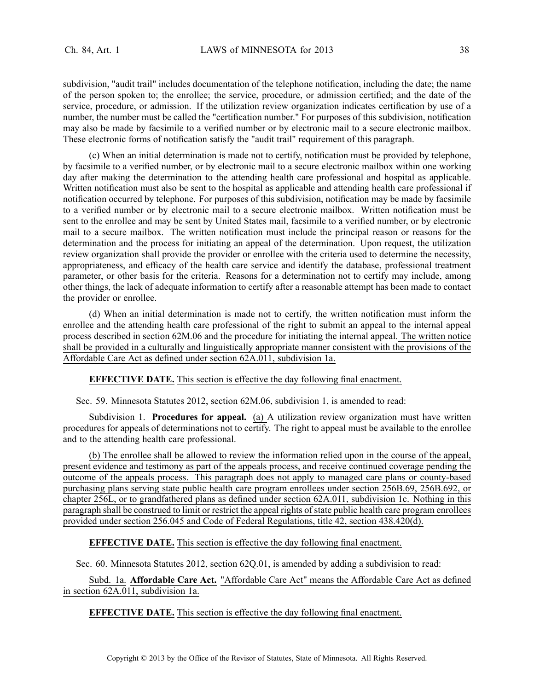subdivision, "audit trail" includes documentation of the telephone notification, including the date; the name of the person spoken to; the enrollee; the service, procedure, or admission certified; and the date of the service, procedure, or admission. If the utilization review organization indicates certification by use of <sup>a</sup> number, the number must be called the "certification number." For purposes of this subdivision, notification may also be made by facsimile to <sup>a</sup> verified number or by electronic mail to <sup>a</sup> secure electronic mailbox. These electronic forms of notification satisfy the "audit trail" requirement of this paragraph.

(c) When an initial determination is made not to certify, notification must be provided by telephone, by facsimile to <sup>a</sup> verified number, or by electronic mail to <sup>a</sup> secure electronic mailbox within one working day after making the determination to the attending health care professional and hospital as applicable. Written notification must also be sent to the hospital as applicable and attending health care professional if notification occurred by telephone. For purposes of this subdivision, notification may be made by facsimile to <sup>a</sup> verified number or by electronic mail to <sup>a</sup> secure electronic mailbox. Written notification must be sent to the enrollee and may be sent by United States mail, facsimile to <sup>a</sup> verified number, or by electronic mail to <sup>a</sup> secure mailbox. The written notification must include the principal reason or reasons for the determination and the process for initiating an appeal of the determination. Upon request, the utilization review organization shall provide the provider or enrollee with the criteria used to determine the necessity, appropriateness, and efficacy of the health care service and identify the database, professional treatment parameter, or other basis for the criteria. Reasons for <sup>a</sup> determination not to certify may include, among other things, the lack of adequate information to certify after <sup>a</sup> reasonable attempt has been made to contact the provider or enrollee.

(d) When an initial determination is made not to certify, the written notification must inform the enrollee and the attending health care professional of the right to submit an appeal to the internal appeal process described in section 62M.06 and the procedure for initiating the internal appeal. The written notice shall be provided in <sup>a</sup> culturally and linguistically appropriate manner consistent with the provisions of the Affordable Care Act as defined under section 62A.011, subdivision 1a.

### **EFFECTIVE DATE.** This section is effective the day following final enactment.

Sec. 59. Minnesota Statutes 2012, section 62M.06, subdivision 1, is amended to read:

Subdivision 1. **Procedures for appeal.** (a) A utilization review organization must have written procedures for appeals of determinations not to certify. The right to appeal must be available to the enrollee and to the attending health care professional.

(b) The enrollee shall be allowed to review the information relied upon in the course of the appeal, presen<sup>t</sup> evidence and testimony as par<sup>t</sup> of the appeals process, and receive continued coverage pending the outcome of the appeals process. This paragraph does not apply to managed care plans or county-based purchasing plans serving state public health care program enrollees under section 256B.69, 256B.692, or chapter 256L, or to grandfathered plans as defined under section 62A.011, subdivision 1c. Nothing in this paragraph shall be construed to limit or restrict the appeal rights of state public health care program enrollees provided under section 256.045 and Code of Federal Regulations, title 42, section 438.420(d).

**EFFECTIVE DATE.** This section is effective the day following final enactment.

Sec. 60. Minnesota Statutes 2012, section 62Q.01, is amended by adding <sup>a</sup> subdivision to read:

Subd. 1a. **Affordable Care Act.** "Affordable Care Act" means the Affordable Care Act as defined in section 62A.011, subdivision 1a.

**EFFECTIVE DATE.** This section is effective the day following final enactment.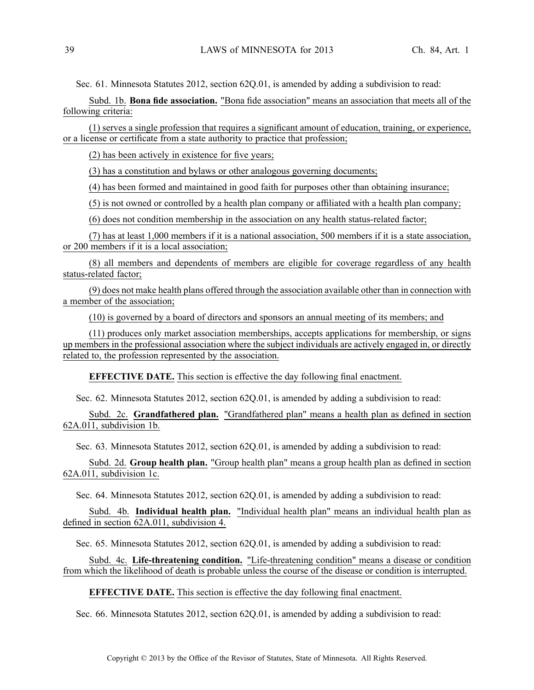Sec. 61. Minnesota Statutes 2012, section 62Q.01, is amended by adding <sup>a</sup> subdivision to read:

Subd. 1b. **Bona fide association.** "Bona fide association" means an association that meets all of the following criteria:

(1) serves <sup>a</sup> single profession that requires <sup>a</sup> significant amount of education, training, or experience, or <sup>a</sup> license or certificate from <sup>a</sup> state authority to practice that profession;

(2) has been actively in existence for five years;

(3) has <sup>a</sup> constitution and bylaws or other analogous governing documents;

(4) has been formed and maintained in good faith for purposes other than obtaining insurance;

(5) is not owned or controlled by <sup>a</sup> health plan company or affiliated with <sup>a</sup> health plan company;

(6) does not condition membership in the association on any health status-related factor;

(7) has at least 1,000 members if it is <sup>a</sup> national association, 500 members if it is <sup>a</sup> state association, or 200 members if it is <sup>a</sup> local association;

(8) all members and dependents of members are eligible for coverage regardless of any health status-related factor;

(9) does not make health plans offered through the association available other than in connection with <sup>a</sup> member of the association;

(10) is governed by <sup>a</sup> board of directors and sponsors an annual meeting of its members; and

(11) produces only market association memberships, accepts applications for membership, or signs up members in the professional association where the subject individuals are actively engaged in, or directly related to, the profession represented by the association.

**EFFECTIVE DATE.** This section is effective the day following final enactment.

Sec. 62. Minnesota Statutes 2012, section 62Q.01, is amended by adding <sup>a</sup> subdivision to read:

Subd. 2c. **Grandfathered plan.** "Grandfathered plan" means <sup>a</sup> health plan as defined in section 62A.011, subdivision 1b.

Sec. 63. Minnesota Statutes 2012, section 62Q.01, is amended by adding <sup>a</sup> subdivision to read:

Subd. 2d. **Group health plan.** "Group health plan" means <sup>a</sup> group health plan as defined in section 62A.011, subdivision 1c.

Sec. 64. Minnesota Statutes 2012, section 62Q.01, is amended by adding <sup>a</sup> subdivision to read:

Subd. 4b. **Individual health plan.** "Individual health plan" means an individual health plan as defined in section 62A.011, subdivision 4.

Sec. 65. Minnesota Statutes 2012, section 62Q.01, is amended by adding <sup>a</sup> subdivision to read:

Subd. 4c. **Life-threatening condition.** "Life-threatening condition" means <sup>a</sup> disease or condition from which the likelihood of death is probable unless the course of the disease or condition is interrupted.

**EFFECTIVE DATE.** This section is effective the day following final enactment.

Sec. 66. Minnesota Statutes 2012, section 62Q.01, is amended by adding <sup>a</sup> subdivision to read: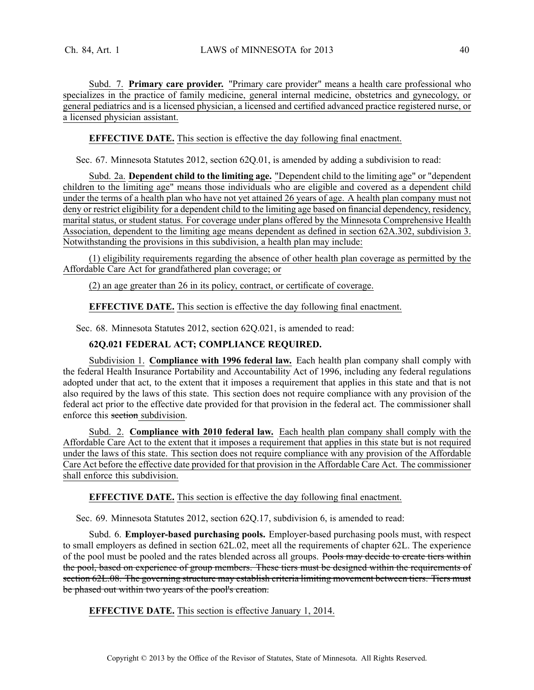Subd. 7. **Primary care provider.** "Primary care provider" means <sup>a</sup> health care professional who specializes in the practice of family medicine, general internal medicine, obstetrics and gynecology, or general pediatrics and is <sup>a</sup> licensed physician, <sup>a</sup> licensed and certified advanced practice registered nurse, or <sup>a</sup> licensed physician assistant.

## **EFFECTIVE DATE.** This section is effective the day following final enactment.

Sec. 67. Minnesota Statutes 2012, section 62Q.01, is amended by adding <sup>a</sup> subdivision to read:

Subd. 2a. **Dependent child to the limiting age.** "Dependent child to the limiting age" or "dependent children to the limiting age" means those individuals who are eligible and covered as <sup>a</sup> dependent child under the terms of a health plan who have not yet attained 26 years of age. A health plan company must not deny or restrict eligibility for <sup>a</sup> dependent child to the limiting age based on financial dependency, residency, marital status, or student status. For coverage under plans offered by the Minnesota Comprehensive Health Association, dependent to the limiting age means dependent as defined in section 62A.302, subdivision 3. Notwithstanding the provisions in this subdivision, <sup>a</sup> health plan may include:

(1) eligibility requirements regarding the absence of other health plan coverage as permitted by the Affordable Care Act for grandfathered plan coverage; or

(2) an age greater than 26 in its policy, contract, or certificate of coverage.

**EFFECTIVE DATE.** This section is effective the day following final enactment.

Sec. 68. Minnesota Statutes 2012, section 62Q.021, is amended to read:

### **62Q.021 FEDERAL ACT; COMPLIANCE REQUIRED.**

Subdivision 1. **Compliance with 1996 federal law.** Each health plan company shall comply with the federal Health Insurance Portability and Accountability Act of 1996, including any federal regulations adopted under that act, to the extent that it imposes <sup>a</sup> requirement that applies in this state and that is not also required by the laws of this state. This section does not require compliance with any provision of the federal act prior to the effective date provided for that provision in the federal act. The commissioner shall enforce this section subdivision.

Subd. 2. **Compliance with 2010 federal law.** Each health plan company shall comply with the Affordable Care Act to the extent that it imposes <sup>a</sup> requirement that applies in this state but is not required under the laws of this state. This section does not require compliance with any provision of the Affordable Care Act before the effective date provided for that provision in the Affordable Care Act. The commissioner shall enforce this subdivision.

## **EFFECTIVE DATE.** This section is effective the day following final enactment.

Sec. 69. Minnesota Statutes 2012, section 62Q.17, subdivision 6, is amended to read:

Subd. 6. **Employer-based purchasing pools.** Employer-based purchasing pools must, with respec<sup>t</sup> to small employers as defined in section 62L.02, meet all the requirements of chapter 62L. The experience of the pool must be pooled and the rates blended across all groups. Pools may decide to create tiers within the pool, based on experience of group members. These tiers must be designed within the requirements of section 62L.08. The governing structure may establish criteria limiting movement between tiers. Tiers must be phased out within two years of the pool's creation.

**EFFECTIVE DATE.** This section is effective January 1, 2014.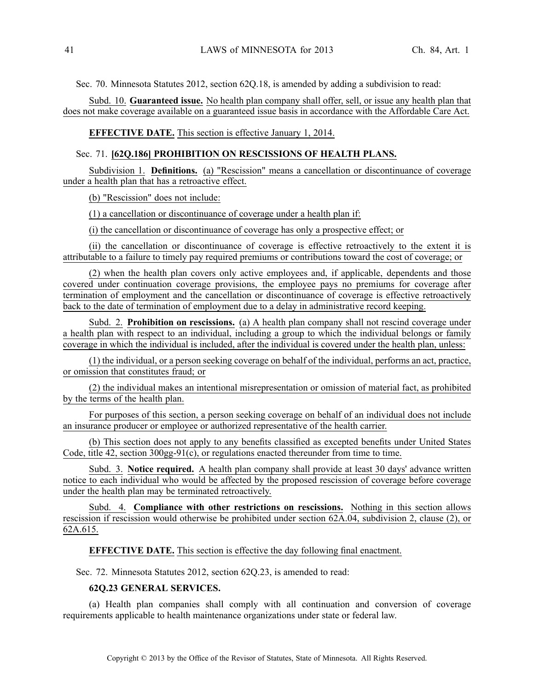Sec. 70. Minnesota Statutes 2012, section 62Q.18, is amended by adding <sup>a</sup> subdivision to read:

Subd. 10. **Guaranteed issue.** No health plan company shall offer, sell, or issue any health plan that does not make coverage available on <sup>a</sup> guaranteed issue basis in accordance with the Affordable Care Act.

**EFFECTIVE DATE.** This section is effective January 1, 2014.

#### Sec. 71. **[62Q.186] PROHIBITION ON RESCISSIONS OF HEALTH PLANS.**

Subdivision 1. **Definitions.** (a) "Rescission" means <sup>a</sup> cancellation or discontinuance of coverage under <sup>a</sup> health plan that has <sup>a</sup> retroactive effect.

(b) "Rescission" does not include:

(1) <sup>a</sup> cancellation or discontinuance of coverage under <sup>a</sup> health plan if:

(i) the cancellation or discontinuance of coverage has only <sup>a</sup> prospective effect; or

(ii) the cancellation or discontinuance of coverage is effective retroactively to the extent it is attributable to <sup>a</sup> failure to timely pay required premiums or contributions toward the cost of coverage; or

(2) when the health plan covers only active employees and, if applicable, dependents and those covered under continuation coverage provisions, the employee pays no premiums for coverage after termination of employment and the cancellation or discontinuance of coverage is effective retroactively back to the date of termination of employment due to <sup>a</sup> delay in administrative record keeping.

Subd. 2. **Prohibition on rescissions.** (a) A health plan company shall not rescind coverage under <sup>a</sup> health plan with respec<sup>t</sup> to an individual, including <sup>a</sup> group to which the individual belongs or family coverage in which the individual is included, after the individual is covered under the health plan, unless:

(1) the individual, or <sup>a</sup> person seeking coverage on behalf of the individual, performs an act, practice, or omission that constitutes fraud; or

(2) the individual makes an intentional misrepresentation or omission of material fact, as prohibited by the terms of the health plan.

For purposes of this section, <sup>a</sup> person seeking coverage on behalf of an individual does not include an insurance producer or employee or authorized representative of the health carrier.

(b) This section does not apply to any benefits classified as excepted benefits under United States Code, title 42, section 300gg-91(c), or regulations enacted thereunder from time to time.

Subd. 3. **Notice required.** A health plan company shall provide at least 30 days' advance written notice to each individual who would be affected by the proposed rescission of coverage before coverage under the health plan may be terminated retroactively.

Subd. 4. **Compliance with other restrictions on rescissions.** Nothing in this section allows rescission if rescission would otherwise be prohibited under section 62A.04, subdivision 2, clause (2), or 62A.615.

**EFFECTIVE DATE.** This section is effective the day following final enactment.

Sec. 72. Minnesota Statutes 2012, section 62Q.23, is amended to read:

#### **62Q.23 GENERAL SERVICES.**

(a) Health plan companies shall comply with all continuation and conversion of coverage requirements applicable to health maintenance organizations under state or federal law.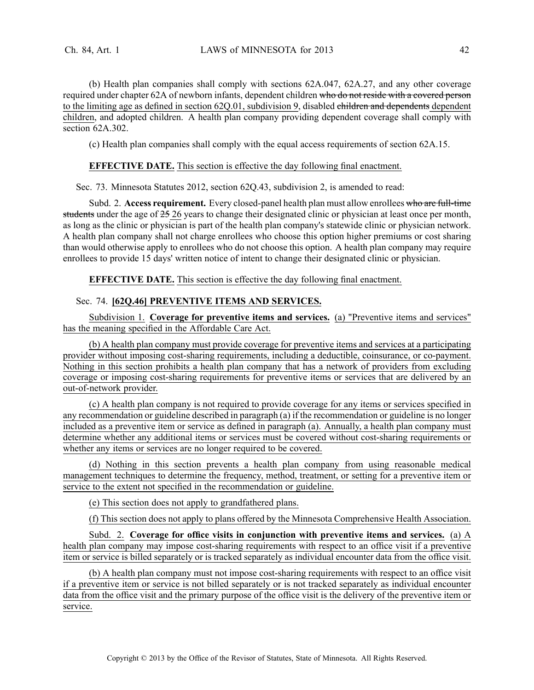(b) Health plan companies shall comply with sections 62A.047, 62A.27, and any other coverage required under chapter 62A of newborn infants, dependent children who do not reside with <sup>a</sup> covered person to the limiting age as defined in section 62Q.01, subdivision 9, disabled children and dependents dependent children, and adopted children. A health plan company providing dependent coverage shall comply with section 62A.302.

(c) Health plan companies shall comply with the equal access requirements of section 62A.15.

#### **EFFECTIVE DATE.** This section is effective the day following final enactment.

Sec. 73. Minnesota Statutes 2012, section 62Q.43, subdivision 2, is amended to read:

Subd. 2. **Access requirement.** Every closed-panel health plan must allow enrollees who are full-time students under the age of  $2526$  years to change their designated clinic or physician at least once per month, as long as the clinic or physician is par<sup>t</sup> of the health plan company's statewide clinic or physician network. A health plan company shall not charge enrollees who choose this option higher premiums or cost sharing than would otherwise apply to enrollees who do not choose this option. A health plan company may require enrollees to provide 15 days' written notice of intent to change their designated clinic or physician.

**EFFECTIVE DATE.** This section is effective the day following final enactment.

### Sec. 74. **[62Q.46] PREVENTIVE ITEMS AND SERVICES.**

Subdivision 1. **Coverage for preventive items and services.** (a) "Preventive items and services" has the meaning specified in the Affordable Care Act.

(b) A health plan company must provide coverage for preventive items and services at <sup>a</sup> participating provider without imposing cost-sharing requirements, including <sup>a</sup> deductible, coinsurance, or co-payment. Nothing in this section prohibits <sup>a</sup> health plan company that has <sup>a</sup> network of providers from excluding coverage or imposing cost-sharing requirements for preventive items or services that are delivered by an out-of-network provider.

(c) A health plan company is not required to provide coverage for any items or services specified in any recommendation or guideline described in paragraph (a) if the recommendation or guideline is no longer included as <sup>a</sup> preventive item or service as defined in paragraph (a). Annually, <sup>a</sup> health plan company must determine whether any additional items or services must be covered without cost-sharing requirements or whether any items or services are no longer required to be covered.

(d) Nothing in this section prevents <sup>a</sup> health plan company from using reasonable medical managemen<sup>t</sup> techniques to determine the frequency, method, treatment, or setting for <sup>a</sup> preventive item or service to the extent not specified in the recommendation or guideline.

(e) This section does not apply to grandfathered plans.

(f) This section does not apply to plans offered by the Minnesota Comprehensive Health Association.

Subd. 2. **Coverage for office visits in conjunction with preventive items and services.** (a) A health plan company may impose cost-sharing requirements with respec<sup>t</sup> to an office visit if <sup>a</sup> preventive item or service is billed separately or is tracked separately as individual encounter data from the office visit.

(b) A health plan company must not impose cost-sharing requirements with respec<sup>t</sup> to an office visit if <sup>a</sup> preventive item or service is not billed separately or is not tracked separately as individual encounter data from the office visit and the primary purpose of the office visit is the delivery of the preventive item or service.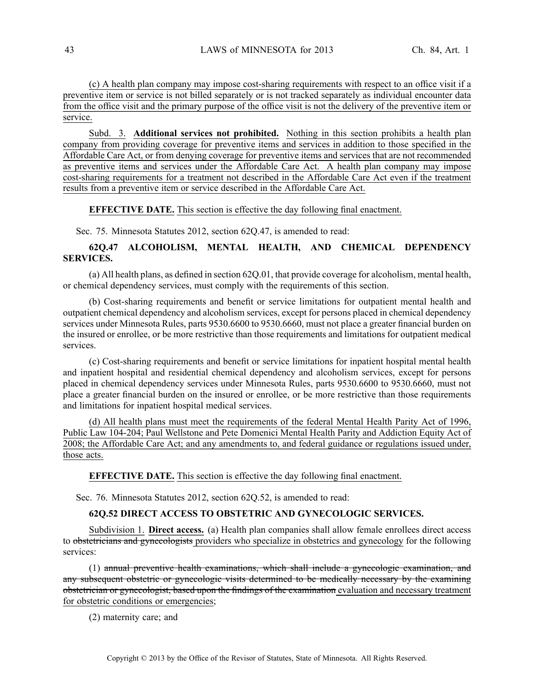(c) A health plan company may impose cost-sharing requirements with respec<sup>t</sup> to an office visit if <sup>a</sup> preventive item or service is not billed separately or is not tracked separately as individual encounter data from the office visit and the primary purpose of the office visit is not the delivery of the preventive item or service.

Subd. 3. **Additional services not prohibited.** Nothing in this section prohibits <sup>a</sup> health plan company from providing coverage for preventive items and services in addition to those specified in the Affordable Care Act, or from denying coverage for preventive items and services that are not recommended as preventive items and services under the Affordable Care Act. A health plan company may impose cost-sharing requirements for <sup>a</sup> treatment not described in the Affordable Care Act even if the treatment results from <sup>a</sup> preventive item or service described in the Affordable Care Act.

**EFFECTIVE DATE.** This section is effective the day following final enactment.

Sec. 75. Minnesota Statutes 2012, section 62Q.47, is amended to read:

## **62Q.47 ALCOHOLISM, MENTAL HEALTH, AND CHEMICAL DEPENDENCY SERVICES.**

(a) All health plans, as defined in section 62Q.01, that provide coverage for alcoholism, mental health, or chemical dependency services, must comply with the requirements of this section.

(b) Cost-sharing requirements and benefit or service limitations for outpatient mental health and outpatient chemical dependency and alcoholism services, excep<sup>t</sup> for persons placed in chemical dependency services under Minnesota Rules, parts 9530.6600 to 9530.6660, must not place <sup>a</sup> greater financial burden on the insured or enrollee, or be more restrictive than those requirements and limitations for outpatient medical services.

(c) Cost-sharing requirements and benefit or service limitations for inpatient hospital mental health and inpatient hospital and residential chemical dependency and alcoholism services, excep<sup>t</sup> for persons placed in chemical dependency services under Minnesota Rules, parts 9530.6600 to 9530.6660, must not place <sup>a</sup> greater financial burden on the insured or enrollee, or be more restrictive than those requirements and limitations for inpatient hospital medical services.

(d) All health plans must meet the requirements of the federal Mental Health Parity Act of 1996, Public Law 104-204; Paul Wellstone and Pete Domenici Mental Health Parity and Addiction Equity Act of 2008; the Affordable Care Act; and any amendments to, and federal guidance or regulations issued under, those acts.

#### **EFFECTIVE DATE.** This section is effective the day following final enactment.

Sec. 76. Minnesota Statutes 2012, section 62Q.52, is amended to read:

## **62Q.52 DIRECT ACCESS TO OBSTETRIC AND GYNECOLOGIC SERVICES.**

Subdivision 1. **Direct access.** (a) Health plan companies shall allow female enrollees direct access to obstetricians and gynecologists providers who specialize in obstetrics and gynecology for the following services:

(1) annual preventive health examinations, which shall include <sup>a</sup> gynecologic examination, and any subsequent obstetric or gynecologic visits determined to be medically necessary by the examining obstetrician or gynecologist, based upon the findings of the examination evaluation and necessary treatment for obstetric conditions or emergencies;

(2) maternity care; and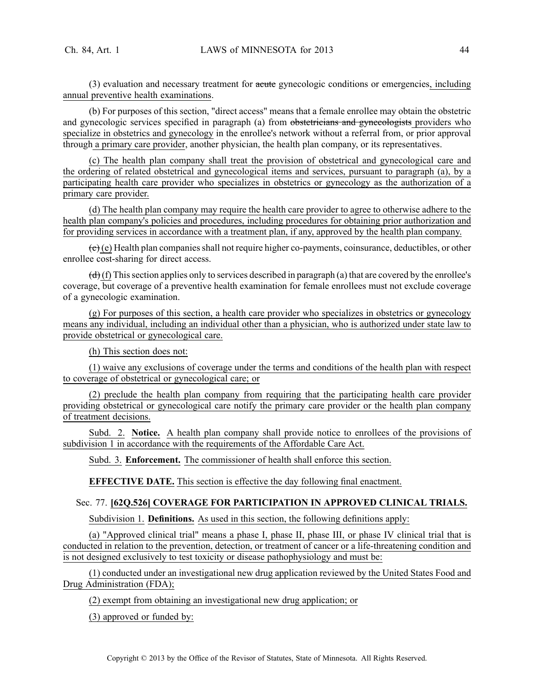(3) evaluation and necessary treatment for acute gynecologic conditions or emergencies, including annual preventive health examinations.

(b) For purposes of this section, "direct access" means that <sup>a</sup> female enrollee may obtain the obstetric and gynecologic services specified in paragraph (a) from obstetricians and gynecologists providers who specialize in obstetrics and gynecology in the enrollee's network without <sup>a</sup> referral from, or prior approval through <sup>a</sup> primary care provider, another physician, the health plan company, or its representatives.

(c) The health plan company shall treat the provision of obstetrical and gynecological care and the ordering of related obstetrical and gynecological items and services, pursuan<sup>t</sup> to paragraph (a), by <sup>a</sup> participating health care provider who specializes in obstetrics or gynecology as the authorization of <sup>a</sup> primary care provider.

(d) The health plan company may require the health care provider to agree to otherwise adhere to the health plan company's policies and procedures, including procedures for obtaining prior authorization and for providing services in accordance with <sup>a</sup> treatment plan, if any, approved by the health plan company.

 $\left( \frac{\partial}{\partial t} \right)$  Health plan companies shall not require higher co-payments, coinsurance, deductibles, or other enrollee cost-sharing for direct access.

 $(d)$  (f) This section applies only to services described in paragraph (a) that are covered by the enrollee's coverage, but coverage of <sup>a</sup> preventive health examination for female enrollees must not exclude coverage of <sup>a</sup> gynecologic examination.

(g) For purposes of this section, <sup>a</sup> health care provider who specializes in obstetrics or gynecology means any individual, including an individual other than <sup>a</sup> physician, who is authorized under state law to provide obstetrical or gynecological care.

(h) This section does not:

(1) waive any exclusions of coverage under the terms and conditions of the health plan with respec<sup>t</sup> to coverage of obstetrical or gynecological care; or

(2) preclude the health plan company from requiring that the participating health care provider providing obstetrical or gynecological care notify the primary care provider or the health plan company of treatment decisions.

Subd. 2. **Notice.** A health plan company shall provide notice to enrollees of the provisions of subdivision 1 in accordance with the requirements of the Affordable Care Act.

Subd. 3. **Enforcement.** The commissioner of health shall enforce this section.

**EFFECTIVE DATE.** This section is effective the day following final enactment.

### Sec. 77. **[62Q.526] COVERAGE FOR PARTICIPATION IN APPROVED CLINICAL TRIALS.**

Subdivision 1. **Definitions.** As used in this section, the following definitions apply:

(a) "Approved clinical trial" means <sup>a</sup> phase I, phase II, phase III, or phase IV clinical trial that is conducted in relation to the prevention, detection, or treatment of cancer or <sup>a</sup> life-threatening condition and is not designed exclusively to test toxicity or disease pathophysiology and must be:

(1) conducted under an investigational new drug application reviewed by the United States Food and Drug Administration (FDA);

(2) exemp<sup>t</sup> from obtaining an investigational new drug application; or

(3) approved or funded by: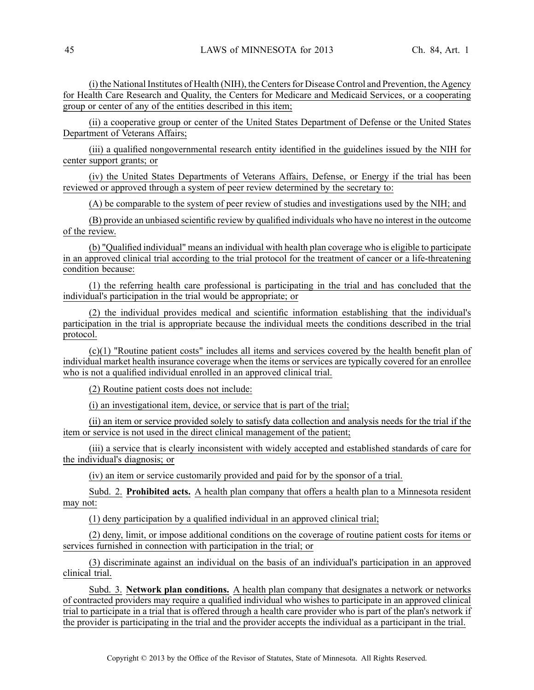(i) the National Institutes of Health (NIH), the Centersfor Disease Control and Prevention, the Agency for Health Care Research and Quality, the Centers for Medicare and Medicaid Services, or <sup>a</sup> cooperating group or center of any of the entities described in this item;

(ii) <sup>a</sup> cooperative group or center of the United States Department of Defense or the United States Department of Veterans Affairs;

(iii) <sup>a</sup> qualified nongovernmental research entity identified in the guidelines issued by the NIH for center support grants; or

(iv) the United States Departments of Veterans Affairs, Defense, or Energy if the trial has been reviewed or approved through <sup>a</sup> system of peer review determined by the secretary to:

(A) be comparable to the system of peer review of studies and investigations used by the NIH; and

(B) provide an unbiased scientific review by qualified individuals who have no interest in the outcome of the review.

(b) "Qualified individual" means an individual with health plan coverage who is eligible to participate in an approved clinical trial according to the trial protocol for the treatment of cancer or <sup>a</sup> life-threatening condition because:

(1) the referring health care professional is participating in the trial and has concluded that the individual's participation in the trial would be appropriate; or

(2) the individual provides medical and scientific information establishing that the individual's participation in the trial is appropriate because the individual meets the conditions described in the trial protocol.

(c)(1) "Routine patient costs" includes all items and services covered by the health benefit plan of individual market health insurance coverage when the items or services are typically covered for an enrollee who is not <sup>a</sup> qualified individual enrolled in an approved clinical trial.

(2) Routine patient costs does not include:

(i) an investigational item, device, or service that is par<sup>t</sup> of the trial;

(ii) an item or service provided solely to satisfy data collection and analysis needs for the trial if the item or service is not used in the direct clinical managemen<sup>t</sup> of the patient;

(iii) <sup>a</sup> service that is clearly inconsistent with widely accepted and established standards of care for the individual's diagnosis; or

(iv) an item or service customarily provided and paid for by the sponsor of <sup>a</sup> trial.

Subd. 2. **Prohibited acts.** A health plan company that offers <sup>a</sup> health plan to <sup>a</sup> Minnesota resident may not:

(1) deny participation by <sup>a</sup> qualified individual in an approved clinical trial;

(2) deny, limit, or impose additional conditions on the coverage of routine patient costs for items or services furnished in connection with participation in the trial; or

(3) discriminate against an individual on the basis of an individual's participation in an approved clinical trial.

Subd. 3. **Network plan conditions.** A health plan company that designates <sup>a</sup> network or networks of contracted providers may require <sup>a</sup> qualified individual who wishes to participate in an approved clinical trial to participate in <sup>a</sup> trial that is offered through <sup>a</sup> health care provider who is par<sup>t</sup> of the plan's network if the provider is participating in the trial and the provider accepts the individual as <sup>a</sup> participant in the trial.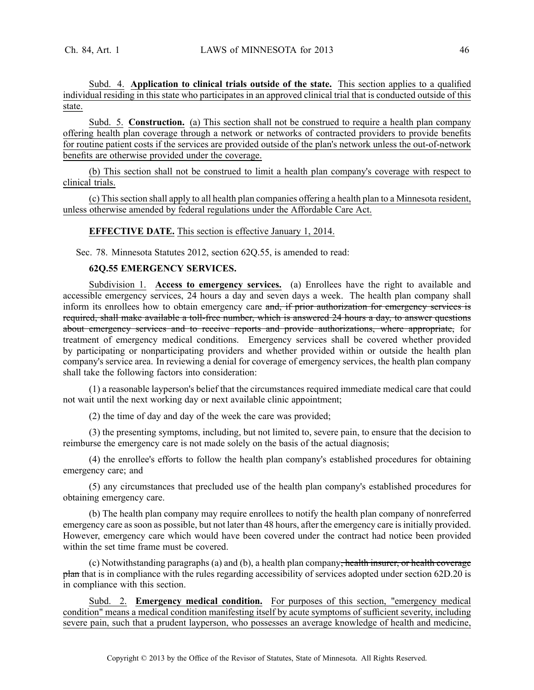Subd. 4. **Application to clinical trials outside of the state.** This section applies to <sup>a</sup> qualified individual residing in this state who participates in an approved clinical trial that is conducted outside of this state.

Subd. 5. **Construction.** (a) This section shall not be construed to require <sup>a</sup> health plan company offering health plan coverage through <sup>a</sup> network or networks of contracted providers to provide benefits for routine patient costs if the services are provided outside of the plan's network unless the out-of-network benefits are otherwise provided under the coverage.

(b) This section shall not be construed to limit <sup>a</sup> health plan company's coverage with respec<sup>t</sup> to clinical trials.

(c) Thissection shall apply to all health plan companies offering <sup>a</sup> health plan to <sup>a</sup> Minnesota resident, unless otherwise amended by federal regulations under the Affordable Care Act.

**EFFECTIVE DATE.** This section is effective January 1, 2014.

Sec. 78. Minnesota Statutes 2012, section 62Q.55, is amended to read:

#### **62Q.55 EMERGENCY SERVICES.**

Subdivision 1. **Access to emergency services.** (a) Enrollees have the right to available and accessible emergency services, 24 hours <sup>a</sup> day and seven days <sup>a</sup> week. The health plan company shall inform its enrollees how to obtain emergency care and, if prior authorization for emergency services is required, shall make available <sup>a</sup> toll-free number, which is answered 24 hours <sup>a</sup> day, to answer questions about emergency services and to receive reports and provide authorizations, where appropriate, for treatment of emergency medical conditions. Emergency services shall be covered whether provided by participating or nonparticipating providers and whether provided within or outside the health plan company's service area. In reviewing <sup>a</sup> denial for coverage of emergency services, the health plan company shall take the following factors into consideration:

(1) <sup>a</sup> reasonable layperson's belief that the circumstances required immediate medical care that could not wait until the next working day or next available clinic appointment;

(2) the time of day and day of the week the care was provided;

(3) the presenting symptoms, including, but not limited to, severe pain, to ensure that the decision to reimburse the emergency care is not made solely on the basis of the actual diagnosis;

(4) the enrollee's efforts to follow the health plan company's established procedures for obtaining emergency care; and

(5) any circumstances that precluded use of the health plan company's established procedures for obtaining emergency care.

(b) The health plan company may require enrollees to notify the health plan company of nonreferred emergency care as soon as possible, but not later than 48 hours, after the emergency care is initially provided. However, emergency care which would have been covered under the contract had notice been provided within the set time frame must be covered.

(c) Notwithstanding paragraphs (a) and (b), a health plan company, health insurer, or health coverage plan that is in compliance with the rules regarding accessibility of services adopted under section 62D.20 is in compliance with this section.

Subd. 2. **Emergency medical condition.** For purposes of this section, "emergency medical condition" means <sup>a</sup> medical condition manifesting itself by acute symptoms of sufficient severity, including severe pain, such that <sup>a</sup> prudent layperson, who possesses an average knowledge of health and medicine,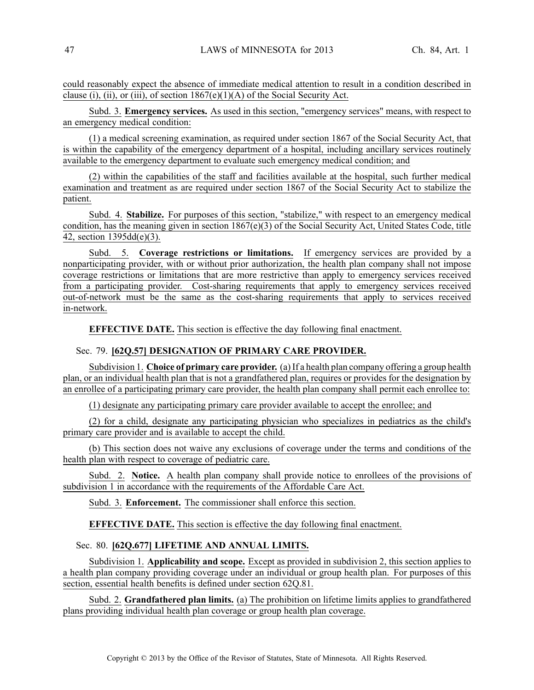could reasonably expec<sup>t</sup> the absence of immediate medical attention to result in <sup>a</sup> condition described in clause (i), (ii), or (iii), of section  $1867(e)(1)(A)$  of the Social Security Act.

Subd. 3. **Emergency services.** As used in this section, "emergency services" means, with respec<sup>t</sup> to an emergency medical condition:

(1) <sup>a</sup> medical screening examination, as required under section 1867 of the Social Security Act, that is within the capability of the emergency department of <sup>a</sup> hospital, including ancillary services routinely available to the emergency department to evaluate such emergency medical condition; and

(2) within the capabilities of the staff and facilities available at the hospital, such further medical examination and treatment as are required under section 1867 of the Social Security Act to stabilize the patient.

Subd. 4. **Stabilize.** For purposes of this section, "stabilize," with respec<sup>t</sup> to an emergency medical condition, has the meaning given in section 1867(e)(3) of the Social Security Act, United States Code, title 42, section 1395dd(e)(3).

Subd. 5. **Coverage restrictions or limitations.** If emergency services are provided by <sup>a</sup> nonparticipating provider, with or without prior authorization, the health plan company shall not impose coverage restrictions or limitations that are more restrictive than apply to emergency services received from <sup>a</sup> participating provider. Cost-sharing requirements that apply to emergency services received out-of-network must be the same as the cost-sharing requirements that apply to services received in-network.

**EFFECTIVE DATE.** This section is effective the day following final enactment.

### Sec. 79. **[62Q.57] DESIGNATION OF PRIMARY CARE PROVIDER.**

Subdivision 1. **Choice of primary care provider.** (a) If <sup>a</sup> health plan company offering <sup>a</sup> group health plan, or an individual health plan that is not <sup>a</sup> grandfathered plan, requires or provides for the designation by an enrollee of <sup>a</sup> participating primary care provider, the health plan company shall permit each enrollee to:

(1) designate any participating primary care provider available to accep<sup>t</sup> the enrollee; and

(2) for <sup>a</sup> child, designate any participating physician who specializes in pediatrics as the child's primary care provider and is available to accep<sup>t</sup> the child.

(b) This section does not waive any exclusions of coverage under the terms and conditions of the health plan with respec<sup>t</sup> to coverage of pediatric care.

Subd. 2. **Notice.** A health plan company shall provide notice to enrollees of the provisions of subdivision 1 in accordance with the requirements of the Affordable Care Act.

Subd. 3. **Enforcement.** The commissioner shall enforce this section.

**EFFECTIVE DATE.** This section is effective the day following final enactment.

### Sec. 80. **[62Q.677] LIFETIME AND ANNUAL LIMITS.**

Subdivision 1. **Applicability and scope.** Except as provided in subdivision 2, this section applies to <sup>a</sup> health plan company providing coverage under an individual or group health plan. For purposes of this section, essential health benefits is defined under section 62Q.81.

Subd. 2. **Grandfathered plan limits.** (a) The prohibition on lifetime limits applies to grandfathered plans providing individual health plan coverage or group health plan coverage.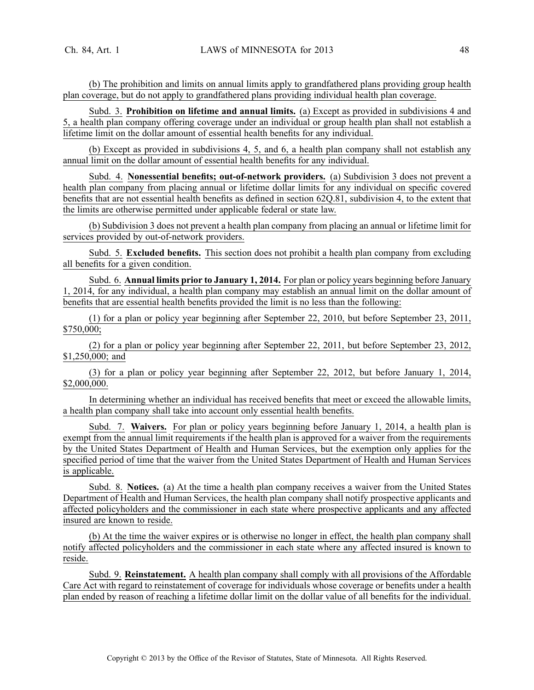(b) The prohibition and limits on annual limits apply to grandfathered plans providing group health plan coverage, but do not apply to grandfathered plans providing individual health plan coverage.

Subd. 3. **Prohibition on lifetime and annual limits.** (a) Except as provided in subdivisions 4 and 5, <sup>a</sup> health plan company offering coverage under an individual or group health plan shall not establish <sup>a</sup> lifetime limit on the dollar amount of essential health benefits for any individual.

(b) Except as provided in subdivisions 4, 5, and 6, <sup>a</sup> health plan company shall not establish any annual limit on the dollar amount of essential health benefits for any individual.

Subd. 4. **Nonessential benefits; out-of-network providers.** (a) Subdivision 3 does not preven<sup>t</sup> <sup>a</sup> health plan company from placing annual or lifetime dollar limits for any individual on specific covered benefits that are not essential health benefits as defined in section 62Q.81, subdivision 4, to the extent that the limits are otherwise permitted under applicable federal or state law.

(b) Subdivision 3 does not preven<sup>t</sup> <sup>a</sup> health plan company from placing an annual or lifetime limit for services provided by out-of-network providers.

Subd. 5. **Excluded benefits.** This section does not prohibit <sup>a</sup> health plan company from excluding all benefits for <sup>a</sup> given condition.

Subd. 6. **Annual limits prior to January 1, 2014.** For plan or policy years beginning before January 1, 2014, for any individual, <sup>a</sup> health plan company may establish an annual limit on the dollar amount of benefits that are essential health benefits provided the limit is no less than the following:

(1) for <sup>a</sup> plan or policy year beginning after September 22, 2010, but before September 23, 2011, \$750,000;

(2) for <sup>a</sup> plan or policy year beginning after September 22, 2011, but before September 23, 2012, \$1,250,000; and

(3) for <sup>a</sup> plan or policy year beginning after September 22, 2012, but before January 1, 2014, \$2,000,000.

In determining whether an individual has received benefits that meet or exceed the allowable limits, <sup>a</sup> health plan company shall take into account only essential health benefits.

Subd. 7. **Waivers.** For plan or policy years beginning before January 1, 2014, <sup>a</sup> health plan is exemp<sup>t</sup> from the annual limit requirements if the health plan is approved for <sup>a</sup> waiver from the requirements by the United States Department of Health and Human Services, but the exemption only applies for the specified period of time that the waiver from the United States Department of Health and Human Services is applicable.

Subd. 8. **Notices.** (a) At the time <sup>a</sup> health plan company receives <sup>a</sup> waiver from the United States Department of Health and Human Services, the health plan company shall notify prospective applicants and affected policyholders and the commissioner in each state where prospective applicants and any affected insured are known to reside.

(b) At the time the waiver expires or is otherwise no longer in effect, the health plan company shall notify affected policyholders and the commissioner in each state where any affected insured is known to reside.

Subd. 9. **Reinstatement.** A health plan company shall comply with all provisions of the Affordable Care Act with regard to reinstatement of coverage for individuals whose coverage or benefits under <sup>a</sup> health plan ended by reason of reaching <sup>a</sup> lifetime dollar limit on the dollar value of all benefits for the individual.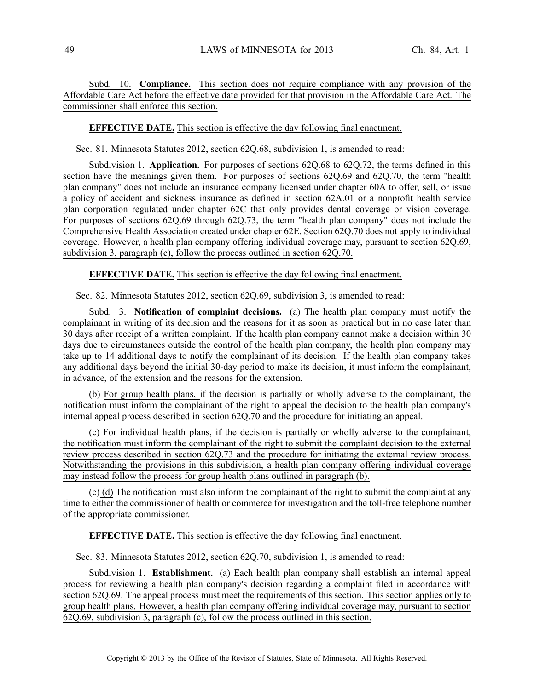Subd. 10. **Compliance.** This section does not require compliance with any provision of the Affordable Care Act before the effective date provided for that provision in the Affordable Care Act. The commissioner shall enforce this section.

#### **EFFECTIVE DATE.** This section is effective the day following final enactment.

Sec. 81. Minnesota Statutes 2012, section 62Q.68, subdivision 1, is amended to read:

Subdivision 1. **Application.** For purposes of sections 62Q.68 to 62Q.72, the terms defined in this section have the meanings given them. For purposes of sections 62Q.69 and 62Q.70, the term "health plan company" does not include an insurance company licensed under chapter 60A to offer, sell, or issue <sup>a</sup> policy of accident and sickness insurance as defined in section 62A.01 or <sup>a</sup> nonprofit health service plan corporation regulated under chapter 62C that only provides dental coverage or vision coverage. For purposes of sections 62Q.69 through 62Q.73, the term "health plan company" does not include the Comprehensive Health Association created under chapter 62E. Section 62Q.70 does not apply to individual coverage. However, <sup>a</sup> health plan company offering individual coverage may, pursuan<sup>t</sup> to section 62Q.69, subdivision 3, paragraph (c), follow the process outlined in section 62Q.70.

**EFFECTIVE DATE.** This section is effective the day following final enactment.

Sec. 82. Minnesota Statutes 2012, section 62Q.69, subdivision 3, is amended to read:

Subd. 3. **Notification of complaint decisions.** (a) The health plan company must notify the complainant in writing of its decision and the reasons for it as soon as practical but in no case later than 30 days after receipt of <sup>a</sup> written complaint. If the health plan company cannot make <sup>a</sup> decision within 30 days due to circumstances outside the control of the health plan company, the health plan company may take up to 14 additional days to notify the complainant of its decision. If the health plan company takes any additional days beyond the initial 30-day period to make its decision, it must inform the complainant, in advance, of the extension and the reasons for the extension.

(b) For group health plans, if the decision is partially or wholly adverse to the complainant, the notification must inform the complainant of the right to appeal the decision to the health plan company's internal appeal process described in section 62Q.70 and the procedure for initiating an appeal.

(c) For individual health plans, if the decision is partially or wholly adverse to the complainant, the notification must inform the complainant of the right to submit the complaint decision to the external review process described in section 62Q.73 and the procedure for initiating the external review process. Notwithstanding the provisions in this subdivision, <sup>a</sup> health plan company offering individual coverage may instead follow the process for group health plans outlined in paragraph (b).

 $\left(\frac{c}{c}\right)$  (d) The notification must also inform the complainant of the right to submit the complaint at any time to either the commissioner of health or commerce for investigation and the toll-free telephone number of the appropriate commissioner.

#### **EFFECTIVE DATE.** This section is effective the day following final enactment.

Sec. 83. Minnesota Statutes 2012, section 62Q.70, subdivision 1, is amended to read:

Subdivision 1. **Establishment.** (a) Each health plan company shall establish an internal appeal process for reviewing <sup>a</sup> health plan company's decision regarding <sup>a</sup> complaint filed in accordance with section 62Q.69. The appeal process must meet the requirements of this section. This section applies only to group health plans. However, <sup>a</sup> health plan company offering individual coverage may, pursuan<sup>t</sup> to section 62Q.69, subdivision 3, paragraph (c), follow the process outlined in this section.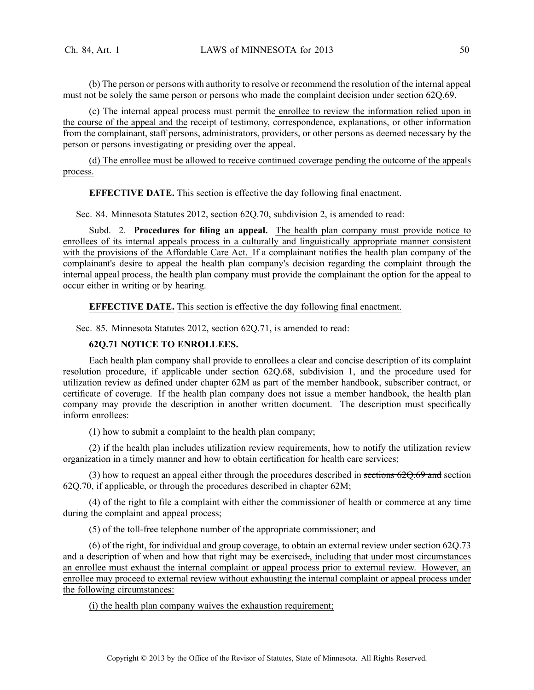(b) The person or persons with authority to resolve or recommend the resolution of the internal appeal must not be solely the same person or persons who made the complaint decision under section 62Q.69.

(c) The internal appeal process must permit the enrollee to review the information relied upon in the course of the appeal and the receipt of testimony, correspondence, explanations, or other information from the complainant, staff persons, administrators, providers, or other persons as deemed necessary by the person or persons investigating or presiding over the appeal.

(d) The enrollee must be allowed to receive continued coverage pending the outcome of the appeals process.

### **EFFECTIVE DATE.** This section is effective the day following final enactment.

Sec. 84. Minnesota Statutes 2012, section 62Q.70, subdivision 2, is amended to read:

Subd. 2. **Procedures for filing an appeal.** The health plan company must provide notice to enrollees of its internal appeals process in a culturally and linguistically appropriate manner consistent with the provisions of the Affordable Care Act. If a complainant notifies the health plan company of the complainant's desire to appeal the health plan company's decision regarding the complaint through the internal appeal process, the health plan company must provide the complainant the option for the appeal to occur either in writing or by hearing.

## **EFFECTIVE DATE.** This section is effective the day following final enactment.

Sec. 85. Minnesota Statutes 2012, section 62Q.71, is amended to read:

## **62Q.71 NOTICE TO ENROLLEES.**

Each health plan company shall provide to enrollees <sup>a</sup> clear and concise description of its complaint resolution procedure, if applicable under section 62Q.68, subdivision 1, and the procedure used for utilization review as defined under chapter 62M as par<sup>t</sup> of the member handbook, subscriber contract, or certificate of coverage. If the health plan company does not issue <sup>a</sup> member handbook, the health plan company may provide the description in another written document. The description must specifically inform enrollees:

(1) how to submit <sup>a</sup> complaint to the health plan company;

(2) if the health plan includes utilization review requirements, how to notify the utilization review organization in <sup>a</sup> timely manner and how to obtain certification for health care services;

(3) how to request an appeal either through the procedures described in sections  $62\Theta.69$  and section 62Q.70, if applicable, or through the procedures described in chapter 62M;

(4) of the right to file <sup>a</sup> complaint with either the commissioner of health or commerce at any time during the complaint and appeal process;

(5) of the toll-free telephone number of the appropriate commissioner; and

(6) of the right, for individual and group coverage, to obtain an external review under section 62Q.73 and a description of when and how that right may be exercised., including that under most circumstances an enrollee must exhaust the internal complaint or appeal process prior to external review. However, an enrollee may proceed to external review without exhausting the internal complaint or appeal process under the following circumstances:

(i) the health plan company waives the exhaustion requirement;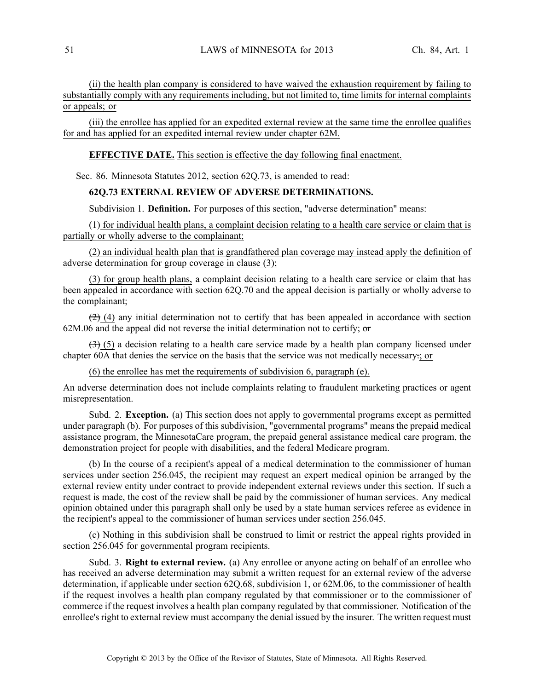(ii) the health plan company is considered to have waived the exhaustion requirement by failing to substantially comply with any requirements including, but not limited to, time limits for internal complaints or appeals; or

(iii) the enrollee has applied for an expedited external review at the same time the enrollee qualifies for and has applied for an expedited internal review under chapter 62M.

**EFFECTIVE DATE.** This section is effective the day following final enactment.

Sec. 86. Minnesota Statutes 2012, section 62Q.73, is amended to read:

### **62Q.73 EXTERNAL REVIEW OF ADVERSE DETERMINATIONS.**

Subdivision 1. **Definition.** For purposes of this section, "adverse determination" means:

(1) for individual health plans, <sup>a</sup> complaint decision relating to <sup>a</sup> health care service or claim that is partially or wholly adverse to the complainant;

(2) an individual health plan that is grandfathered plan coverage may instead apply the definition of adverse determination for group coverage in clause (3);

(3) for group health plans, <sup>a</sup> complaint decision relating to <sup>a</sup> health care service or claim that has been appealed in accordance with section 62Q.70 and the appeal decision is partially or wholly adverse to the complainant;

 $(2)$  (4) any initial determination not to certify that has been appealed in accordance with section 62M.06 and the appeal did not reverse the initial determination not to certify; or

 $(3)$  (5) a decision relating to a health care service made by a health plan company licensed under chapter 60A that denies the service on the basis that the service was not medically necessary.; or

(6) the enrollee has met the requirements of subdivision 6, paragraph (e).

An adverse determination does not include complaints relating to fraudulent marketing practices or agen<sup>t</sup> misrepresentation.

Subd. 2. **Exception.** (a) This section does not apply to governmental programs excep<sup>t</sup> as permitted under paragraph (b). For purposes of this subdivision, "governmental programs" means the prepaid medical assistance program, the MinnesotaCare program, the prepaid general assistance medical care program, the demonstration project for people with disabilities, and the federal Medicare program.

(b) In the course of <sup>a</sup> recipient's appeal of <sup>a</sup> medical determination to the commissioner of human services under section 256.045, the recipient may reques<sup>t</sup> an exper<sup>t</sup> medical opinion be arranged by the external review entity under contract to provide independent external reviews under this section. If such <sup>a</sup> reques<sup>t</sup> is made, the cost of the review shall be paid by the commissioner of human services. Any medical opinion obtained under this paragraph shall only be used by <sup>a</sup> state human services referee as evidence in the recipient's appeal to the commissioner of human services under section 256.045.

(c) Nothing in this subdivision shall be construed to limit or restrict the appeal rights provided in section 256.045 for governmental program recipients.

Subd. 3. **Right to external review.** (a) Any enrollee or anyone acting on behalf of an enrollee who has received an adverse determination may submit <sup>a</sup> written reques<sup>t</sup> for an external review of the adverse determination, if applicable under section 62Q.68, subdivision 1, or 62M.06, to the commissioner of health if the reques<sup>t</sup> involves <sup>a</sup> health plan company regulated by that commissioner or to the commissioner of commerce if the reques<sup>t</sup> involves <sup>a</sup> health plan company regulated by that commissioner. Notification of the enrollee's right to external review must accompany the denial issued by the insurer. The written request must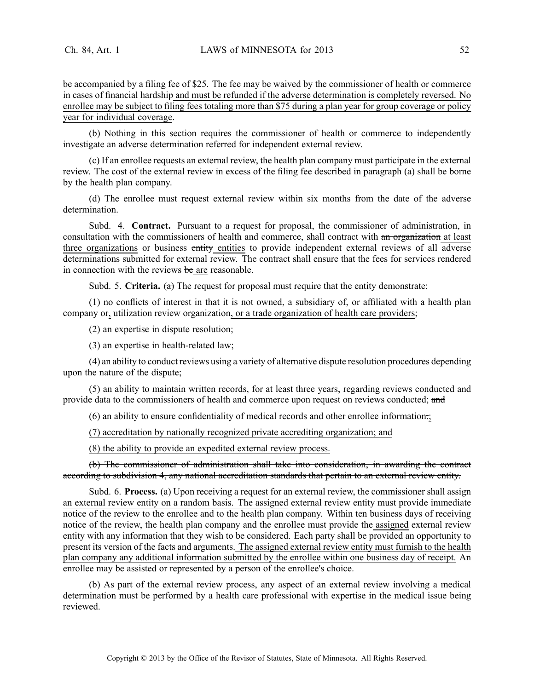be accompanied by <sup>a</sup> filing fee of \$25. The fee may be waived by the commissioner of health or commerce in cases of financial hardship and must be refunded if the adverse determination is completely reversed. No enrollee may be subject to filing fees totaling more than \$75 during a plan year for group coverage or policy year for individual coverage.

(b) Nothing in this section requires the commissioner of health or commerce to independently investigate an adverse determination referred for independent external review.

(c) If an enrollee requests an external review, the health plan company must participate in the external review. The cost of the external review in excess of the filing fee described in paragraph (a) shall be borne by the health plan company.

(d) The enrollee must reques<sup>t</sup> external review within six months from the date of the adverse determination.

Subd. 4. **Contract.** Pursuant to <sup>a</sup> reques<sup>t</sup> for proposal, the commissioner of administration, in consultation with the commissioners of health and commerce, shall contract with an organization at least three organizations or business entity entities to provide independent external reviews of all adverse determinations submitted for external review. The contract shall ensure that the fees for services rendered in connection with the reviews be are reasonable.

Subd. 5. **Criteria.** (a) The request for proposal must require that the entity demonstrate:

(1) no conflicts of interest in that it is not owned, <sup>a</sup> subsidiary of, or affiliated with <sup>a</sup> health plan company or, utilization review organization, or <sup>a</sup> trade organization of health care providers;

(2) an expertise in dispute resolution;

(3) an expertise in health-related law;

(4) an ability to conduct reviews using <sup>a</sup> variety of alternative dispute resolution procedures depending upon the nature of the dispute;

(5) an ability to maintain written records, for at least three years, regarding reviews conducted and provide data to the commissioners of health and commerce upon reques<sup>t</sup> on reviews conducted; and

(6) an ability to ensure confidentiality of medical records and other enrollee information.;

(7) accreditation by nationally recognized private accrediting organization; and

(8) the ability to provide an expedited external review process.

(b) The commissioner of administration shall take into consideration, in awarding the contract according to subdivision 4, any national accreditation standards that pertain to an external review entity.

Subd. 6. **Process.** (a) Upon receiving <sup>a</sup> reques<sup>t</sup> for an external review, the commissioner shall assign an external review entity on <sup>a</sup> random basis. The assigned external review entity must provide immediate notice of the review to the enrollee and to the health plan company. Within ten business days of receiving notice of the review, the health plan company and the enrollee must provide the assigned external review entity with any information that they wish to be considered. Each party shall be provided an opportunity to presen<sup>t</sup> its version of the facts and arguments. The assigned external review entity must furnish to the health plan company any additional information submitted by the enrollee within one business day of receipt. An enrollee may be assisted or represented by <sup>a</sup> person of the enrollee's choice.

(b) As par<sup>t</sup> of the external review process, any aspec<sup>t</sup> of an external review involving <sup>a</sup> medical determination must be performed by <sup>a</sup> health care professional with expertise in the medical issue being reviewed.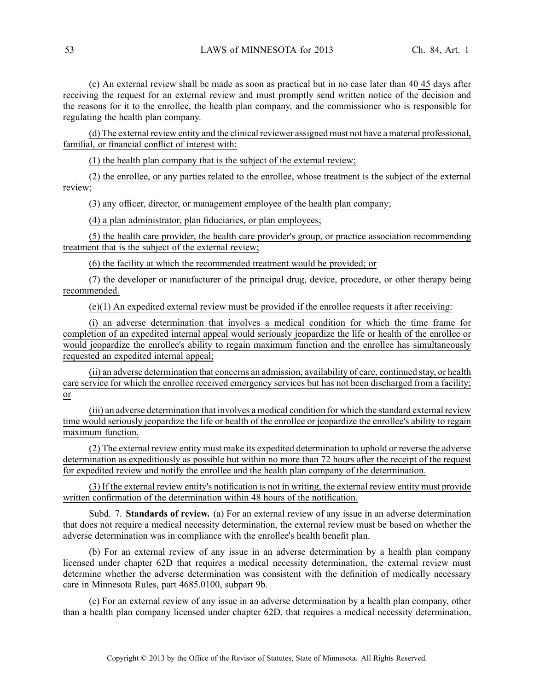(c) An external review shall be made as soon as practical but in no case later than  $4\theta$  45 days after receiving the reques<sup>t</sup> for an external review and must promptly send written notice of the decision and the reasons for it to the enrollee, the health plan company, and the commissioner who is responsible for regulating the health plan company.

(d) The external review entity and the clinical reviewer assigned must not have <sup>a</sup> material professional, familial, or financial conflict of interest with:

(1) the health plan company that is the subject of the external review;

(2) the enrollee, or any parties related to the enrollee, whose treatment is the subject of the external review;

(3) any officer, director, or managemen<sup>t</sup> employee of the health plan company;

(4) <sup>a</sup> plan administrator, plan fiduciaries, or plan employees;

(5) the health care provider, the health care provider's group, or practice association recommending treatment that is the subject of the external review;

(6) the facility at which the recommended treatment would be provided; or

(7) the developer or manufacturer of the principal drug, device, procedure, or other therapy being recommended.

(e)(1) An expedited external review must be provided if the enrollee requests it after receiving:

(i) an adverse determination that involves <sup>a</sup> medical condition for which the time frame for completion of an expedited internal appeal would seriously jeopardize the life or health of the enrollee or would jeopardize the enrollee's ability to regain maximum function and the enrollee has simultaneously requested an expedited internal appeal;

(ii) an adverse determination that concerns an admission, availability of care, continued stay, or health care service for which the enrollee received emergency services but has not been discharged from <sup>a</sup> facility; or

(iii) an adverse determination that involves <sup>a</sup> medical condition for which the standard external review time would seriously jeopardize the life or health of the enrollee or jeopardize the enrollee's ability to regain maximum function.

(2) The external review entity must make its expedited determination to uphold or reverse the adverse determination as expeditiously as possible but within no more than 72 hours after the receipt of the reques<sup>t</sup> for expedited review and notify the enrollee and the health plan company of the determination.

(3) If the external review entity's notification is not in writing, the external review entity must provide written confirmation of the determination within 48 hours of the notification.

Subd. 7. **Standards of review.** (a) For an external review of any issue in an adverse determination that does not require <sup>a</sup> medical necessity determination, the external review must be based on whether the adverse determination was in compliance with the enrollee's health benefit plan.

(b) For an external review of any issue in an adverse determination by <sup>a</sup> health plan company licensed under chapter 62D that requires <sup>a</sup> medical necessity determination, the external review must determine whether the adverse determination was consistent with the definition of medically necessary care in Minnesota Rules, par<sup>t</sup> 4685.0100, subpart 9b.

(c) For an external review of any issue in an adverse determination by <sup>a</sup> health plan company, other than <sup>a</sup> health plan company licensed under chapter 62D, that requires <sup>a</sup> medical necessity determination,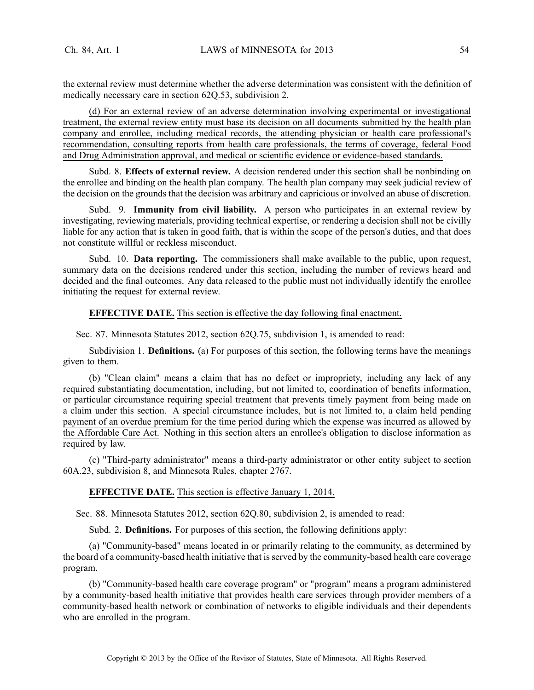the external review must determine whether the adverse determination was consistent with the definition of medically necessary care in section 62Q.53, subdivision 2.

(d) For an external review of an adverse determination involving experimental or investigational treatment, the external review entity must base its decision on all documents submitted by the health plan company and enrollee, including medical records, the attending physician or health care professional's recommendation, consulting reports from health care professionals, the terms of coverage, federal Food and Drug Administration approval, and medical or scientific evidence or evidence-based standards.

Subd. 8. **Effects of external review.** A decision rendered under this section shall be nonbinding on the enrollee and binding on the health plan company. The health plan company may seek judicial review of the decision on the grounds that the decision was arbitrary and capricious or involved an abuse of discretion.

Subd. 9. **Immunity from civil liability.** A person who participates in an external review by investigating, reviewing materials, providing technical expertise, or rendering <sup>a</sup> decision shall not be civilly liable for any action that is taken in good faith, that is within the scope of the person's duties, and that does not constitute willful or reckless misconduct.

Subd. 10. **Data reporting.** The commissioners shall make available to the public, upon request, summary data on the decisions rendered under this section, including the number of reviews heard and decided and the final outcomes. Any data released to the public must not individually identify the enrollee initiating the reques<sup>t</sup> for external review.

**EFFECTIVE DATE.** This section is effective the day following final enactment.

Sec. 87. Minnesota Statutes 2012, section 62Q.75, subdivision 1, is amended to read:

Subdivision 1. **Definitions.** (a) For purposes of this section, the following terms have the meanings given to them.

(b) "Clean claim" means <sup>a</sup> claim that has no defect or impropriety, including any lack of any required substantiating documentation, including, but not limited to, coordination of benefits information, or particular circumstance requiring special treatment that prevents timely paymen<sup>t</sup> from being made on <sup>a</sup> claim under this section. A special circumstance includes, but is not limited to, <sup>a</sup> claim held pending paymen<sup>t</sup> of an overdue premium for the time period during which the expense was incurred as allowed by the Affordable Care Act. Nothing in this section alters an enrollee's obligation to disclose information as required by law.

(c) "Third-party administrator" means <sup>a</sup> third-party administrator or other entity subject to section 60A.23, subdivision 8, and Minnesota Rules, chapter 2767.

#### **EFFECTIVE DATE.** This section is effective January 1, 2014.

Sec. 88. Minnesota Statutes 2012, section 62Q.80, subdivision 2, is amended to read:

Subd. 2. **Definitions.** For purposes of this section, the following definitions apply:

(a) "Community-based" means located in or primarily relating to the community, as determined by the board of a community-based health initiative that is served by the community-based health care coverage program.

(b) "Community-based health care coverage program" or "program" means <sup>a</sup> program administered by <sup>a</sup> community-based health initiative that provides health care services through provider members of <sup>a</sup> community-based health network or combination of networks to eligible individuals and their dependents who are enrolled in the program.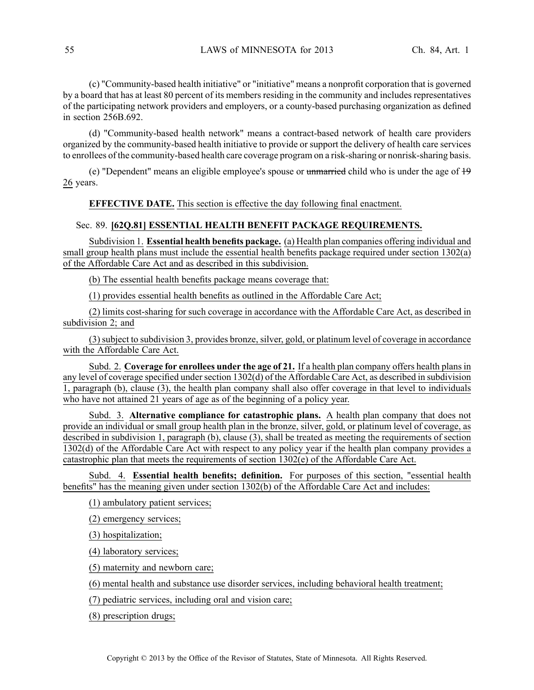(c) "Community-based health initiative" or "initiative" means <sup>a</sup> nonprofit corporation that is governed by <sup>a</sup> board that has at least 80 percen<sup>t</sup> of its members residing in the community and includes representatives of the participating network providers and employers, or <sup>a</sup> county-based purchasing organization as defined in section 256B.692.

(d) "Community-based health network" means <sup>a</sup> contract-based network of health care providers organized by the community-based health initiative to provide or suppor<sup>t</sup> the delivery of health care services to enrollees of the community-based health care coverage program on <sup>a</sup> risk-sharing or nonrisk-sharing basis.

(e) "Dependent" means an eligible employee's spouse or unmarried child who is under the age of 19 26 years.

**EFFECTIVE DATE.** This section is effective the day following final enactment.

#### Sec. 89. **[62Q.81] ESSENTIAL HEALTH BENEFIT PACKAGE REQUIREMENTS.**

Subdivision 1. **Essential health benefits package.** (a) Health plan companies offering individual and small group health plans must include the essential health benefits package required under section  $1302(a)$ of the Affordable Care Act and as described in this subdivision.

(b) The essential health benefits package means coverage that:

(1) provides essential health benefits as outlined in the Affordable Care Act;

(2) limits cost-sharing for such coverage in accordance with the Affordable Care Act, as described in subdivision 2; and

(3)subject to subdivision 3, provides bronze, silver, gold, or platinum level of coverage in accordance with the Affordable Care Act.

Subd. 2. **Coverage for enrollees under the age of 21.** If <sup>a</sup> health plan company offers health plansin any level of coverage specified under section  $1302(d)$  of the Affordable Care Act, as described in subdivision 1, paragraph (b), clause (3), the health plan company shall also offer coverage in that level to individuals who have not attained 21 years of age as of the beginning of a policy year.

Subd. 3. **Alternative compliance for catastrophic plans.** A health plan company that does not provide an individual or small group health plan in the bronze, silver, gold, or platinum level of coverage, as described in subdivision 1, paragraph (b), clause (3), shall be treated as meeting the requirements of section 1302(d) of the Affordable Care Act with respect to any policy year if the health plan company provides a catastrophic plan that meets the requirements of section 1302(e) of the Affordable Care Act.

Subd. 4. **Essential health benefits; definition.** For purposes of this section, "essential health benefits" has the meaning given under section 1302(b) of the Affordable Care Act and includes:

(1) ambulatory patient services;

(2) emergency services;

(3) hospitalization;

(4) laboratory services;

(5) maternity and newborn care;

(6) mental health and substance use disorder services, including behavioral health treatment;

(7) pediatric services, including oral and vision care;

(8) prescription drugs;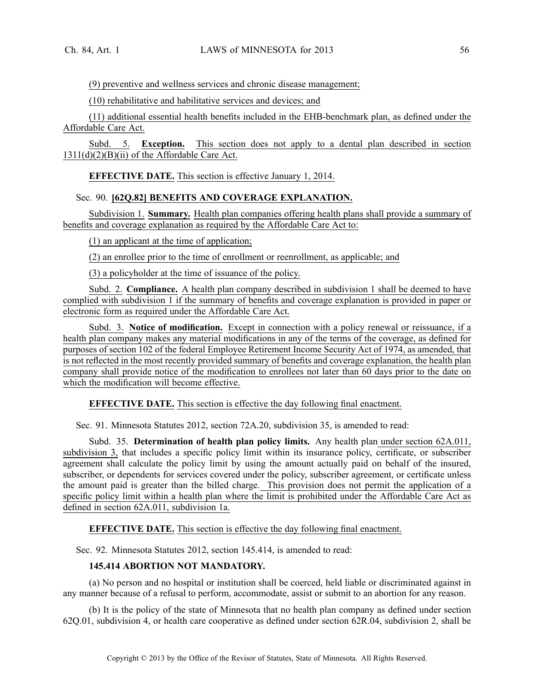(9) preventive and wellness services and chronic disease management;

(10) rehabilitative and habilitative services and devices; and

(11) additional essential health benefits included in the EHB-benchmark plan, as defined under the Affordable Care Act.

Subd. 5. **Exception.** This section does not apply to <sup>a</sup> dental plan described in section 1311(d)(2)(B)(ii) of the Affordable Care Act.

**EFFECTIVE DATE.** This section is effective January 1, 2014.

## Sec. 90. **[62Q.82] BENEFITS AND COVERAGE EXPLANATION.**

Subdivision 1. **Summary.** Health plan companies offering health plans shall provide <sup>a</sup> summary of benefits and coverage explanation as required by the Affordable Care Act to:

(1) an applicant at the time of application;

(2) an enrollee prior to the time of enrollment or reenrollment, as applicable; and

(3) <sup>a</sup> policyholder at the time of issuance of the policy.

Subd. 2. **Compliance.** A health plan company described in subdivision 1 shall be deemed to have complied with subdivision 1 if the summary of benefits and coverage explanation is provided in paper or electronic form as required under the Affordable Care Act.

Subd. 3. **Notice of modification.** Except in connection with <sup>a</sup> policy renewal or reissuance, if <sup>a</sup> health plan company makes any material modifications in any of the terms of the coverage, as defined for purposes of section 102 of the federal Employee Retirement Income Security Act of 1974, as amended, that is not reflected in the most recently provided summary of benefits and coverage explanation, the health plan company shall provide notice of the modification to enrollees not later than 60 days prior to the date on which the modification will become effective.

**EFFECTIVE DATE.** This section is effective the day following final enactment.

Sec. 91. Minnesota Statutes 2012, section 72A.20, subdivision 35, is amended to read:

Subd. 35. **Determination of health plan policy limits.** Any health plan under section 62A.011, subdivision 3, that includes a specific policy limit within its insurance policy, certificate, or subscriber agreemen<sup>t</sup> shall calculate the policy limit by using the amount actually paid on behalf of the insured, subscriber, or dependents for services covered under the policy, subscriber agreement, or certificate unless the amount paid is greater than the billed charge. This provision does not permit the application of <sup>a</sup> specific policy limit within a health plan where the limit is prohibited under the Affordable Care Act as defined in section 62A.011, subdivision 1a.

**EFFECTIVE DATE.** This section is effective the day following final enactment.

Sec. 92. Minnesota Statutes 2012, section 145.414, is amended to read:

## **145.414 ABORTION NOT MANDATORY.**

(a) No person and no hospital or institution shall be coerced, held liable or discriminated against in any manner because of <sup>a</sup> refusal to perform, accommodate, assist or submit to an abortion for any reason.

(b) It is the policy of the state of Minnesota that no health plan company as defined under section 62Q.01, subdivision 4, or health care cooperative as defined under section 62R.04, subdivision 2, shall be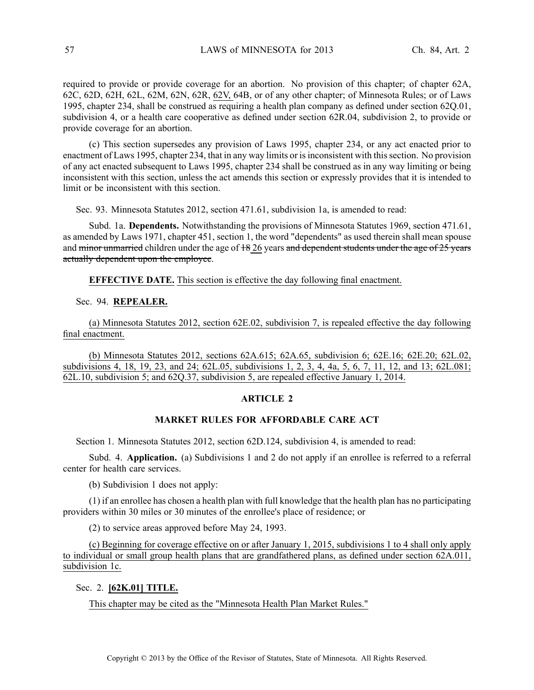required to provide or provide coverage for an abortion. No provision of this chapter; of chapter 62A, 62C, 62D, 62H, 62L, 62M, 62N, 62R, 62V, 64B, or of any other chapter; of Minnesota Rules; or of Laws 1995, chapter 234, shall be construed as requiring <sup>a</sup> health plan company as defined under section 62Q.01, subdivision 4, or <sup>a</sup> health care cooperative as defined under section 62R.04, subdivision 2, to provide or provide coverage for an abortion.

(c) This section supersedes any provision of Laws 1995, chapter 234, or any act enacted prior to enactment of Laws 1995, chapter 234, that in any way limits or is inconsistent with this section. No provision of any act enacted subsequent to Laws 1995, chapter 234 shall be construed as in any way limiting or being inconsistent with this section, unless the act amends this section or expressly provides that it is intended to limit or be inconsistent with this section.

Sec. 93. Minnesota Statutes 2012, section 471.61, subdivision 1a, is amended to read:

Subd. 1a. **Dependents.** Notwithstanding the provisions of Minnesota Statutes 1969, section 471.61, as amended by Laws 1971, chapter 451, section 1, the word "dependents" as used therein shall mean spouse and minor unmarried children under the age of 1826 years and dependent students under the age of 25 years actually dependent upon the employee.

**EFFECTIVE DATE.** This section is effective the day following final enactment.

#### Sec. 94. **REPEALER.**

(a) Minnesota Statutes 2012, section 62E.02, subdivision 7, is repealed effective the day following final enactment.

(b) Minnesota Statutes 2012, sections 62A.615; 62A.65, subdivision 6; 62E.16; 62E.20; 62L.02, subdivisions 4, 18, 19, 23, and 24; 62L.05, subdivisions 1, 2, 3, 4, 4a, 5, 6, 7, 11, 12, and 13; 62L.081; 62L.10, subdivision 5; and 62Q.37, subdivision 5, are repealed effective January 1, 2014.

### **ARTICLE 2**

#### **MARKET RULES FOR AFFORDABLE CARE ACT**

Section 1. Minnesota Statutes 2012, section 62D.124, subdivision 4, is amended to read:

Subd. 4. **Application.** (a) Subdivisions 1 and 2 do not apply if an enrollee is referred to <sup>a</sup> referral center for health care services.

(b) Subdivision 1 does not apply:

(1) if an enrollee has chosen <sup>a</sup> health plan with full knowledge that the health plan has no participating providers within 30 miles or 30 minutes of the enrollee's place of residence; or

(2) to service areas approved before May 24, 1993.

(c) Beginning for coverage effective on or after January 1, 2015, subdivisions 1 to 4 shall only apply to individual or small group health plans that are grandfathered plans, as defined under section 62A.011, subdivision 1c.

### Sec. 2. **[62K.01] TITLE.**

This chapter may be cited as the "Minnesota Health Plan Market Rules."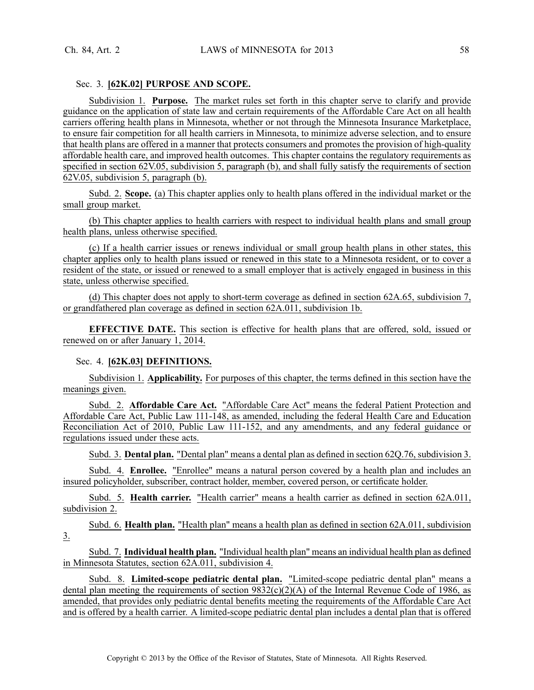### Sec. 3. **[62K.02] PURPOSE AND SCOPE.**

Subdivision 1. **Purpose.** The market rules set forth in this chapter serve to clarify and provide guidance on the application of state law and certain requirements of the Affordable Care Act on all health carriers offering health plans in Minnesota, whether or not through the Minnesota Insurance Marketplace, to ensure fair competition for all health carriers in Minnesota, to minimize adverse selection, and to ensure that health plans are offered in <sup>a</sup> manner that protects consumers and promotes the provision of high-quality affordable health care, and improved health outcomes. This chapter contains the regulatory requirements as specified in section 62V.05, subdivision 5, paragraph (b), and shall fully satisfy the requirements of section 62V.05, subdivision 5, paragraph (b).

Subd. 2. **Scope.** (a) This chapter applies only to health plans offered in the individual market or the small group market.

(b) This chapter applies to health carriers with respec<sup>t</sup> to individual health plans and small group health plans, unless otherwise specified.

(c) If <sup>a</sup> health carrier issues or renews individual or small group health plans in other states, this chapter applies only to health plans issued or renewed in this state to <sup>a</sup> Minnesota resident, or to cover <sup>a</sup> resident of the state, or issued or renewed to <sup>a</sup> small employer that is actively engaged in business in this state, unless otherwise specified.

(d) This chapter does not apply to short-term coverage as defined in section 62A.65, subdivision 7, or grandfathered plan coverage as defined in section 62A.011, subdivision 1b.

**EFFECTIVE DATE.** This section is effective for health plans that are offered, sold, issued or renewed on or after January 1, 2014.

#### Sec. 4. **[62K.03] DEFINITIONS.**

Subdivision 1. **Applicability.** For purposes of this chapter, the terms defined in this section have the meanings given.

Subd. 2. **Affordable Care Act.** "Affordable Care Act" means the federal Patient Protection and Affordable Care Act, Public Law 111-148, as amended, including the federal Health Care and Education Reconciliation Act of 2010, Public Law 111-152, and any amendments, and any federal guidance or regulations issued under these acts.

Subd. 3. **Dental plan.** "Dental plan" means <sup>a</sup> dental plan as defined in section 62Q.76, subdivision 3.

Subd. 4. **Enrollee.** "Enrollee" means <sup>a</sup> natural person covered by <sup>a</sup> health plan and includes an insured policyholder, subscriber, contract holder, member, covered person, or certificate holder.

Subd. 5. **Health carrier.** "Health carrier" means <sup>a</sup> health carrier as defined in section 62A.011, subdivision 2.

Subd. 6. **Health plan.** "Health plan" means <sup>a</sup> health plan as defined in section 62A.011, subdivision 3.

Subd. 7. **Individual health plan.** "Individual health plan" means an individual health plan as defined in Minnesota Statutes, section 62A.011, subdivision 4.

Subd. 8. **Limited-scope pediatric dental plan.** "Limited-scope pediatric dental plan" means <sup>a</sup> dental plan meeting the requirements of section  $9832(c)(2)(A)$  of the Internal Revenue Code of 1986, as amended, that provides only pediatric dental benefits meeting the requirements of the Affordable Care Act and is offered by <sup>a</sup> health carrier. A limited-scope pediatric dental plan includes <sup>a</sup> dental plan that is offered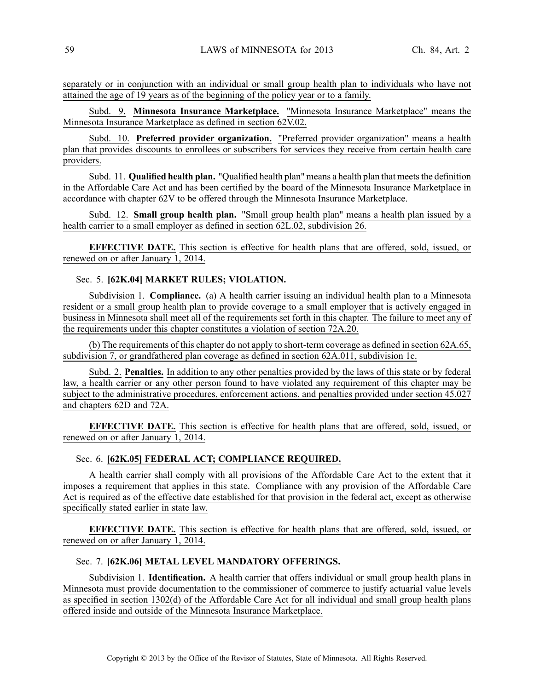separately or in conjunction with an individual or small group health plan to individuals who have not attained the age of 19 years as of the beginning of the policy year or to <sup>a</sup> family.

Subd. 9. **Minnesota Insurance Marketplace.** "Minnesota Insurance Marketplace" means the Minnesota Insurance Marketplace as defined in section 62V.02.

Subd. 10. **Preferred provider organization.** "Preferred provider organization" means <sup>a</sup> health plan that provides discounts to enrollees or subscribers for services they receive from certain health care providers.

Subd. 11. **Qualified health plan.** "Qualified health plan" means a health plan that meets the definition in the Affordable Care Act and has been certified by the board of the Minnesota Insurance Marketplace in accordance with chapter 62V to be offered through the Minnesota Insurance Marketplace.

Subd. 12. **Small group health plan.** "Small group health plan" means <sup>a</sup> health plan issued by <sup>a</sup> health carrier to <sup>a</sup> small employer as defined in section 62L.02, subdivision 26.

**EFFECTIVE DATE.** This section is effective for health plans that are offered, sold, issued, or renewed on or after January 1, 2014.

### Sec. 5. **[62K.04] MARKET RULES; VIOLATION.**

Subdivision 1. **Compliance.** (a) A health carrier issuing an individual health plan to <sup>a</sup> Minnesota resident or <sup>a</sup> small group health plan to provide coverage to <sup>a</sup> small employer that is actively engaged in business in Minnesota shall meet all of the requirements set forth in this chapter. The failure to meet any of the requirements under this chapter constitutes <sup>a</sup> violation of section 72A.20.

(b) The requirements of this chapter do not apply to short-term coverage as defined in section 62A.65, subdivision 7, or grandfathered plan coverage as defined in section 62A.011, subdivision 1c.

Subd. 2. **Penalties.** In addition to any other penalties provided by the laws of this state or by federal law, <sup>a</sup> health carrier or any other person found to have violated any requirement of this chapter may be subject to the administrative procedures, enforcement actions, and penalties provided under section 45.027 and chapters 62D and 72A.

**EFFECTIVE DATE.** This section is effective for health plans that are offered, sold, issued, or renewed on or after January 1, 2014.

### Sec. 6. **[62K.05] FEDERAL ACT; COMPLIANCE REQUIRED.**

A health carrier shall comply with all provisions of the Affordable Care Act to the extent that it imposes <sup>a</sup> requirement that applies in this state. Compliance with any provision of the Affordable Care Act is required as of the effective date established for that provision in the federal act, excep<sup>t</sup> as otherwise specifically stated earlier in state law.

**EFFECTIVE DATE.** This section is effective for health plans that are offered, sold, issued, or renewed on or after January 1, 2014.

### Sec. 7. **[62K.06] METAL LEVEL MANDATORY OFFERINGS.**

Subdivision 1. **Identification.** A health carrier that offers individual or small group health plans in Minnesota must provide documentation to the commissioner of commerce to justify actuarial value levels as specified in section 1302(d) of the Affordable Care Act for all individual and small group health plans offered inside and outside of the Minnesota Insurance Marketplace.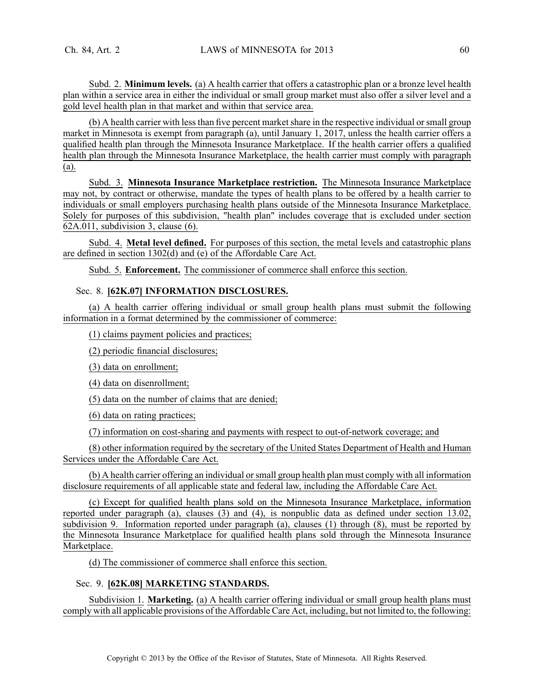Subd. 2. **Minimum levels.** (a) A health carrier that offers <sup>a</sup> catastrophic plan or <sup>a</sup> bronze level health plan within <sup>a</sup> service area in either the individual or small group market must also offer <sup>a</sup> silver level and <sup>a</sup> gold level health plan in that market and within that service area.

(b) A health carrier with less than five percent market share in the respective individual or small group market in Minnesota is exemp<sup>t</sup> from paragraph (a), until January 1, 2017, unless the health carrier offers <sup>a</sup> qualified health plan through the Minnesota Insurance Marketplace. If the health carrier offers <sup>a</sup> qualified health plan through the Minnesota Insurance Marketplace, the health carrier must comply with paragraph (a).

Subd. 3. **Minnesota Insurance Marketplace restriction.** The Minnesota Insurance Marketplace may not, by contract or otherwise, mandate the types of health plans to be offered by <sup>a</sup> health carrier to individuals or small employers purchasing health plans outside of the Minnesota Insurance Marketplace. Solely for purposes of this subdivision, "health plan" includes coverage that is excluded under section 62A.011, subdivision 3, clause (6).

Subd. 4. **Metal level defined.** For purposes of this section, the metal levels and catastrophic plans are defined in section 1302(d) and (e) of the Affordable Care Act.

Subd. 5. **Enforcement.** The commissioner of commerce shall enforce this section.

### Sec. 8. **[62K.07] INFORMATION DISCLOSURES.**

(a) A health carrier offering individual or small group health plans must submit the following information in <sup>a</sup> format determined by the commissioner of commerce:

(1) claims paymen<sup>t</sup> policies and practices;

(2) periodic financial disclosures;

(3) data on enrollment;

(4) data on disenrollment;

(5) data on the number of claims that are denied;

(6) data on rating practices;

(7) information on cost-sharing and payments with respec<sup>t</sup> to out-of-network coverage; and

(8) other information required by the secretary of the United States Department of Health and Human Services under the Affordable Care Act.

(b) A health carrier offering an individual orsmall group health plan must comply with all information disclosure requirements of all applicable state and federal law, including the Affordable Care Act.

(c) Except for qualified health plans sold on the Minnesota Insurance Marketplace, information reported under paragraph (a), clauses (3) and (4), is nonpublic data as defined under section 13.02, subdivision 9. Information reported under paragraph (a), clauses (1) through (8), must be reported by the Minnesota Insurance Marketplace for qualified health plans sold through the Minnesota Insurance Marketplace.

(d) The commissioner of commerce shall enforce this section.

### Sec. 9. **[62K.08] MARKETING STANDARDS.**

Subdivision 1. **Marketing.** (a) A health carrier offering individual or small group health plans must comply with all applicable provisions of the Affordable Care Act, including, but not limited to, the following: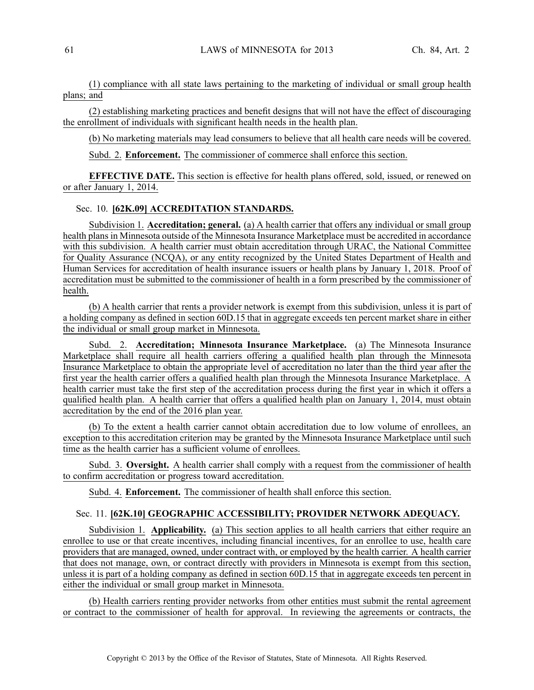(1) compliance with all state laws pertaining to the marketing of individual or small group health plans; and

(2) establishing marketing practices and benefit designs that will not have the effect of discouraging the enrollment of individuals with significant health needs in the health plan.

(b) No marketing materials may lead consumers to believe that all health care needs will be covered.

Subd. 2. **Enforcement.** The commissioner of commerce shall enforce this section.

**EFFECTIVE DATE.** This section is effective for health plans offered, sold, issued, or renewed on or after January 1, 2014.

#### Sec. 10. **[62K.09] ACCREDITATION STANDARDS.**

Subdivision 1. **Accreditation; general.** (a) A health carrier that offers any individual or small group health plans in Minnesota outside of the Minnesota Insurance Marketplace must be accredited in accordance with this subdivision. A health carrier must obtain accreditation through URAC, the National Committee for Quality Assurance (NCQA), or any entity recognized by the United States Department of Health and Human Services for accreditation of health insurance issuers or health plans by January 1, 2018. Proof of accreditation must be submitted to the commissioner of health in <sup>a</sup> form prescribed by the commissioner of health.

(b) A health carrier that rents <sup>a</sup> provider network is exemp<sup>t</sup> from this subdivision, unless it is par<sup>t</sup> of <sup>a</sup> holding company as defined in section 60D.15 that in aggregate exceeds ten percen<sup>t</sup> market share in either the individual or small group market in Minnesota.

Subd. 2. **Accreditation; Minnesota Insurance Marketplace.** (a) The Minnesota Insurance Marketplace shall require all health carriers offering <sup>a</sup> qualified health plan through the Minnesota Insurance Marketplace to obtain the appropriate level of accreditation no later than the third year after the first year the health carrier offers <sup>a</sup> qualified health plan through the Minnesota Insurance Marketplace. A health carrier must take the first step of the accreditation process during the first year in which it offers <sup>a</sup> qualified health plan. A health carrier that offers <sup>a</sup> qualified health plan on January 1, 2014, must obtain accreditation by the end of the 2016 plan year.

(b) To the extent <sup>a</sup> health carrier cannot obtain accreditation due to low volume of enrollees, an exception to this accreditation criterion may be granted by the Minnesota Insurance Marketplace until such time as the health carrier has <sup>a</sup> sufficient volume of enrollees.

Subd. 3. **Oversight.** A health carrier shall comply with <sup>a</sup> reques<sup>t</sup> from the commissioner of health to confirm accreditation or progress toward accreditation.

Subd. 4. **Enforcement.** The commissioner of health shall enforce this section.

## Sec. 11. **[62K.10] GEOGRAPHIC ACCESSIBILITY; PROVIDER NETWORK ADEQUACY.**

Subdivision 1. **Applicability.** (a) This section applies to all health carriers that either require an enrollee to use or that create incentives, including financial incentives, for an enrollee to use, health care providers that are managed, owned, under contract with, or employed by the health carrier. A health carrier that does not manage, own, or contract directly with providers in Minnesota is exemp<sup>t</sup> from this section, unless it is par<sup>t</sup> of <sup>a</sup> holding company as defined in section 60D.15 that in aggregate exceeds ten percen<sup>t</sup> in either the individual or small group market in Minnesota.

(b) Health carriers renting provider networks from other entities must submit the rental agreemen<sup>t</sup> or contract to the commissioner of health for approval. In reviewing the agreements or contracts, the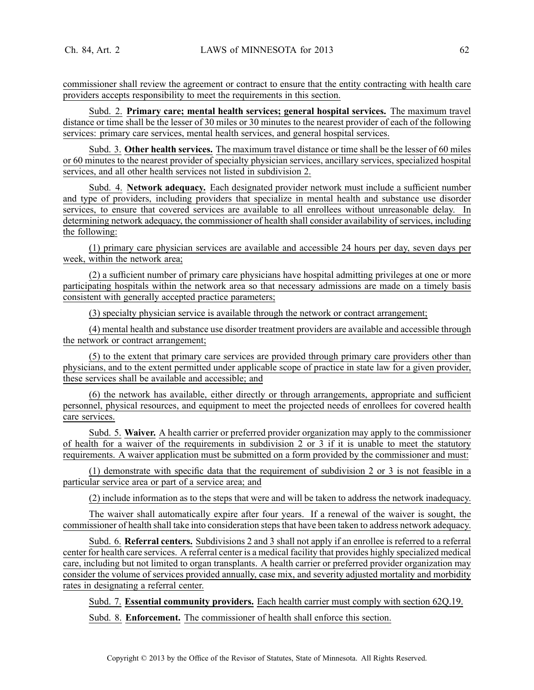commissioner shall review the agreemen<sup>t</sup> or contract to ensure that the entity contracting with health care providers accepts responsibility to meet the requirements in this section.

Subd. 2. **Primary care; mental health services; general hospital services.** The maximum travel distance or time shall be the lesser of 30 miles or 30 minutes to the nearest provider of each of the following services: primary care services, mental health services, and general hospital services.

Subd. 3. **Other health services.** The maximum travel distance or time shall be the lesser of 60 miles or 60 minutes to the nearest provider of specialty physician services, ancillary services, specialized hospital services, and all other health services not listed in subdivision 2.

Subd. 4. **Network adequacy.** Each designated provider network must include <sup>a</sup> sufficient number and type of providers, including providers that specialize in mental health and substance use disorder services, to ensure that covered services are available to all enrollees without unreasonable delay. In determining network adequacy, the commissioner of health shall consider availability of services, including the following:

(1) primary care physician services are available and accessible 24 hours per day, seven days per week, within the network area;

(2) <sup>a</sup> sufficient number of primary care physicians have hospital admitting privileges at one or more participating hospitals within the network area so that necessary admissions are made on <sup>a</sup> timely basis consistent with generally accepted practice parameters;

(3) specialty physician service is available through the network or contract arrangement;

(4) mental health and substance use disorder treatment providers are available and accessible through the network or contract arrangement;

(5) to the extent that primary care services are provided through primary care providers other than physicians, and to the extent permitted under applicable scope of practice in state law for <sup>a</sup> given provider, these services shall be available and accessible; and

(6) the network has available, either directly or through arrangements, appropriate and sufficient personnel, physical resources, and equipment to meet the projected needs of enrollees for covered health care services.

Subd. 5. **Waiver.** A health carrier or preferred provider organization may apply to the commissioner of health for <sup>a</sup> waiver of the requirements in subdivision 2 or 3 if it is unable to meet the statutory requirements. A waiver application must be submitted on <sup>a</sup> form provided by the commissioner and must:

(1) demonstrate with specific data that the requirement of subdivision 2 or 3 is not feasible in <sup>a</sup> particular service area or par<sup>t</sup> of <sup>a</sup> service area; and

(2) include information as to the steps that were and will be taken to address the network inadequacy.

The waiver shall automatically expire after four years. If <sup>a</sup> renewal of the waiver is sought, the commissioner of health shall take into consideration steps that have been taken to address network adequacy.

Subd. 6. **Referral centers.** Subdivisions 2 and 3 shall not apply if an enrollee is referred to <sup>a</sup> referral center for health care services. A referral center is a medical facility that provides highly specialized medical care, including but not limited to organ transplants. A health carrier or preferred provider organization may consider the volume of services provided annually, case mix, and severity adjusted mortality and morbidity rates in designating <sup>a</sup> referral center.

Subd. 7. **Essential community providers.** Each health carrier must comply with section 62Q.19. Subd. 8. **Enforcement.** The commissioner of health shall enforce this section.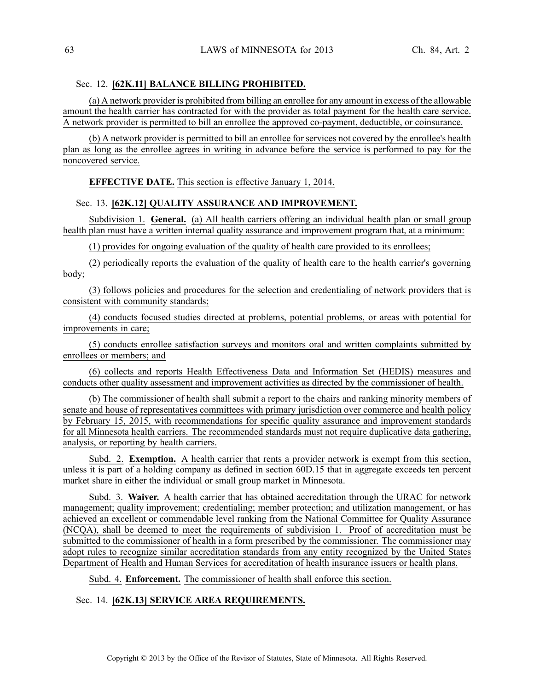### Sec. 12. **[62K.11] BALANCE BILLING PROHIBITED.**

(a) A network provider is prohibited from billing an enrollee for any amount in excess of the allowable amount the health carrier has contracted for with the provider as total paymen<sup>t</sup> for the health care service. A network provider is permitted to bill an enrollee the approved co-payment, deductible, or coinsurance.

(b) A network provider is permitted to bill an enrollee for services not covered by the enrollee's health plan as long as the enrollee agrees in writing in advance before the service is performed to pay for the noncovered service.

**EFFECTIVE DATE.** This section is effective January 1, 2014.

#### Sec. 13. **[62K.12] QUALITY ASSURANCE AND IMPROVEMENT.**

Subdivision 1. **General.** (a) All health carriers offering an individual health plan or small group health plan must have a written internal quality assurance and improvement program that, at a minimum:

(1) provides for ongoing evaluation of the quality of health care provided to its enrollees;

(2) periodically reports the evaluation of the quality of health care to the health carrier's governing body;

(3) follows policies and procedures for the selection and credentialing of network providers that is consistent with community standards;

(4) conducts focused studies directed at problems, potential problems, or areas with potential for improvements in care;

(5) conducts enrollee satisfaction surveys and monitors oral and written complaints submitted by enrollees or members; and

(6) collects and reports Health Effectiveness Data and Information Set (HEDIS) measures and conducts other quality assessment and improvement activities as directed by the commissioner of health.

(b) The commissioner of health shall submit <sup>a</sup> repor<sup>t</sup> to the chairs and ranking minority members of senate and house of representatives committees with primary jurisdiction over commerce and health policy by February 15, 2015, with recommendations for specific quality assurance and improvement standards for all Minnesota health carriers. The recommended standards must not require duplicative data gathering, analysis, or reporting by health carriers.

Subd. 2. **Exemption.** A health carrier that rents <sup>a</sup> provider network is exemp<sup>t</sup> from this section, unless it is par<sup>t</sup> of <sup>a</sup> holding company as defined in section 60D.15 that in aggregate exceeds ten percen<sup>t</sup> market share in either the individual or small group market in Minnesota.

Subd. 3. **Waiver.** A health carrier that has obtained accreditation through the URAC for network management; quality improvement; credentialing; member protection; and utilization management, or has achieved an excellent or commendable level ranking from the National Committee for Quality Assurance (NCQA), shall be deemed to meet the requirements of subdivision 1. Proof of accreditation must be submitted to the commissioner of health in <sup>a</sup> form prescribed by the commissioner. The commissioner may adopt rules to recognize similar accreditation standards from any entity recognized by the United States Department of Health and Human Services for accreditation of health insurance issuers or health plans.

Subd. 4. **Enforcement.** The commissioner of health shall enforce this section.

#### Sec. 14. **[62K.13] SERVICE AREA REQUIREMENTS.**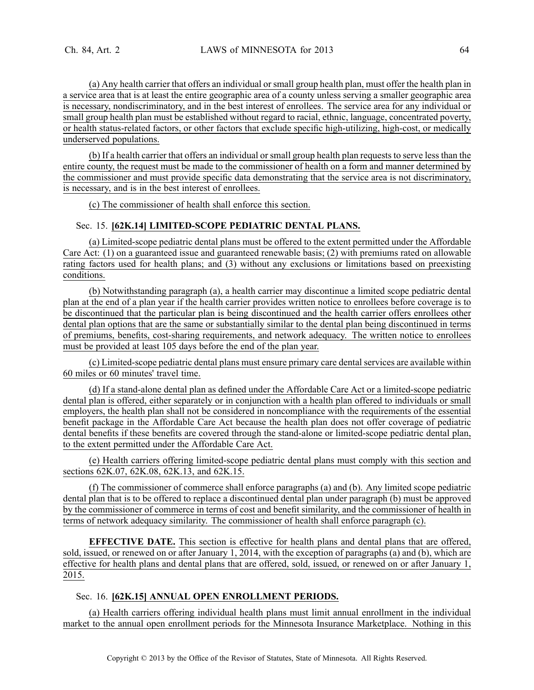(a) Any health carrier that offers an individual orsmall group health plan, must offer the health plan in <sup>a</sup> service area that is at least the entire geographic area of <sup>a</sup> county unless serving <sup>a</sup> smaller geographic area is necessary, nondiscriminatory, and in the best interest of enrollees. The service area for any individual or small group health plan must be established without regard to racial, ethnic, language, concentrated poverty, or health status-related factors, or other factors that exclude specific high-utilizing, high-cost, or medically underserved populations.

(b) If <sup>a</sup> health carrier that offers an individual or small group health plan requests to serve less than the entire county, the reques<sup>t</sup> must be made to the commissioner of health on <sup>a</sup> form and manner determined by the commissioner and must provide specific data demonstrating that the service area is not discriminatory, is necessary, and is in the best interest of enrollees.

(c) The commissioner of health shall enforce this section.

## Sec. 15. **[62K.14] LIMITED-SCOPE PEDIATRIC DENTAL PLANS.**

(a) Limited-scope pediatric dental plans must be offered to the extent permitted under the Affordable Care Act: (1) on <sup>a</sup> guaranteed issue and guaranteed renewable basis; (2) with premiums rated on allowable rating factors used for health plans; and (3) without any exclusions or limitations based on preexisting conditions.

(b) Notwithstanding paragraph (a), <sup>a</sup> health carrier may discontinue <sup>a</sup> limited scope pediatric dental plan at the end of <sup>a</sup> plan year if the health carrier provides written notice to enrollees before coverage is to be discontinued that the particular plan is being discontinued and the health carrier offers enrollees other dental plan options that are the same or substantially similar to the dental plan being discontinued in terms of premiums, benefits, cost-sharing requirements, and network adequacy. The written notice to enrollees must be provided at least 105 days before the end of the plan year.

(c) Limited-scope pediatric dental plans must ensure primary care dental services are available within 60 miles or 60 minutes' travel time.

(d) If <sup>a</sup> stand-alone dental plan as defined under the Affordable Care Act or <sup>a</sup> limited-scope pediatric dental plan is offered, either separately or in conjunction with <sup>a</sup> health plan offered to individuals or small employers, the health plan shall not be considered in noncompliance with the requirements of the essential benefit package in the Affordable Care Act because the health plan does not offer coverage of pediatric dental benefits if these benefits are covered through the stand-alone or limited-scope pediatric dental plan, to the extent permitted under the Affordable Care Act.

(e) Health carriers offering limited-scope pediatric dental plans must comply with this section and sections 62K.07, 62K.08, 62K.13, and 62K.15.

(f) The commissioner of commerce shall enforce paragraphs (a) and (b). Any limited scope pediatric dental plan that is to be offered to replace <sup>a</sup> discontinued dental plan under paragraph (b) must be approved by the commissioner of commerce in terms of cost and benefit similarity, and the commissioner of health in terms of network adequacy similarity. The commissioner of health shall enforce paragraph (c).

**EFFECTIVE DATE.** This section is effective for health plans and dental plans that are offered, sold, issued, or renewed on or after January 1, 2014, with the exception of paragraphs (a) and (b), which are effective for health plans and dental plans that are offered, sold, issued, or renewed on or after January 1, 2015.

## Sec. 16. **[62K.15] ANNUAL OPEN ENROLLMENT PERIODS.**

(a) Health carriers offering individual health plans must limit annual enrollment in the individual market to the annual open enrollment periods for the Minnesota Insurance Marketplace. Nothing in this